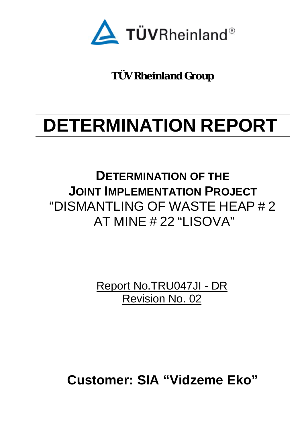

**TÜV Rheinland Group**

# **DETERMINATION REPORT**

**DETERMINATION OF THE JOINT IMPLEMENTATION PROJECT** "DISMANTLING OF WASTE HEAP # 2 AT MINE # 22 "LISOVA"

> Report No.TRU047JI - DR Revision No. 02

**Customer: SIA "Vidzeme Eko"**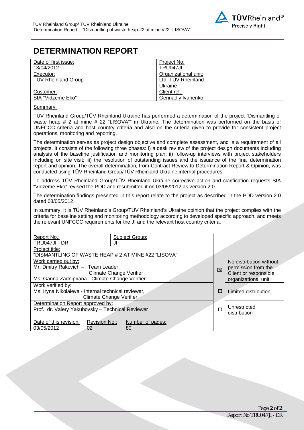## **DETERMINATION REPORT**

| Date of first issue:       | Project No:          |
|----------------------------|----------------------|
| 13/04/2012                 | TRU047JI             |
| Executor:                  | Organizational unit: |
| <b>TÜV Rheinland Group</b> | Ltd. TÜV Rheinland   |
|                            | Ukraine              |
| Customer:                  | Client ref.:         |
| SIA "Vidzeme Eko"          | Gennadiy Ivanenko    |

#### Summary:

TÜV Rheinland Group/TÜV Rheinland Ukraine has performed a determination of the project "Dismantling of waste heap # 2 at mine # 22 "LISOVA"" in Ukraine. The determination was performed on the basis of UNFCCC criteria and host country criteria and also on the criteria given to provide for consistent project operations, monitoring and reporting.

The determination serves as project design objective and complete assessment, and is a requirement of all projects. It consists of the following three phases: i) a desk review of the project design documents including analysis of the baseline justification and monitoring plan; ii) follow-up interviews with project stakeholders including on site visit; iii) the resolution of outstanding issues and the issuance of the final determination report and opinion. The overall determination, from Contract Review to Determination Report & Opinion, was conducted using TÜV Rheinland Group/TÜV Rheinland Ukraine internal procedures.

To address TÜV Rheinland Group/TÜV Rheinland Ukraine corrective action and clarification requests SIA "Vidzeme Eko" revised the PDD and resubmitted it on 03/05/2012 as version 2.0.

The determination findings presented in this report relate to the project as described in the PDD version 2.0 dated 03/05/2012.

In summary, it is TÜV Rheinland's Group/TÜV Rheinland's Ukraine opinion that the project complies with the criteria for baseline setting and monitoring methodology according to developed specific approach, and meets the relevant UNFCCC requirements for the JI and the relevant host country criteria.

| Report No.:                                         | Subject Group:   |  |   |                         |
|-----------------------------------------------------|------------------|--|---|-------------------------|
| TRU047JI - DR                                       | JI               |  |   |                         |
| Project title:                                      |                  |  |   |                         |
| "DISMANTLING OF WASTE HEAP # 2 AT MINE #22 "LISOVA" |                  |  |   |                         |
| Work carried out by:                                |                  |  |   | No distribution without |
| Mr. Dmitry Rakovich - Team Leader,                  |                  |  | 冈 | permission from the     |
| <b>Climate Change Verifier</b>                      |                  |  |   | Client or responsible   |
| Ms. Ganna Zadnipriana - Climate Change Verifier     |                  |  |   | organizational unit     |
| Work verified by:                                   |                  |  |   |                         |
| Ms. Iryna Nikolaieva - Internal technical reviewer, |                  |  | □ | Limited distribution    |
| Climate Change Verifier                             |                  |  |   |                         |
| Determination Report approved by:                   |                  |  |   |                         |
| Prof., dr. Valery Yakubovsky - Technical Reviewer   |                  |  | □ | Unrestricted            |
|                                                     |                  |  |   | distribution            |
| Date of this revision:<br>Revision No.:             | Number of pages: |  |   |                         |
| 03/05/2012<br>02                                    | 80               |  |   |                         |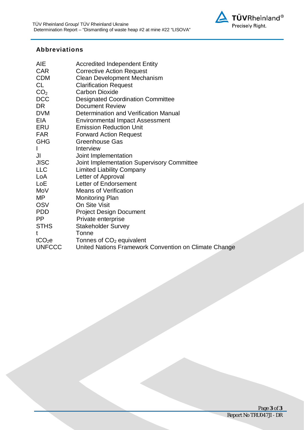

#### **Abbreviations**

| AIE                | <b>Accredited Independent Entity</b>                  |
|--------------------|-------------------------------------------------------|
| <b>CAR</b>         | <b>Corrective Action Request</b>                      |
| <b>CDM</b>         | <b>Clean Development Mechanism</b>                    |
| CL                 | <b>Clarification Request</b>                          |
| CO <sub>2</sub>    | <b>Carbon Dioxide</b>                                 |
| <b>DCC</b>         | <b>Designated Coordination Committee</b>              |
| DR.                | Document Review                                       |
| <b>DVM</b>         | Determination and Verification Manual                 |
| <b>EIA</b>         | <b>Environmental Impact Assessment</b>                |
| ERU                | <b>Emission Reduction Unit</b>                        |
| <b>FAR</b>         | <b>Forward Action Request</b>                         |
| <b>GHG</b>         | <b>Greenhouse Gas</b>                                 |
| I                  | Interview                                             |
| JI                 | Joint Implementation                                  |
| <b>JISC</b>        | Joint Implementation Supervisory Committee            |
| <b>LLC</b>         | <b>Limited Liability Company</b>                      |
| LoA                | Letter of Approval                                    |
| LoE                | Letter of Endorsement                                 |
| MoV                | <b>Means of Verification</b>                          |
| MP                 | <b>Monitoring Plan</b>                                |
| <b>OSV</b>         | On Site Visit                                         |
| <b>PDD</b>         | <b>Project Design Document</b>                        |
| <b>PP</b>          | Private enterprise                                    |
| <b>STHS</b>        | <b>Stakeholder Survey</b>                             |
| t                  | Tonne                                                 |
| tCO <sub>2</sub> e | Tonnes of $CO2$ equivalent                            |
| <b>UNFCCC</b>      | United Nations Framework Convention on Climate Change |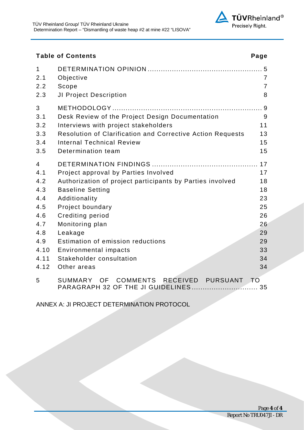

#### Table of Contents **Page**

| 1<br>2.1       | Objective                                                  | $\overline{7}$ |
|----------------|------------------------------------------------------------|----------------|
| 2.2            | Scope                                                      | $\overline{7}$ |
| 2.3            | JI Project Description                                     | 8              |
| 3              |                                                            |                |
| 3.1            | Desk Review of the Project Design Documentation            | $9\,$          |
| 3.2            | Interviews with project stakeholders                       | 11             |
| 3.3            | Resolution of Clarification and Corrective Action Requests | 13             |
| 3.4            | <b>Internal Technical Review</b>                           | 15             |
| 3.5            | Determination team                                         | 15             |
| $\overline{4}$ |                                                            | 17             |
| 4.1            | Project approval by Parties Involved                       | 17             |
| 4.2            | Authorization of project participants by Parties involved  | 18             |
| 4.3            | <b>Baseline Setting</b>                                    | 18             |
| 4.4            | Additionality                                              | 23             |
| 4.5            | Project boundary                                           | 25             |
| 4.6            | <b>Crediting period</b>                                    | 26             |
| 4.7            | Monitoring plan                                            | 26             |
| 4.8            | Leakage                                                    | 29             |
| 4.9            | Estimation of emission reductions                          | 29             |
| 4.10           | <b>Environmental impacts</b>                               | 33             |
| 4.11           | Stakeholder consultation                                   | 34             |
| 4.12           | Other areas                                                | 34             |
| 5              | COMMENTS RECEIVED<br>PURSUANT<br><b>SUMMARY</b><br>OF L    | T <sub>O</sub> |

ANNEX A: JI PROJECT DETERMINATION PROTOCOL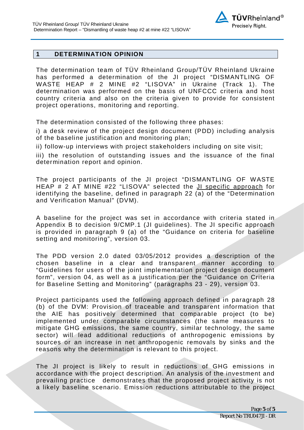#### **1 DETERMINATION OPINION**

The determination team of TÜV Rheinland Group/TÜV Rheinland Ukraine has performed a determination of the JI project "DISMANTLING OF WASTE HEAP # 2 MINE #2 "LISOVA" in Ukraine (Track 1). The determination was performed on the basis of UNFCCC criteria and host country criteria and also on the criteria given to provide for consistent project operations, monitoring and reporting.

The determination consisted of the following three phases:

i) a desk review of the project design document (PDD) including analysis of the baseline justification and monitoring plan;

ii) follow-up interviews with project stakeholders including on site visit;

iii) the resolution of outstanding issues and the issuance of the final determination report and opinion.

The project participants of the JI project "DISMANTLING OF WASTE HEAP # 2 AT MINE #22 "LISOVA" selected the JI specific approach for identifying the baseline, defined in paragraph 22 (a) of the "Determination and Verification Manual" (DVM).

A baseline for the project was set in accordance with criteria stated in Appendix B to decision 9/CMP.1 (JI guidelines). The JI specific approach is provided in paragraph 9 (a) of the "Guidance on criteria for baseline setting and monitoring", version 03.

The PDD version 2.0 dated 03/05/2012 provides a description of the chosen baseline in a clear and transparent manner according to "Guidelines for users of the joint implementation project design document form", version 04, as well as a justification per the "Guidance on Criteria for Baseline Setting and Monitoring" (paragraphs 23 - 29), version 03.

Project participants used the following approach defined in paragraph 28 (b) of the DVM: Provision of traceable and transparent information that the AIE has positively determined that comparable project (to be) implemented under comparable circumstances (the same measures to mitigate GHG emissions, the same country, similar technology, the same sector) will lead additional reductions of anthropogenic emissions by sources or an increase in net anthropogenic removals by sinks and the reasons why the determination is relevant to this project.

The JI project is likely to result in reductions of GHG emissions in accordance with the project description. An analysis of the investment and prevailing practice demonstrates that the proposed project activity is not a likely baseline scenario. Emission reductions attributable to the project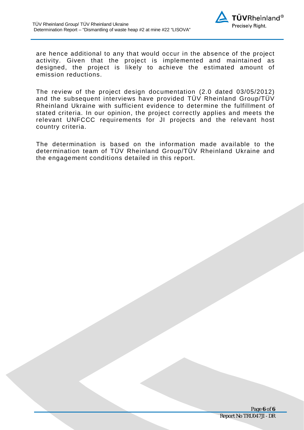

are hence additional to any that would occur in the absence of the project activity. Given that the project is implemented and maintained as designed, the project is likely to achieve the estimated amount of emission reductions.

The review of the project design documentation (2.0 dated 03/05/2012) and the subsequent interviews have provided TÜV Rheinland Group/TÜV Rheinland Ukraine with sufficient evidence to determine the fulfillment of stated criteria. In our opinion, the project correctly applies and meets the relevant UNFCCC requirements for JI projects and the relevant host country criteria.

The determination is based on the information made available to the determination team of TÜV Rheinland Group/TÜV Rheinland Ukraine and the engagement conditions detailed in this report.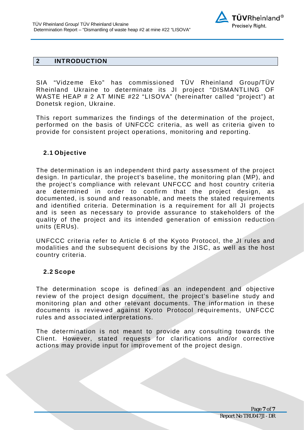

#### **2 INTRODUCTION**

SIA "Vidzeme Eko" has commissioned TÜV Rheinland Group/TÜV Rheinland Ukraine to determinate its JI project "DISMANTLING OF WASTE HEAP # 2 AT MINE #22 "LISOVA" (hereinafter called "project") at Donetsk region, Ukraine.

This report summarizes the findings of the determination of the project, performed on the basis of UNFCCC criteria, as well as criteria given to provide for consistent project operations, monitoring and reporting.

#### **2.1 Objective**

The determination is an independent third party assessment of the project design. In particular, the project's baseline, the monitoring plan (MP), and the project's compliance with relevant UNFCCC and host country criteria are determined in order to confirm that the project design, as documented, is sound and reasonable, and meets the stated requirements and identified criteria. Determination is a requirement for all JI projects and is seen as necessary to provide assurance to stakeholders of the quality of the project and its intended generation of emission reduction units (ERUs).

UNFCCC criteria refer to Article 6 of the Kyoto Protocol, the JI rules and modalities and the subsequent decisions by the JISC, as well as the host country criteria.

#### **2.2 Scope**

The determination scope is defined as an independent and objective review of the project design document, the project's baseline study and monitoring plan and other relevant documents. The information in these documents is reviewed against Kyoto Protocol requirements, UNFCCC rules and associated interpretations.

The determination is not meant to provide any consulting towards the Client. However, stated requests for clarifications and/or corrective actions may provide input for improvement of the project design.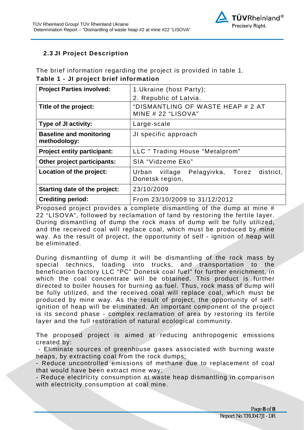#### **2.3 JI Project Description**

The brief information regarding the project is provided in table 1. **Table 1 - JI project brief information** 

| 1. Ukraine (host Party);                                           |  |  |
|--------------------------------------------------------------------|--|--|
| 2. Republic of Latvia.                                             |  |  |
| "DISMANTLING OF WASTE HEAP # 2 AT<br>MINE $# 22$ "LISOVA"          |  |  |
| Large-scale                                                        |  |  |
| JI specific approach                                               |  |  |
| LLC " Trading House "Metalprom"                                    |  |  |
| SIA "Vidzeme Eko"                                                  |  |  |
| Urban village<br>Pelagyivka, Torez<br>district,<br>Donetsk region, |  |  |
| 23/10/2009                                                         |  |  |
| From 23/10/2009 to 31/12/2012                                      |  |  |
|                                                                    |  |  |

Proposed project provides a complete dismantling of the dump at mine # 22 "LISOVA", followed by reclamation of land by restoring the fertile layer. During dismantling of dump the rock mass of dump will be fully utilized, and the received coal will replace coal, which must be produced by mine way. As the result of project, the opportunity of self - ignition of heap will be eliminated.

During dismantling of dump it will be dismantling of the rock mass by special technics, loading into trucks, and transportation to the benefication factory LLC "PC" Donetsk coal fuel" for further enrichment, in which the coal concentrate will be obtained. This product is further directed to boiler houses for burning as fuel. Thus, rock mass of dump will be fully utilized, and the received coal will replace coal, which must be produced by mine way. As the result of project, the opportunity of selfignition of heap will be eliminated. An important component of the project is its second phase - complex reclamation of area by restoring its fertile layer and the full restoration of natural ecological community.

The proposed project is aimed at reducing anthropogenic emissions created by:

 - Eliminate sources of greenhouse gases associated with burning waste heaps, by extracting coal from the rock dumps;

- Reduce uncontrolled emissions of methane due to replacement of coal that would have been extract mine way;

- Reduce electricity consumption at waste heap dismantling in comparison with electricity consumption at coal mine.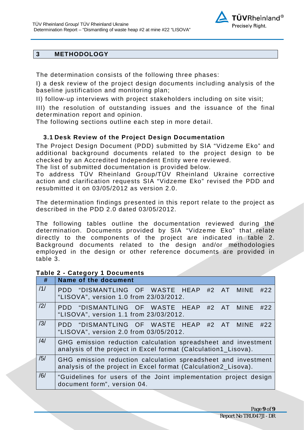

#### **3 METHODOLOGY**

The determination consists of the following three phases:

I) a desk review of the project design documents including analysis of the baseline justification and monitoring plan;

II) follow-up interviews with project stakeholders including on site visit;

III) the resolution of outstanding issues and the issuance of the final determination report and opinion.

The following sections outline each step in more detail.

#### **3.1 Desk Review of the Project Design Documentation**

The Project Design Document (PDD) submitted by SIA "Vidzeme Eko" and additional background documents related to the project design to be checked by an Accredited Independent Entity were reviewed.

The list of submitted documentation is provided below.

To address TÜV Rheinland Group/TÜV Rheinland Ukraine corrective action and clarification requests SIA "Vidzeme Eko" revised the PDD and resubmitted it on 03/05/2012 as version 2.0.

The determination findings presented in this report relate to the project as described in the PDD 2.0 dated 03/05/2012.

The following tables outline the documentation reviewed during the determination. Documents provided by SIA "Vidzeme Eko" that relate directly to the components of the project are indicated in table 2. Background documents related to the design and/or methodologies employed in the design or other reference documents are provided in table 3.

#### **Table 2 - Category 1 Documents**

| #              | <b>Name of the document</b>                                                                                                     |
|----------------|---------------------------------------------------------------------------------------------------------------------------------|
| /1/            | PDD "DISMANTLING OF WASTE HEAP #2 AT MINE #22<br>"LISOVA", version 1.0 from 23/03/2012.                                         |
| $\frac{12}{1}$ | PDD "DISMANTLING OF WASTE HEAP #2 AT MINE<br>#22<br>"LISOVA", version 1.1 from 23/03/2012.                                      |
| /3/            | PDD "DISMANTLING OF WASTE HEAP #2 AT MINE<br>#22<br>"LISOVA", version 2.0 from 03/05/2012.                                      |
| $\frac{14}{3}$ | GHG emission reduction calculation spreadsheet and investment<br>analysis of the project in Excel format (Calculation1_Lisova). |
| /5/            | GHG emission reduction calculation spreadsheet and investment<br>analysis of the project in Excel format (Calculation2_Lisova). |
| /6/            | "Guidelines for users of the Joint implementation project design<br>document form", version 04.                                 |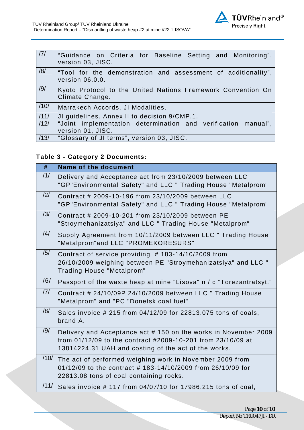

| 7    | "Guidance on Criteria for Baseline Setting and Monitoring",<br>version 03, JISC.   |
|------|------------------------------------------------------------------------------------|
| /8/  | "Tool for the demonstration and assessment of additionality",<br>version 06.0.0.   |
| /9/  | Kyoto Protocol to the United Nations Framework Convention On<br>Climate Change.    |
| /10/ | Marrakech Accords, JI Modalities.                                                  |
| 111/ | JI guidelines. Annex II to decision 9/CMP.1.                                       |
| /12/ | "Joint implementation determination and verification manual",<br>version 01, JISC. |
| /13/ | "Glossary of JI terms", version 03, JISC.                                          |

### **Table 3 - Category 2 Documents:**

| #    | <b>Name of the document</b>                                                                                                                                                           |
|------|---------------------------------------------------------------------------------------------------------------------------------------------------------------------------------------|
| /1/  | Delivery and Acceptance act from 23/10/2009 between LLC<br>"GP"Environmental Safety" and LLC " Trading House "Metalprom"                                                              |
| /2/  | Contract # 2009-10-196 from 23/10/2009 between LLC<br>"GP"Environmental Safety" and LLC " Trading House "Metalprom"                                                                   |
| /3/  | Contract # 2009-10-201 from 23/10/2009 between PE<br>"Stroymehanizatsiya" and LLC " Trading House "Metalprom"                                                                         |
| /4/  | Supply Agreement from 10/11/2009 between LLC " Trading House<br>"Metalprom"and LLC "PROMEKORESURS"                                                                                    |
| /5/  | Contract of service providing #183-14/10/2009 from<br>26/10/2009 weighing between PE "Stroymehanizatsiya" and LLC "<br>Trading House "Metalprom"                                      |
| /6/  | Passport of the waste heap at mine "Lisova" n / c "Torezantratsyt."                                                                                                                   |
| 7    | Contract # 24/10/09P 24/10/2009 between LLC " Trading House<br>"Metalprom" and "PC "Donetsk coal fuel"                                                                                |
| /8/  | Sales invoice # 215 from 04/12/09 for 22813.075 tons of coals,<br>brand A.                                                                                                            |
| /9/  | Delivery and Acceptance act #150 on the works in November 2009<br>from 01/12/09 to the contract #2009-10-201 from 23/10/09 at<br>13814224.31 UAH and costing of the act of the works. |
| /10/ | The act of performed weighing work in November 2009 from<br>01/12/09 to the contract # 183-14/10/2009 from 26/10/09 for<br>22813.08 tons of coal containing rocks.                    |
| /11/ | Sales invoice #117 from 04/07/10 for 17986.215 tons of coal,                                                                                                                          |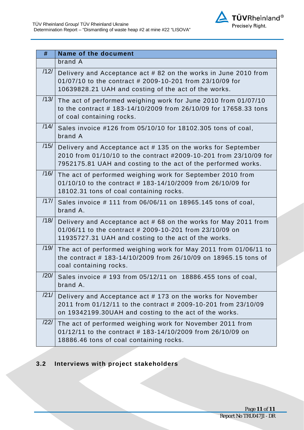

| #    | <b>Name of the document</b>                                                                                                                                                                       |
|------|---------------------------------------------------------------------------------------------------------------------------------------------------------------------------------------------------|
|      | brand A                                                                                                                                                                                           |
| /12/ | Delivery and Acceptance act # 82 on the works in June 2010 from<br>01/07/10 to the contract # 2009-10-201 from 23/10/09 for<br>10639828.21 UAH and costing of the act of the works.               |
| /13/ | The act of performed weighing work for June 2010 from 01/07/10<br>to the contract #183-14/10/2009 from 26/10/09 for 17658.33 tons<br>of coal containing rocks.                                    |
| /14/ | Sales invoice #126 from 05/10/10 for 18102.305 tons of coal,<br>brand A                                                                                                                           |
| /15/ | Delivery and Acceptance act #135 on the works for September<br>2010 from 01/10/10 to the contract #2009-10-201 from 23/10/09 for<br>7952175.81 UAH and costing to the act of the performed works. |
| /16/ | The act of performed weighing work for September 2010 from<br>01/10/10 to the contract # 183-14/10/2009 from 26/10/09 for<br>18102.31 tons of coal containing rocks.                              |
| /17/ | Sales invoice #111 from 06/06/11 on 18965.145 tons of coal,<br>brand A.                                                                                                                           |
| /18/ | Delivery and Acceptance act #68 on the works for May 2011 from<br>01/06/11 to the contract # 2009-10-201 from 23/10/09 on<br>11935727.31 UAH and costing to the act of the works.                 |
| /19/ | The act of performed weighing work for May 2011 from 01/06/11 to<br>the contract # 183-14/10/2009 from 26/10/09 on 18965.15 tons of<br>coal containing rocks.                                     |
|      | $\frac{120}{ }$ Sales invoice # 193 from 05/12/11 on 18886.455 tons of coal,<br>brand A.                                                                                                          |
| /21/ | Delivery and Acceptance act # 173 on the works for November<br>2011 from 01/12/11 to the contract # 2009-10-201 from 23/10/09<br>on 19342199.30UAH and costing to the act of the works.           |
| /22/ | The act of performed weighing work for November 2011 from<br>01/12/11 to the contract # 183-14/10/2009 from 26/10/09 on<br>18886.46 tons of coal containing rocks.                                |

### <span id="page-10-0"></span>**3.2 Interviews with project stakeholders**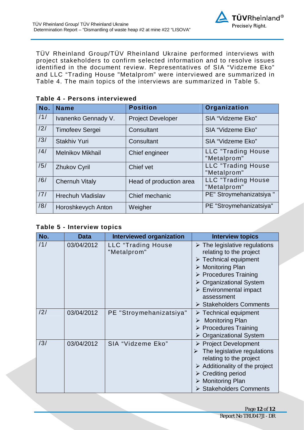

TÜV Rheinland Group/TÜV Rheinland Ukraine performed interviews with project stakeholders to confirm selected information and to resolve issues identified in the document review. Representatives of SIA "Vidzeme Eko" and LLC "Trading House "Metalprom" were interviewed are summarized in Table 4. The main topics of the interviews are summarized in Table 5.

| No. | <b>Name</b>              | <b>Position</b>          | Organization                             |
|-----|--------------------------|--------------------------|------------------------------------------|
| /1/ | Ivanenko Gennady V.      | <b>Project Developer</b> | SIA "Vidzeme Eko"                        |
| /2/ | <b>Timofeev Sergei</b>   | Consultant               | SIA "Vidzeme Eko"                        |
| /3/ | <b>Stakhiv Yuri</b>      | Consultant               | SIA "Vidzeme Eko"                        |
| /4/ | <b>Melnikov Mikhail</b>  | Chief engineer           | LLC "Trading House<br>"Metalprom"        |
| /5/ | <b>Zhukov Cyril</b>      | Chief vet                | <b>LLC</b> "Trading House<br>"Metalprom" |
| /6/ | <b>Chernuh Vitaly</b>    | Head of production area  | <b>LLC</b> "Trading House<br>"Metalprom" |
| 171 | <b>Hrechuh Vladislav</b> | Chief mechanic           | PE" Stroymehanizatsiya "                 |
| /8/ | Horoshkevych Anton       | Weigher                  | PE "Stroymehanizatsiya"                  |

#### **Table 4 - Persons interviewed**

#### **Table 5 - Interview topics**

| No. | <b>Data</b> | <b>Interviewed organization</b>          | <b>Interview topics</b>                                                                                                                                                                                                                                                                                                                |
|-----|-------------|------------------------------------------|----------------------------------------------------------------------------------------------------------------------------------------------------------------------------------------------------------------------------------------------------------------------------------------------------------------------------------------|
| 11/ | 03/04/2012  | <b>LLC</b> "Trading House<br>"Metalprom" | $\triangleright$ The legislative regulations<br>relating to the project<br>$\triangleright$ Technical equipment<br>$\triangleright$ Monitoring Plan<br>$\triangleright$ Procedures Training<br>$\triangleright$ Organizational System<br>$\triangleright$ Environmental impact<br>assessment<br>$\triangleright$ Stakeholders Comments |
| /2/ | 03/04/2012  | PE "Stroymehanizatsiya"                  | $\triangleright$ Technical equipment<br><b>Monitoring Plan</b><br>➤<br>$\triangleright$ Procedures Training<br>$\triangleright$ Organizational System                                                                                                                                                                                  |
| /3/ | 03/04/2012  | SIA "Vidzeme Eko"                        | ▶ Project Development<br>The legislative regulations<br>relating to the project<br>$\triangleright$ Additionality of the project<br>$\triangleright$ Crediting period<br>$\triangleright$ Monitoring Plan<br>> Stakeholders Comments                                                                                                   |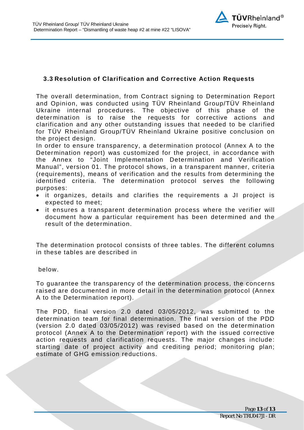

#### <span id="page-12-0"></span>**3.3 Resolution of Clarification and Corrective Action Requests**

The overall determination, from Contract signing to Determination Report and Opinion, was conducted using TÜV Rheinland Group/TÜV Rheinland Ukraine internal procedures. The objective of this phase of the determination is to raise the requests for corrective actions and clarification and any other outstanding issues that needed to be clarified for TÜV Rheinland Group/TÜV Rheinland Ukraine positive conclusion on the project design.

In order to ensure transparency, a determination protocol (Annex A to the Determination report) was customized for the project, in accordance with the Annex to "Joint Implementation Determination and Verification Manual", version 01. The protocol shows, in a transparent manner, criteria (requirements), means of verification and the results from determining the identified criteria. The determination protocol serves the following purposes:

- · it organizes, details and clarifies the requirements a JI project is expected to meet;
- · it ensures a transparent determination process where the verifier will document how a particular requirement has been determined and the result of the determination.

The determination protocol consists of three tables. The different columns in these tables are described in

below.

To guarantee the transparency of the determination process, the concerns raised are documented in more detail in the determination protocol (Annex A to the Determination report).

The PDD, final version 2.0 dated 03/05/2012, was submitted to the determination team for final determination. The final version of the PDD (version 2.0 dated 03/05/2012) was revised based on the determination protocol (Annex A to the Determination report) with the issued corrective action requests and clarification requests. The major changes include: starting date of project activity and crediting period; monitoring plan; estimate of GHG emission reductions.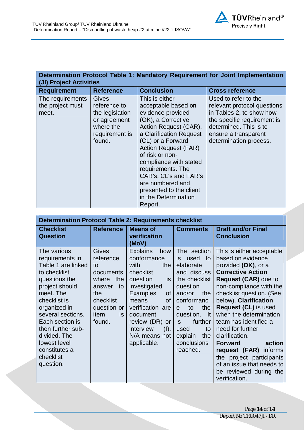| Determination Protocol Table 1: Mandatory Requirement for Joint Implementation |  |  |
|--------------------------------------------------------------------------------|--|--|
| (JI) Project Activities                                                        |  |  |

| <b>Requirement</b>                            | <b>Reference</b>                                                                                  | <b>Conclusion</b>                                                                                                                                                                                                                                                                                                                                                     | <b>Cross reference</b>                                                                                                                                                                     |
|-----------------------------------------------|---------------------------------------------------------------------------------------------------|-----------------------------------------------------------------------------------------------------------------------------------------------------------------------------------------------------------------------------------------------------------------------------------------------------------------------------------------------------------------------|--------------------------------------------------------------------------------------------------------------------------------------------------------------------------------------------|
| The requirements<br>the project must<br>meet. | Gives<br>reference to<br>the legislation<br>or agreement<br>where the<br>requirement is<br>found. | This is either<br>acceptable based on<br>evidence provided<br>(OK), a Corrective<br>Action Request (CAR),<br>a Clarification Request<br>(CL) or a Forward<br><b>Action Request (FAR)</b><br>of risk or non-<br>compliance with stated<br>requirements. The<br>CAR's, CL's and FAR's<br>are numbered and<br>presented to the client<br>in the Determination<br>Report. | Used to refer to the<br>relevant protocol questions<br>in Tables 2, to show how<br>the specific requirement is<br>determined. This is to<br>ensure a transparent<br>determination process. |

| <b>Determination Protocol Table 2: Requirements checklist</b>                                                                                                                                                                                                                                |                                                                                                                                          |                                                                                                                                                                                                                                                                |                                                                                                                                                                                                                                                      |                                                                                                                                                                                                                                                                                                                                                                                                                                                                                            |  |
|----------------------------------------------------------------------------------------------------------------------------------------------------------------------------------------------------------------------------------------------------------------------------------------------|------------------------------------------------------------------------------------------------------------------------------------------|----------------------------------------------------------------------------------------------------------------------------------------------------------------------------------------------------------------------------------------------------------------|------------------------------------------------------------------------------------------------------------------------------------------------------------------------------------------------------------------------------------------------------|--------------------------------------------------------------------------------------------------------------------------------------------------------------------------------------------------------------------------------------------------------------------------------------------------------------------------------------------------------------------------------------------------------------------------------------------------------------------------------------------|--|
| <b>Checklist</b><br><b>Question</b>                                                                                                                                                                                                                                                          | <b>Reference</b>                                                                                                                         | <b>Means of</b><br>verification<br>(MoV)                                                                                                                                                                                                                       | <b>Comments</b>                                                                                                                                                                                                                                      | <b>Draft and/or Final</b><br><b>Conclusion</b>                                                                                                                                                                                                                                                                                                                                                                                                                                             |  |
| The various<br>requirements in<br>Table 1 are linked<br>to checklist<br>questions the<br>project should<br>meet. The<br>checklist is<br>organized in<br>several sections.<br>Each section is<br>then further sub-<br>divided. The<br>lowest level<br>constitutes a<br>checklist<br>question. | Gives<br>reference<br>to<br>documents<br>the<br>where<br>to<br>answer<br>the<br>checklist<br>question or<br><i>item</i><br>is.<br>found. | <b>Explains</b><br>how<br>conformance<br>with<br>the<br>checklist<br>question<br>is.<br>investigated.<br><b>Examples</b><br>0f<br><b>of</b><br>means<br>verification are<br>document<br>review (DR)<br>or<br>interview<br>(I).<br>N/A means not<br>applicable. | The section<br>is.<br>used<br>to<br>elaborate<br>and discuss<br>the checklist<br>question<br>and/or<br>the<br>conformanc<br>the<br>to<br>e<br>question.<br>$\mathsf{It}$<br>further<br>is<br>used<br>to<br>explain<br>the<br>conclusions<br>reached. | This is either acceptable<br>based on evidence<br>provided (OK), or a<br><b>Corrective Action</b><br><b>Request (CAR)</b> due to<br>non-compliance with the<br>checklist question. (See<br>below). Clarification<br>Request (CL) is used<br>when the determination<br>team has identified a<br>need for further<br>clarification.<br>action<br><b>Forward</b><br>request (FAR) informs<br>the project participants<br>of an issue that needs to<br>be reviewed during the<br>verification. |  |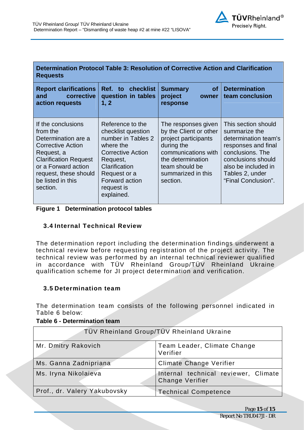| Determination Protocol Table 3: Resolution of Corrective Action and Clarification<br><b>Requests</b>                                                                                                             |                                                                                                                                                                                           |                                                                                                                                                                                     |                                                                                                                                                                                                |  |
|------------------------------------------------------------------------------------------------------------------------------------------------------------------------------------------------------------------|-------------------------------------------------------------------------------------------------------------------------------------------------------------------------------------------|-------------------------------------------------------------------------------------------------------------------------------------------------------------------------------------|------------------------------------------------------------------------------------------------------------------------------------------------------------------------------------------------|--|
| <b>Report clarifications</b><br>corrective<br>and<br>action requests                                                                                                                                             | Ref. to checklist<br>question in tables<br>1, 2                                                                                                                                           | <b>of</b><br><b>Summary</b><br>project<br>owner<br>response                                                                                                                         | <b>Determination</b><br>team conclusion                                                                                                                                                        |  |
| If the conclusions<br>from the<br>Determination are a<br><b>Corrective Action</b><br>Request, a<br><b>Clarification Request</b><br>or a Forward action<br>request, these should<br>be listed in this<br>section. | Reference to the<br>checklist question<br>number in Tables 2<br>where the<br>Corrective Action<br>Request,<br>Clarification<br>Request or a<br>Forward action<br>request is<br>explained. | The responses given<br>by the Client or other<br>project participants<br>during the<br>communications with<br>the determination<br>team should be<br>summarized in this<br>section. | This section should<br>summarize the<br>determination team's<br>responses and final<br>conclusions. The<br>conclusions should<br>also be included in<br>Tables 2, under<br>"Final Conclusion". |  |

<span id="page-14-0"></span>

#### **3.4 Internal Technical Review**

The determination report including the determination findings underwent a technical review before requesting registration of the project activity. The technical review was performed by an internal technical reviewer qualified in accordance with TÜV Rheinland Group/TÜV Rheinland Ukraine qualification scheme for JI project determination and verification.

#### <span id="page-14-1"></span>**3.5 Determination team**

The determination team consists of the following personnel indicated in Table 6 below:

#### **Table 6 - Determination team**

| TÜV Rheinland Group/TÜV Rheinland Ukraine |                                                                |  |  |
|-------------------------------------------|----------------------------------------------------------------|--|--|
| Mr. Dmitry Rakovich                       | Team Leader, Climate Change<br>Verifier                        |  |  |
| Ms. Ganna Zadnipriana                     | <b>Climate Change Verifier</b>                                 |  |  |
| Ms. Iryna Nikolaieva                      | Internal technical reviewer, Climate<br><b>Change Verifier</b> |  |  |
| Prof., dr. Valery Yakubovsky              | <b>Technical Competence</b>                                    |  |  |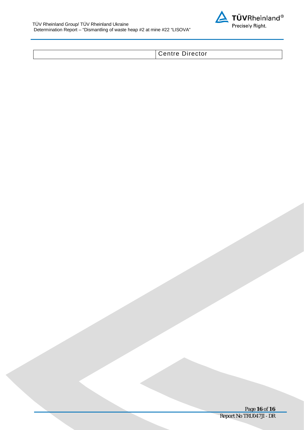

| Centre Director |  |
|-----------------|--|
|-----------------|--|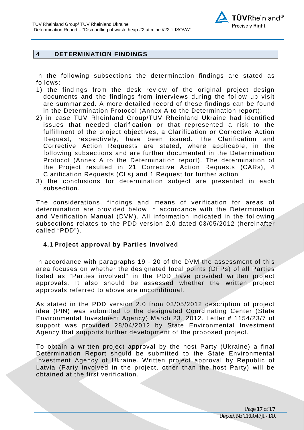

#### <span id="page-16-0"></span>**4 DETERMINATION FINDINGS**

In the following subsections the determination findings are stated as follows:

- 1) the findings from the desk review of the original project design documents and the findings from interviews during the follow up visit are summarized. A more detailed record of these findings can be found in the Determination Protocol (Annex A to the Determination report);
- 2) in case TÜV Rheinland Group/TÜV Rheinland Ukraine had identified issues that needed clarification or that represented a risk to the fulfillment of the project objectives, a Clarification or Corrective Action Request, respectively, have been issued. The Clarification and Corrective Action Requests are stated, where applicable, in the following subsections and are further documented in the Determination Protocol (Annex A to the Determination report). The determination of the Project resulted in 21 Corrective Action Requests (CARs), 4 Clarification Requests (CLs) and 1 Request for further action
- 3) the conclusions for determination subject are presented in each subsection.

The considerations, findings and means of verification for areas of determination are provided below in accordance with the Determination and Verification Manual (DVM). All information indicated in the following subsections relates to the PDD version 2.0 dated 03/05/2012 (hereinafter called "PDD").

#### <span id="page-16-1"></span>**4.1 Project approval by Parties Involved**

In accordance with paragraphs 19 - 20 of the DVM the assessment of this area focuses on whether the designated focal points (DFPs) of all Parties listed as "Parties involved" in the PDD have provided written project approvals. It also should be assessed whether the written project approvals referred to above are unconditional.

As stated in the PDD version 2.0 from 03/05/2012 description of project idea (PIN) was submitted to the designated Coordinating Center (State Environmental Investment Agency) March 23, 2012. Letter # 1154/23/7 of support was provided 28/04/2012 by State Environmental Investment Agency that supports further development of the proposed project.

To obtain a written project approval by the host Party (Ukraine) a final Determination Report should be submitted to the State Environmental Investment Agency of Ukraine. Written project approval by Republic of Latvia (Party involved in the project, other than the host Party) will be obtained at the first verification.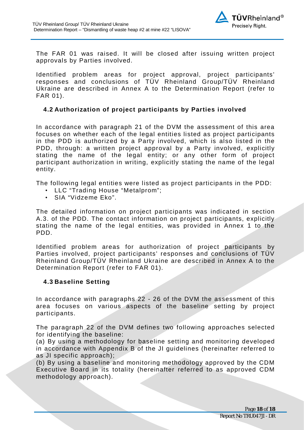

The FAR 01 was raised. It will be closed after issuing written project approvals by Parties involved.

Identified problem areas for project approval, project participants' responses and conclusions of TÜV Rheinland Group/TÜV Rheinland Ukraine are described in Annex A to the Determination Report (refer to FAR 01).

#### <span id="page-17-0"></span>**4.2 Authorization of project participants by Parties involved**

In accordance with paragraph 21 of the DVM the assessment of this area focuses on whether each of the legal entities listed as project participants in the PDD is authorized by a Party involved, which is also listed in the PDD, through: a written project approval by a Party involved, explicitly stating the name of the legal entity; or any other form of project participant authorization in writing, explicitly stating the name of the legal entity.

The following legal entities were listed as project participants in the PDD:

- LLC "Trading House "Metalprom";
- SIA "Vidzeme Eko".

The detailed information on project participants was indicated in section A.3. of the PDD. The contact information on project participants, explicitly stating the name of the legal entities, was provided in Annex 1 to the PDD.

Identified problem areas for authorization of project participants by Parties involved, project participants' responses and conclusions of TÜV Rheinland Group/TÜV Rheinland Ukraine are described in Annex A to the Determination Report (refer to FAR 01).

#### <span id="page-17-1"></span>**4.3 Baseline Setting**

In accordance with paragraphs 22 - 26 of the DVM the assessment of this area focuses on various aspects of the baseline setting by project participants.

The paragraph 22 of the DVM defines two following approaches selected for identifying the baseline:

(a) By using a methodology for baseline setting and monitoring developed in accordance with Appendix B of the JI guidelines (hereinafter referred to as JI specific approach);

(b) By using a baseline and monitoring methodology approved by the CDM Executive Board in its totality (hereinafter referred to as approved CDM methodology approach).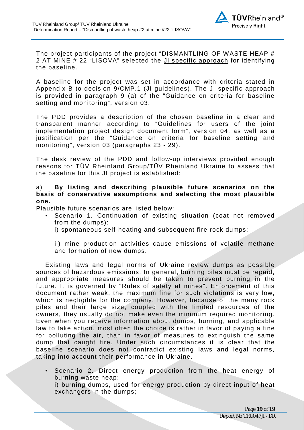

The project participants of the project "DISMANTLING OF WASTE HEAP # 2 AT MINE # 22 "LISOVA" selected the JI specific approach for identifying the baseline.

A baseline for the project was set in accordance with criteria stated in Appendix B to decision 9/CMP.1 (JI guidelines). The JI specific approach is provided in paragraph 9 (a) of the "Guidance on criteria for baseline setting and monitoring", version 03.

The PDD provides a description of the chosen baseline in a clear and transparent manner according to "Guidelines for users of the joint implementation project design document form", version 04, as well as a justification per the "Guidance on criteria for baseline setting and monitoring", version 03 (paragraphs 23 - 29).

The desk review of the PDD and follow-up interviews provided enough reasons for TÜV Rheinland Group/TÜV Rheinland Ukraine to assess that the baseline for this JI project is established:

#### a) **By listing and describing plausible future scenarios on the basis of conservative assumptions and selecting the most plausible one.**

Plausible future scenarios are listed below:

- Scenario 1. Continuation of existing situation (coat not removed from the dumps):
	- i) spontaneous self-heating and subsequent fire rock dumps;

ii) mine production activities cause emissions of volatile methane and formation of new dumps.

Existing laws and legal norms of Ukraine review dumps as possible sources of hazardous emissions. In general, burning piles must be repaid, and appropriate measures should be taken to prevent burning in the future. It is governed by "Rules of safety at mines". Enforcement of this document rather weak, the maximum fine for such violations is very low, which is negligible for the company. However, because of the many rock piles and their large size, coupled with the limited resources of the owners, they usually do not make even the minimum required monitoring. Even when you receive information about dumps, burning, and applicable law to take action, most often the choice is rather in favor of paying a fine for polluting the air, than in favor of measures to extinguish the same dump that caught fire. Under such circumstances it is clear that the baseline scenario does not contradict existing laws and legal norms, taking into account their performance in Ukraine.

• Scenario 2. Direct energy production from the heat energy of burning waste heap: i) burning dumps, used for energy production by direct input of heat exchangers in the dumps;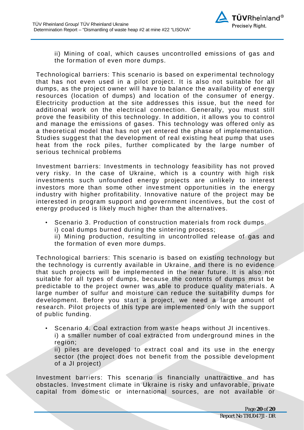

ii) Mining of coal, which causes uncontrolled emissions of gas and the formation of even more dumps.

Technological barriers: This scenario is based on experimental technology that has not even used in a pilot project. It is also not suitable for all dumps, as the project owner will have to balance the availability of energy resources (location of dumps) and location of the consumer of energy. Electricity production at the site addresses this issue, but the need for additional work on the electrical connection. Generally, you must still prove the feasibility of this technology. In addition, it allows you to control and manage the emissions of gases. This technology was offered only as a theoretical model that has not yet entered the phase of implementation. Studies suggest that the development of real existing heat pump that uses heat from the rock piles, further complicated by the large number of serious technical problems

Investment barriers: Investments in technology feasibility has not proved very risky. In the case of Ukraine, which is a country with high risk investments such unfounded energy projects are unlikely to interest investors more than some other investment opportunities in the energy industry with higher profitability. Innovative nature of the project may be interested in program support and government incentives, but the cost of energy produced is likely much higher than the alternatives.

Scenario 3. Production of construction materials from rock dumps. i) coal dumps burned during the sintering process;

ii) Mining production, resulting in uncontrolled release of gas and the formation of even more dumps.

Technological barriers: This scenario is based on existing technology but the technology is currently available in Ukraine, and there is no evidence that such projects will be implemented in the near future. It is also not suitable for all types of dumps, because the contents of dumps must be predictable to the project owner was able to produce quality materials. A large number of sulfur and moisture can reduce the suitability dumps for development. Before you start a project, we need a large amount of research. Pilot projects of this type are implemented only with the support of public funding.

• Scenario 4. Coal extraction from waste heaps without JI incentives. i) a smaller number of coal extracted from underground mines in the region;

ii) piles are developed to extract coal and its use in the energy sector (the project does not benefit from the possible development of a JI project)

Investment barriers: This scenario is financially unattractive and has obstacles. Investment climate in Ukraine is risky and unfavorable, private capital from domestic or international sources, are not available or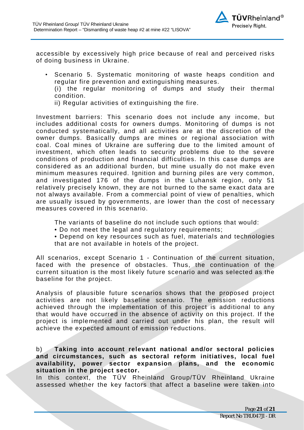

accessible by excessively high price because of real and perceived risks of doing business in Ukraine.

• Scenario 5. Systematic monitoring of waste heaps condition and regular fire prevention and extinguishing measures.

(i) the regular monitoring of dumps and study their thermal condition.

ii) Regular activities of extinguishing the fire.

Investment barriers: This scenario does not include any income, but includes additional costs for owners dumps. Monitoring of dumps is not conducted systematically, and all activities are at the discretion of the owner dumps. Basically dumps are mines or regional association with coal. Coal mines of Ukraine are suffering due to the limited amount of investment, which often leads to security problems due to the severe conditions of production and financial difficulties. In this case dumps are considered as an additional burden, but mine usually do not make even minimum measures required. Ignition and burning piles are very common, and investigated 176 of the dumps in the Luhansk region, only 51 relatively precisely known, they are not burned to the same exact data are not always available. From a commercial point of view of penalties, which are usually issued by governments, are lower than the cost of necessary measures covered in this scenario.

The variants of baseline do not include such options that would:

• Do not meet the legal and regulatory requirements;

• Depend on key resources such as fuel, materials and technologies that are not available in hotels of the project.

All scenarios, except Scenario 1 - Continuation of the current situation, faced with the presence of obstacles. Thus, the continuation of the current situation is the most likely future scenario and was selected as the baseline for the project.

Analysis of plausible future scenarios shows that the proposed project activities are not likely baseline scenario. The emission reductions achieved through the implementation of this project is additional to any that would have occurred in the absence of activity on this project. If the project is implemented and carried out under his plan, the result will achieve the expected amount of emission reductions.

b) **Taking into account relevant national and/or sectoral policies and circumstances, such as sectoral reform initiatives, local fuel availability, power sector expansion plans, and the economic situation in the project sector.** 

In this context, the TÜV Rheinland Group/TÜV Rheinland Ukraine assessed whether the key factors that affect a baseline were taken into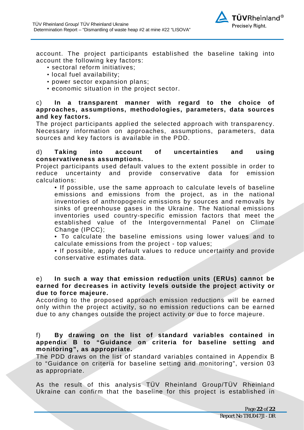

account. The project participants established the baseline taking into account the following key factors:

- sectoral reform initiatives;
- local fuel availability;
- power sector expansion plans;
- economic situation in the project sector.

#### c) **In a transparent manner with regard to the choice of approaches, assumptions, methodologies, parameters, data sources and key factors.**

The project participants applied the selected approach with transparency. Necessary information on approaches, assumptions, parameters, data sources and key factors is available in the PDD.

#### d) **Taking into account of uncertainties and using conservativeness assumptions.**

Project participants used default values to the extent possible in order to reduce uncertainty and provide conservative data for emission calculations:

• If possible, use the same approach to calculate levels of baseline emissions and emissions from the project, as in the national inventories of anthropogenic emissions by sources and removals by sinks of greenhouse gases in the Ukraine. The National emissions inventories used country-specific emission factors that meet the established value of the Intergovernmental Panel on Climate Change (IPCC);

• To calculate the baseline emissions using lower values and to calculate emissions from the project - top values;

• If possible, apply default values to reduce uncertainty and provide conservative estimates data.

#### e) **In such a way that emission reduction units (ERUs) cannot be earned for decreases in activity levels outside the project activity or due to force majeure.**

According to the proposed approach emission reductions will be earned only within the project activity, so no emission reductions can be earned due to any changes outside the project activity or due to force majeure.

f) **By drawing on the list of standard variables contained in appendix B to "Guidance on criteria for baseline setting and monitoring", as appropriate.**

The PDD draws on the list of standard variables contained in Appendix B to "Guidance on criteria for baseline setting and monitoring", version 03 as appropriate.

As the result of this analysis TÜV Rheinland Group/TÜV Rheinland Ukraine can confirm that the baseline for this project is established in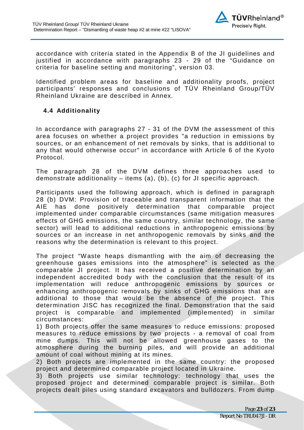<span id="page-22-0"></span>

accordance with criteria stated in the Appendix B of the JI guidelines and justified in accordance with paragraphs 23 - 29 of the "Guidance on criteria for baseline setting and monitoring", version 03.

Identified problem areas for baseline and additionality proofs, project participants' responses and conclusions of TÜV Rheinland Group/TÜV Rheinland Ukraine are described in Annex.

#### **4.4 Additionality**

In accordance with paragraphs 27 - 31 of the DVM the assessment of this area focuses on whether a project provides "a reduction in emissions by sources, or an enhancement of net removals by sinks, that is additional to any that would otherwise occur" in accordance with Article 6 of the Kyoto Protocol.

The paragraph 28 of the DVM defines three approaches used to demonstrate additionality  $-$  items (a), (b), (c) for JI specific approach.

Participants used the following approach, which is defined in paragraph 28 (b) DVM: Provision of traceable and transparent information that the AIE has done positively determination that comparable project implemented under comparable circumstances (same mitigation measures effects of GHG emissions, the same country, similar technology, the same sector) will lead to additional reductions in anthropogenic emissions by sources or an increase in net anthropogenic removals by sinks and the reasons why the determination is relevant to this project.

The project "Waste heaps dismantling with the aim of decreasing the greenhouse gases emissions into the atmosphere" is selected as the comparable JI project. It has received a positive determination by an independent accredited body with the conclusion that the result of its implementation will reduce anthropogenic emissions by sources or enhancing anthropogenic removals by sinks of GHG emissions that are additional to those that would be the absence of the project. This determination JISC has recognized the final. Demonstration that the said project is comparable and implemented (implemented) in similar circumstances:

1) Both projects offer the same measures to reduce emissions: proposed measures to reduce emissions by two projects - a removal of coal from mine dumps. This will not be allowed greenhouse gases to the atmosphere during the burning piles, and will provide an additional amount of coal without mining at its mines.

2) Both projects are implemented in the same country: the proposed project and determined comparable project located in Ukraine.

3) Both projects use similar technology: technology that uses the proposed project and determined comparable project is similar. Both projects dealt piles using standard excavators and bulldozers. From dump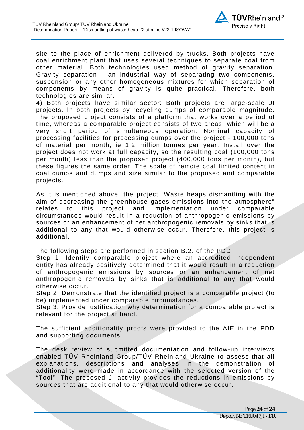

site to the place of enrichment delivered by trucks. Both projects have coal enrichment plant that uses several techniques to separate coal from other material. Both technologies used method of gravity separation. Gravity separation - an industrial way of separating two components, suspension or any other homogeneous mixtures for which separation of components by means of gravity is quite practical. Therefore, both technologies are similar.

4) Both projects have similar sector: Both projects are large-scale JI projects. In both projects by recycling dumps of comparable magnitude. The proposed project consists of a platform that works over a period of time, whereas a comparable project consists of two areas, which will be a very short period of simultaneous operation. Nominal capacity of processing facilities for processing dumps over the project - 100,000 tons of material per month, ie 1.2 million tonnes per year. Install over the project does not work at full capacity, so the resulting coal (100,000 tons per month) less than the proposed project (400,000 tons per month), but these figures the same order. The scale of remote coal limited content in coal dumps and dumps and size similar to the proposed and comparable projects.

As it is mentioned above, the project "Waste heaps dismantling with the aim of decreasing the greenhouse gases emissions into the atmosphere" relates to this project and implementation under comparable circumstances would result in a reduction of anthropogenic emissions by sources or an enhancement of net anthropogenic removals by sinks that is additional to any that would otherwise occur. Therefore, this project is additional.

The following steps are performed in section B.2. of the PDD:

Step 1: Identify comparable project where an accredited independent entity has already positively determined that it would result in a reduction of anthropogenic emissions by sources or an enhancement of net anthropogenic removals by sinks that is additional to any that would otherwise occur.

Step 2: Demonstrate that the identified project is a comparable project (to be) implemented under comparable circumstances.

Step 3: Provide justification why determination for a comparable project is relevant for the project at hand.

The sufficient additionality proofs were provided to the AIE in the PDD and supporting documents.

The desk review of submitted documentation and follow-up interviews enabled TÜV Rheinland Group/TÜV Rheinland Ukraine to assess that all explanations, descriptions and analyses in the demonstration of additionality were made in accordance with the selected version of the "Tool". The proposed JI activity provides the reductions in emissions by sources that are additional to any that would otherwise occur.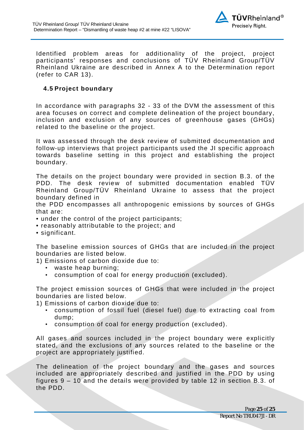

Identified problem areas for additionality of the project, project participants' responses and conclusions of TÜV Rheinland Group/TÜV Rheinland Ukraine are described in Annex A to the Determination report (refer to CAR 13).

#### <span id="page-24-0"></span>**4.5 Project boundary**

In accordance with paragraphs 32 - 33 of the DVM the assessment of this area focuses on correct and complete delineation of the project boundary, inclusion and exclusion of any sources of greenhouse gases (GHGs) related to the baseline or the project.

It was assessed through the desk review of submitted documentation and follow-up interviews that project participants used the JI specific approach towards baseline setting in this project and establishing the project boundary.

The details on the project boundary were provided in section B.3. of the PDD. The desk review of submitted documentation enabled TÜV Rheinland Group/TÜV Rheinland Ukraine to assess that the project boundary defined in

the PDD encompasses all anthropogenic emissions by sources of GHGs that are:

- under the control of the project participants;
- reasonably attributable to the project; and
- significant.

The baseline emission sources of GHGs that are included in the project boundaries are listed below.

1) Emissions of carbon dioxide due to:

- waste heap burning;
- consumption of coal for energy production (excluded).

The project emission sources of GHGs that were included in the project boundaries are listed below.

1) Emissions of carbon dioxide due to:

- consumption of fossil fuel (diesel fuel) due to extracting coal from dump;
- consumption of coal for energy production (excluded).

All gases and sources included in the project boundary were explicitly stated, and the exclusions of any sources related to the baseline or the project are appropriately justified.

The delineation of the project boundary and the gases and sources included are appropriately described and justified in the PDD by using figures 9 – 10 and the details were provided by table 12 in section B.3. of the PDD.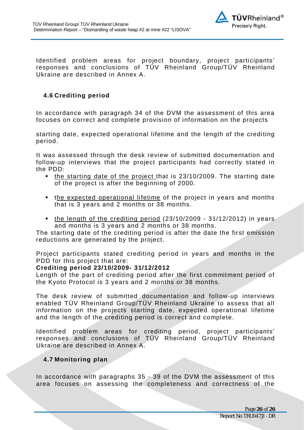

Identified problem areas for project boundary, project participants' responses and conclusions of TÜV Rheinland Group/TÜV Rheinland Ukraine are described in Annex A.

#### <span id="page-25-0"></span>**4.6 Crediting period**

In accordance with paragraph 34 of the DVM the assessment of this area focuses on correct and complete provision of information on the projects

starting date, expected operational lifetime and the length of the crediting period.

It was assessed through the desk review of submitted documentation and follow-up interviews that the project participants had correctly stated in the PDD:

- the starting date of the project that is 23/10/2009. The starting date of the project is after the beginning of 2000.
- the expected operational lifetime of the project in years and months that is 3 years and 2 months or 38 months.
- $\bullet$  the length of the crediting period (23/10/2009 31/12/2012) in years and months is 3 years and 2 months or 38 months.

The starting date of the crediting period is after the date the first emission reductions are generated by the project.

Project participants stated crediting period in years and months in the PDD for this project that are:

#### **Crediting period 23/10/2009- 31/12/2012**

Length of the part of crediting period after the first commitment period of the Kyoto Protocol is 3 years and 2 months or 38 months.

The desk review of submitted documentation and follow-up interviews enabled TÜV Rheinland Group/TÜV Rheinland Ukraine to assess that all information on the projects starting date, expected operational lifetime and the length of the crediting period is correct and complete.

Identified problem areas for crediting period, project participants' responses and conclusions of TÜV Rheinland Group/TÜV Rheinland Ukraine are described in Annex A.

#### <span id="page-25-1"></span>**4.7 Monitoring plan**

In accordance with paragraphs 35 - 39 of the DVM the assessment of this area focuses on assessing the completeness and correctness of the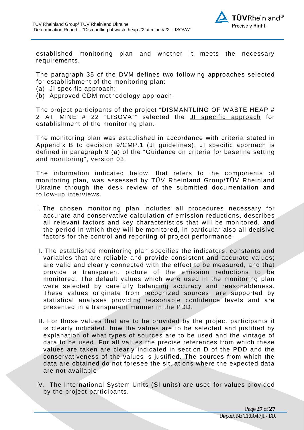

established monitoring plan and whether it meets the necessary requirements.

The paragraph 35 of the DVM defines two following approaches selected for establishment of the monitoring plan:

- (a) JI specific approach;
- (b) Approved CDM methodology approach.

The project participants of the project "DISMANTLING OF WASTE HEAP # 2 AT MINE # 22 "LISOVA"" selected the JI specific approach for establishment of the monitoring plan.

The monitoring plan was established in accordance with criteria stated in Appendix B to decision 9/CMP.1 (JI guidelines). JI specific approach is defined in paragraph 9 (a) of the "Guidance on criteria for baseline setting and monitoring", version 03.

The information indicated below, that refers to the components of monitoring plan, was assessed by TÜV Rheinland Group/TÜV Rheinland Ukraine through the desk review of the submitted documentation and follow-up interviews.

- I. The chosen monitoring plan includes all procedures necessary for accurate and conservative calculation of emission reductions, describes all relevant factors and key characteristics that will be monitored, and the period in which they will be monitored, in particular also all decisive factors for the control and reporting of project performance.
- II. The established monitoring plan specifies the indicators, constants and variables that are reliable and provide consistent and accurate values; are valid and clearly connected with the effect to be measured, and that provide a transparent picture of the emission reductions to be monitored. The default values which were used in the monitoring plan were selected by carefully balancing accuracy and reasonableness. These values originate from recognized sources, are supported by statistical analyses providing reasonable confidence levels and are presented in a transparent manner in the PDD.
- III. For those values that are to be provided by the project participants it is clearly indicated, how the values are to be selected and justified by explanation of what types of sources are to be used and the vintage of data to be used. For all values the precise references from which these values are taken are clearly indicated in section D of the PDD and the conservativeness of the values is justified. The sources from which the data are obtained do not foresee the situations where the expected data are not available.
- IV. The International System Units (SI units) are used for values provided by the project participants.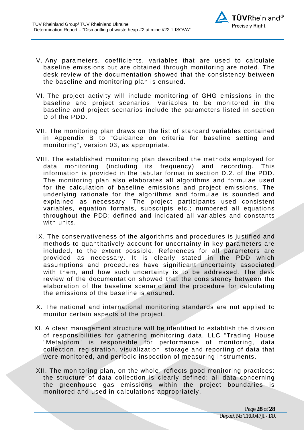

- V. Any parameters, coefficients, variables that are used to calculate baseline emissions but are obtained through monitoring are noted. The desk review of the documentation showed that the consistency between the baseline and monitoring plan is ensured.
- VI. The project activity will include monitoring of GHG emissions in the baseline and project scenarios. Variables to be monitored in the baseline and project scenarios include the parameters listed in section D of the PDD.
- VII. The monitoring plan draws on the list of standard variables contained in Appendix B to "Guidance on criteria for baseline setting and monitoring", version 03, as appropriate.
- VIII. The established monitoring plan described the methods employed for data monitoring (including its frequency) and recording. This information is provided in the tabular format in section D.2. of the PDD. The monitoring plan also elaborates all algorithms and formulae used for the calculation of baseline emissions and project emissions. The underlying rationale for the algorithms and formulae is sounded and explained as necessary. The project participants used consistent variables, equation formats, subscripts etc.; numbered all equations throughout the PDD; defined and indicated all variables and constants with units.
- IX. The conservativeness of the algorithms and procedures is justified and methods to quantitatively account for uncertainty in key parameters are included, to the extent possible. References for all parameters are provided as necessary. It is clearly stated in the PDD which assumptions and procedures have significant uncertainty associated with them, and how such uncertainty is to be addressed. The desk review of the documentation showed that the consistency between the elaboration of the baseline scenario and the procedure for calculating the emissions of the baseline is ensured.
- X. The national and international monitoring standards are not applied to monitor certain aspects of the project.
- XI. A clear management structure will be identified to establish the division of responsibilities for gathering monitoring data. LLC "Trading House "Metalprom" is responsible for performance of monitoring, data collection, registration, visualization, storage and reporting of data that were monitored, and periodic inspection of measuring instruments.
- XII. The monitoring plan, on the whole, reflects good monitoring practices: the structure of data collection is clearly defined; all data concerning the greenhouse gas emissions within the project boundaries is monitored and used in calculations appropriately.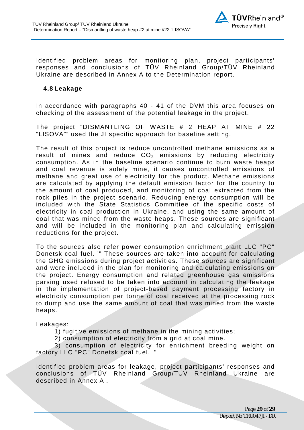

Identified problem areas for monitoring plan, project participants' responses and conclusions of TÜV Rheinland Group/TÜV Rheinland Ukraine are described in Annex A to the Determination report.

#### <span id="page-28-0"></span>**4.8 Leakage**

In accordance with paragraphs 40 - 41 of the DVM this area focuses on checking of the assessment of the potential leakage in the project.

The project "DISMANTLING OF WASTE # 2 HEAP AT MINE # 22 "LISOVA"" used the JI specific approach for baseline setting.

The result of this project is reduce uncontrolled methane emissions as a result of mines and reduce  $CO<sub>2</sub>$  emissions by reducing electricity consumption. As in the baseline scenario continue to burn waste heaps and coal revenue is solely mine, it causes uncontrolled emissions of methane and great use of electricity for the product. Methane emissions are calculated by applying the default emission factor for the country to the amount of coal produced, and monitoring of coal extracted from the rock piles in the project scenario. Reducing energy consumption will be included with the State Statistics Committee of the specific costs of electricity in coal production in Ukraine, and using the same amount of coal that was mined from the waste heaps. These sources are significant and will be included in the monitoring plan and calculating emission reductions for the project.

To the sources also refer power consumption enrichment plant LLC "PC" Donetsk coal fuel. '" These sources are taken into account for calculating the GHG emissions during project activities. These sources are significant and were included in the plan for monitoring and calculating emissions on the project. Energy consumption and related greenhouse gas emissions parsing used refused to be taken into account in calculating the leakage in the implementation of project-based payment processing factory in electricity consumption per tonne of coal received at the processing rock to dump and use the same amount of coal that was mined from the waste heaps.

Leakages:

1) fugitive emissions of methane in the mining activities;

2) consumption of electricity from a grid at coal mine.

3) consumption of electricity for enrichment breeding weight on factory LLC "PC" Donetsk coal fuel. '"

Identified problem areas for leakage, project participants' responses and conclusions of TÜV Rheinland Group/TÜV Rheinland Ukraine are described in Annex A .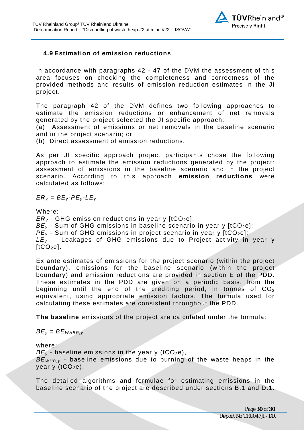

#### **4.9 Estimation of emission reductions**

In accordance with paragraphs 42 - 47 of the DVM the assessment of this area focuses on checking the completeness and correctness of the provided methods and results of emission reduction estimates in the JI project.

The paragraph 42 of the DVM defines two following approaches to estimate the emission reductions or enhancement of net removals generated by the project selected the JI specific approach:

(a) Assessment of emissions or net removals in the baseline scenario and in the project scenario; or

(b) Direct assessment of emission reductions.

As per JI specific approach project participants chose the following approach to estimate the emission reductions generated by the project: assessment of emissions in the baseline scenario and in the project scenario. According to this approach **emission reductions** were calculated as follows:

 $ER_y = BE_y - PE_y - LE_y$ 

Where:

 $ER_v$  - GHG emission reductions in year y [tCO<sub>2</sub>e];  $BE<sub>y</sub>$  - Sum of GHG emissions in baseline scenario in year y [tCO<sub>2</sub>e];  $PE<sub>v</sub>$  - Sum of GHG emissions in project scenario in year y [tCO<sub>2</sub>e]; *LEy* - Leakages of GHG emissions due to Project activity in year у  $[tCO<sub>2</sub>el.$ 

Ex ante estimates of emissions for the project scenario (within the project boundary), emissions for the baseline scenario (within the project boundary) and emission reductions are provided in section E of the PDD. These estimates in the PDD are given on a periodic basis, from the beginning until the end of the crediting period, in tonnes of  $CO<sub>2</sub>$ equivalent, using appropriate emission factors. The formula used for calculating these estimates are consistent throughout the PDD.

**The baseline** emissions of the project are calculated under the formula:

#### $BE<sub>v</sub> = BE<sub>WHBP,v</sub>$

where:

 $BE<sub>y</sub>$  - baseline emissions in the year y (tCO<sub>2</sub>e),

*BEWHB,y* - baseline emissions due to burning of the waste heaps in the year y  $(tCO<sub>2</sub>e)$ .

<span id="page-29-0"></span>The detailed algorithms and formulae for estimating emissions in the baseline scenario of the project are described under sections B.1 and D.1.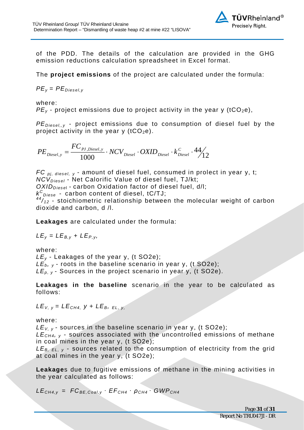

of the PDD. The details of the calculation are provided in the GHG emission reductions calculation spreadsheet in Excel format.

The **project emissions** of the project are calculated under the formula:

$$
PE_y = PE_{Diesel,y}
$$

where:

 $PE<sub>v</sub>$  - project emissions due to project activity in the year y (tCO<sub>2</sub>e),

*PEDiesel,,y* - project emissions due to consumption of diesel fuel by the project activity in the year y ( $tCO<sub>2</sub>e$ ).

$$
PE_{\textit{Diesel}, y} = \frac{FC_{\textit{PI},\textit{Diesel}, y}}{1000} \cdot NCV_{\textit{Diesel}} \cdot OXID_{\textit{Diesel}} \cdot k_{\textit{Diesel}}^c \cdot 44 \bigg/ 12
$$

*FC pj, diesel, <sup>y</sup>* - amount of diesel fuel, consumed in prolect in year y, t; *NCVDiesel* - Net Calorific Value of diesel fuel, TJ/kt; *OXIDDiese*l - carbon Oxidation factor of diesel fuel, d/l; *k C Diese* - carbon content of diesel, tC/TJ;  $44/12$  - stoichiometric relationship between the molecular weight of carbon dioxide and carbon, d /l.

**Leakages** are calculated under the formula:

 $LE_v = LE_{B,v} + LE_{P,v}$ 

where:

*LEy* - Leakages of the year y, (t SO2e);  $LE_{b, v}$  - roots in the baseline scenario in year y, (t SO2e); *LEp, y* - Sources in the project scenario in year y, (t SO2e).

**Leakages in the baseline** scenario in the year to be calculated as follows:

 $LE_{V, V} = LE_{CH4, V} + LE_{B, FLV}$ 

#### where:

*LEV, y* - sources in the baseline scenario in year y, (t SO2e); *LE*<sub>CH4</sub>,  $\theta$  - sources associated with the uncontrolled emissions of methane in coal mines in the year y, (t SO2e);

*LEB, EL, y* - sources related to the consumption of electricity from the grid at coal mines in the year y, (t SO2e);

**Leakage**s due to fugitive emissions of methane in the mining activities in the year calculated as follows:

 $LE_{CH4,y}$  =  $FC_{BE,Coal,y}$   $\cdot$   $EF_{CH4} \cdot \rho_{CH4} \cdot GWP_{CH4}$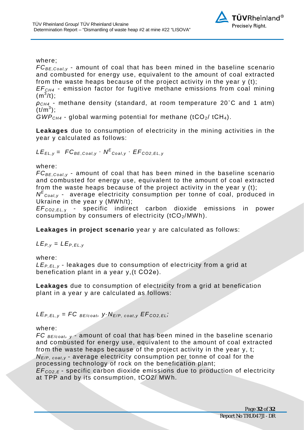

where;

*FCBE,Coal,y* - amount of coal that has been mined in the baseline scenario and combusted for energy use, equivalent to the amount of coal extracted from the waste heaps because of the project activity in the year y (t);

*EFCH4* - emission factor for fugitive methane emissions from coal mining  $(m^3/t);$ 

*ρCH4* - methane density (standard, at room temperature 20˚C and 1 atm)  $(t/m^3)$ ;

*GWPCH4* - global warming potential for methane (tСО2/ tСН4).

**Leakages** due to consumption of electricity in the mining activities in the year у calculated as follows:

$$
LE_{EL,y} = FC_{BE,Coal,y} \cdot N^{E}_{Coal,y} \cdot EF_{CO2,EL,y}
$$

where:

*FCBE,Coal,y* - amount of coal that has been mined in the baseline scenario and combusted for energy use, equivalent to the amount of coal extracted from the waste heaps because of the project activity in the year  $y(t)$ ;

*N<sup>E</sup>* c<sub>oal,y</sub> - average electricity consumption per tonne of coal, produced in Ukraine in the year y (MWh/t);

*EFCО2,EL,* <sup>у</sup> - specific indirect carbon dioxide emissions in power consumption by consumers of electricity  $(tCO<sub>2</sub>/MWh)$ .

**Leakages in project scenario** year y are calculated as follows:

 $LE_{P,V} = LE_{P,EL,V}$ 

where:

*LEP,ЕL,y* - leakages due to consumption of electricity from a grid at benefication plant in a year y,(t СО2е).

**Leakages** due to consumption of electricity from a grid at benefication plant in a year y are calculated as follows:

 $LE_{P,EL,y} = FC_{BE/coat}$ ,  $y \cdot N_{E/P, coat,y}$  $EF_{CO2,EL}$ 

#### where:

*FC BE/coat, y* - amount of coal that has been mined in the baseline scenario and combusted for energy use, equivalent to the amount of coal extracted from the waste heaps because of the project activity in the year y, t; *N<sub>E/P, coat v* - average electricity consumption per tonne of coal for the</sub> processing technology of rock on the benefication plant;

*EFCО2,E* - specific carbon dioxide emissions due to production of electricity at TPP and by its consumption, tСО2/ MWh.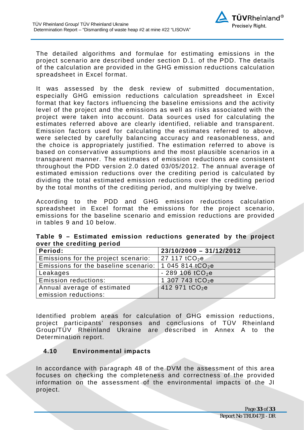

The detailed algorithms and formulae for estimating emissions in the project scenario are described under section D.1. of the PDD. The details of the calculation are provided in the GHG emission reductions calculation spreadsheet in Excel format.

It was assessed by the desk review of submitted documentation, especially GHG emission reductions calculation spreadsheet in Excel format that key factors influencing the baseline emissions and the activity level of the project and the emissions as well as risks associated with the project were taken into account. Data sources used for calculating the estimates referred above are clearly identified, reliable and transparent. Emission factors used for calculating the estimates referred to above, were selected by carefully balancing accuracy and reasonableness, and the choice is appropriately justified. The estimation referred to above is based on conservative assumptions and the most plausible scenarios in a transparent manner. The estimates of emission reductions are consistent throughout the PDD version 2.0 dated 03/05/2012. The annual average of estimated emission reductions over the crediting period is calculated by dividing the total estimated emission reductions over the crediting period by the total months of the crediting period, and multiplying by twelve.

According to the PDD and GHG emission reductions calculation spreadsheet in Excel format the emissions for the project scenario, emissions for the baseline scenario and emission reductions are provided in tables 9 and 10 below.

| over the creatting period                                                 |                               |  |  |
|---------------------------------------------------------------------------|-------------------------------|--|--|
| Period:                                                                   | $23/10/2009 - 31/12/2012$     |  |  |
| Emissions for the project scenario:                                       | 27 117 $tCO2e$                |  |  |
| Emissions for the baseline scenario: $\vert$ 1 045 814 tCO <sub>2</sub> e |                               |  |  |
| Leakages                                                                  | $-289,106$ tCO <sub>2</sub> e |  |  |
| <b>Emission reductions:</b>                                               | 1 307 743 tCO <sub>2</sub> e  |  |  |
| Annual average of estimated                                               | 412 971 tCO <sub>2</sub> e    |  |  |
| $ $ emission reductions:                                                  |                               |  |  |

**Table 9 – Estimated emission reductions generated by the project over the crediting period** 

Identified problem areas for calculation of GHG emission reductions, project participants' responses and conclusions of TÜV Rheinland Group/TÜV Rheinland Ukraine are described in Annex A to the Determination report.

#### <span id="page-32-0"></span>**4.10 Environmental impacts**

In accordance with paragraph 48 of the DVM the assessment of this area focuses on checking the completeness and correctness of the provided information on the assessment of the environmental impacts of the JI project.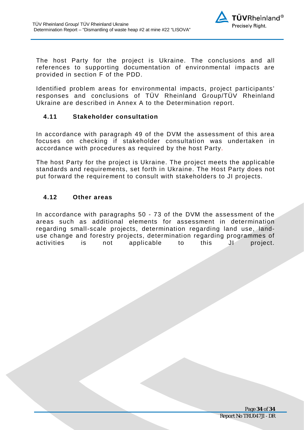

The host Party for the project is Ukraine. The conclusions and all references to supporting documentation of environmental impacts are provided in section F of the PDD.

Identified problem areas for environmental impacts, project participants' responses and conclusions of TÜV Rheinland Group/TÜV Rheinland Ukraine are described in Annex A to the Determination report.

#### <span id="page-33-0"></span>**4.11 Stakeholder consultation**

In accordance with paragraph 49 of the DVM the assessment of this area focuses on checking if stakeholder consultation was undertaken in accordance with procedures as required by the host Party.

The host Party for the project is Ukraine. The project meets the applicable standards and requirements, set forth in Ukraine. The Host Party does not put forward the requirement to consult with stakeholders to JI projects.

#### <span id="page-33-1"></span>**4.12 Other areas**

In accordance with paragraphs 50 - 73 of the DVM the assessment of the areas such as additional elements for assessment in determination regarding small-scale projects, determination regarding land use, landuse change and forestry projects, determination regarding programmes of activities is not applicable to this JI project.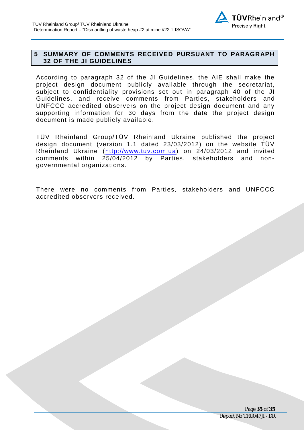

#### <span id="page-34-0"></span>**5 SUMMARY OF COMMENTS RECEIVED PURSUANT TO PARAGRAPH 32 OF THE JI GUIDELINES**

According to paragraph 32 of the JI Guidelines, the AIE shall make the project design document publicly available through the secretariat, subject to confidentiality provisions set out in paragraph 40 of the JI Guidelines, and receive comments from Parties, stakeholders and UNFCCC accredited observers on the project design document and any supporting information for 30 days from the date the project design document is made publicly available.

TÜV Rheinland Group/TÜV Rheinland Ukraine published the project design document (version 1.1 dated 23/03/2012) on the website TÜV Rheinland Ukraine ([http://www.tuv.com.ua\)](http://www.tuv.com.ua/) on 24/03/2012 and invited comments within 25/04/2012 by Parties, stakeholders and nongovernmental organizations.

There were no comments from Parties, stakeholders and UNFCCC accredited observers received.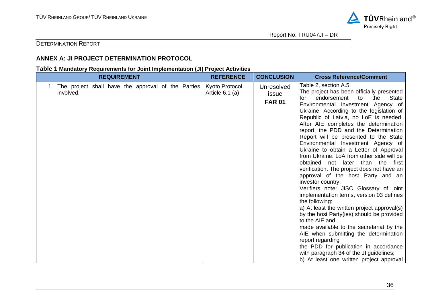

Report No. TRU047JI – DR

#### DETERMINATION REPORT

#### **ANNEX A: JI PROJECT DETERMINATION PROTOCOL**

#### **Table 1 Mandatory Requirements for Joint Implementation (JI) Project Activities**

| <b>REQUIREMENT</b>                                                 |  |  |  | <b>REFERENCE</b>                    | <b>CONCLUSION</b>                           | <b>Cross Reference/Comment</b>                                                                                                                                                                                                                                                                                                                                                                                                                                                                                                                                                                                                                                                                                                                                                                                                                                                                                                                                                                                                                                                                                       |
|--------------------------------------------------------------------|--|--|--|-------------------------------------|---------------------------------------------|----------------------------------------------------------------------------------------------------------------------------------------------------------------------------------------------------------------------------------------------------------------------------------------------------------------------------------------------------------------------------------------------------------------------------------------------------------------------------------------------------------------------------------------------------------------------------------------------------------------------------------------------------------------------------------------------------------------------------------------------------------------------------------------------------------------------------------------------------------------------------------------------------------------------------------------------------------------------------------------------------------------------------------------------------------------------------------------------------------------------|
| 1. The project shall have the approval of the Parties<br>involved. |  |  |  | Kyoto Protocol<br>Article $6.1$ (a) | <b>Unresolved</b><br>issue<br><b>FAR 01</b> | Table 2, section A.5.<br>The project has been officially presented<br><b>State</b><br>endorsement<br>the<br>to<br>for<br>Environmental Investment Agency of<br>Ukraine. According to the legislation of<br>Republic of Latvia, no LoE is needed.<br>After AIE completes the determination<br>report, the PDD and the Determination<br>Report will be presented to the State<br>Environmental Investment Agency of<br>Ukraine to obtain a Letter of Approval<br>from Ukraine. LoA from other side will be<br>obtained not later than the first<br>verification. The project does not have an<br>approval of the host Party and an<br>investor country.<br>Verifiers note: JISC Glossary of joint<br>implementation terms, version 03 defines<br>the following:<br>a) At least the written project approval(s)<br>by the host Party(ies) should be provided<br>to the AIE and<br>made available to the secretariat by the<br>AIE when submitting the determination<br>report regarding<br>the PDD for publication in accordance<br>with paragraph 34 of the JI guidelines;<br>b) At least one written project approval |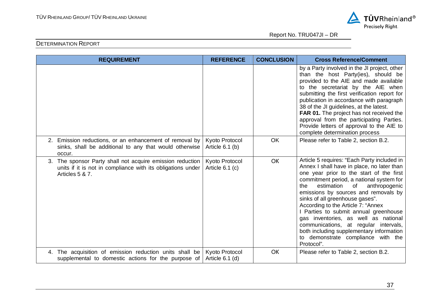

| <b>REQUIREMENT</b>                                                                                                                          | <b>REFERENCE</b>                    | <b>CONCLUSION</b> | <b>Cross Reference/Comment</b>                                                                                                                                                                                                                                                                                                                                                                                                                                                                                                                                           |
|---------------------------------------------------------------------------------------------------------------------------------------------|-------------------------------------|-------------------|--------------------------------------------------------------------------------------------------------------------------------------------------------------------------------------------------------------------------------------------------------------------------------------------------------------------------------------------------------------------------------------------------------------------------------------------------------------------------------------------------------------------------------------------------------------------------|
|                                                                                                                                             |                                     |                   | by a Party involved in the JI project, other<br>than the host Party(ies), should be<br>provided to the AIE and made available<br>to the secretariat by the AIE when<br>submitting the first verification report for<br>publication in accordance with paragraph<br>38 of the JI guidelines, at the latest.<br>FAR 01. The project has not received the<br>approval from the participating Parties.<br>Provide letters of approval to the AIE to<br>complete determination process                                                                                        |
| 2. Emission reductions, or an enhancement of removal by<br>sinks, shall be additional to any that would otherwise<br>occur.                 | Kyoto Protocol<br>Article $6.1$ (b) | <b>OK</b>         | Please refer to Table 2, section B.2.                                                                                                                                                                                                                                                                                                                                                                                                                                                                                                                                    |
| 3. The sponsor Party shall not acquire emission reduction<br>units if it is not in compliance with its obligations under<br>Articles 5 & 7. | Kyoto Protocol<br>Article 6.1 (c)   | OK                | Article 5 requires: "Each Party included in<br>Annex I shall have in place, no later than<br>one year prior to the start of the first<br>commitment period, a national system for<br>estimation<br>of<br>anthropogenic<br>the<br>emissions by sources and removals by<br>sinks of all greenhouse gases".<br>According to the Article 7: "Annex<br>I Parties to submit annual greenhouse<br>gas inventories, as well as national<br>communications, at regular intervals,<br>both including supplementary information<br>to demonstrate compliance with the<br>Protocol". |
| 4. The acquisition of emission reduction units shall be<br>supplemental to domestic actions for the purpose of                              | Kyoto Protocol<br>Article $6.1$ (d) | OK                | Please refer to Table 2, section B.2.                                                                                                                                                                                                                                                                                                                                                                                                                                                                                                                                    |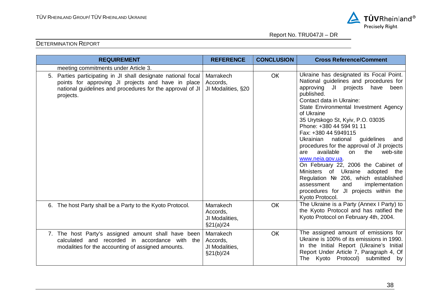

| <b>REQUIREMENT</b>                                                                                                                                                                            | <b>REFERENCE</b>                                      | <b>CONCLUSION</b> | <b>Cross Reference/Comment</b>                                                                                                                                                                                                                                                                                                                                                                                                                                                                                                                                                                                                                                                                      |
|-----------------------------------------------------------------------------------------------------------------------------------------------------------------------------------------------|-------------------------------------------------------|-------------------|-----------------------------------------------------------------------------------------------------------------------------------------------------------------------------------------------------------------------------------------------------------------------------------------------------------------------------------------------------------------------------------------------------------------------------------------------------------------------------------------------------------------------------------------------------------------------------------------------------------------------------------------------------------------------------------------------------|
| meeting commitments under Article 3.                                                                                                                                                          |                                                       |                   |                                                                                                                                                                                                                                                                                                                                                                                                                                                                                                                                                                                                                                                                                                     |
| 5. Parties participating in JI shall designate national focal<br>points for approving JI projects and have in place<br>national guidelines and procedures for the approval of JI<br>projects. | Marrakech<br>Accords,<br>JI Modalities, §20           | OK                | Ukraine has designated its Focal Point.<br>National guidelines and procedures for<br>approving JI projects have<br>been<br>published.<br>Contact data in Ukraine:<br>State Environmental Investment Agency<br>of Ukraine<br>35 Urytskogo St, Kyiv, P.O. 03035<br>Phone: +380 44 594 91 11<br>Fax: +380 44 5949115<br>national<br>guidelines<br>Ukrainian<br>and<br>procedures for the approval of JI projects<br>available<br>web-site<br>on<br>the<br>are<br>www.neia.gov.ua.<br>On February 22, 2006 the Cabinet of<br>Ministers of Ukraine adopted the<br>Regulation № 206, which established<br>and<br>implementation<br>assessment<br>procedures for JI projects within the<br>Kyoto Protocol. |
| 6. The host Party shall be a Party to the Kyoto Protocol.                                                                                                                                     | Marrakech<br>Accords,<br>JI Modalities,<br>\$21(a)/24 | <b>OK</b>         | The Ukraine is a Party (Annex I Party) to<br>the Kyoto Protocol and has ratified the<br>Kyoto Protocol on February 4th, 2004.                                                                                                                                                                                                                                                                                                                                                                                                                                                                                                                                                                       |
| 7. The host Party's assigned amount shall have been<br>calculated and recorded in accordance with the<br>modalities for the accounting of assigned amounts.                                   | Marrakech<br>Accords,<br>JI Modalities,<br>§21(b)/24  | OK                | The assigned amount of emissions for<br>Ukraine is 100% of its emissions in 1990.<br>In the Initial Report (Ukraine's Initial<br>Report Under Article 7, Paragraph 4, Of<br>The Kyoto Protocol) submitted by                                                                                                                                                                                                                                                                                                                                                                                                                                                                                        |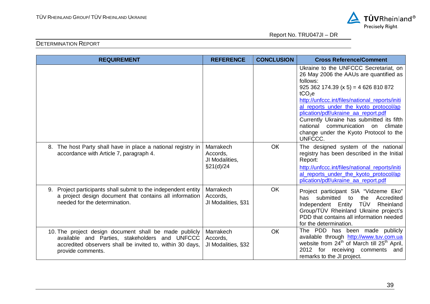

| <b>REQUIREMENT</b>                                                                                                                                                                         | <b>REFERENCE</b>                                     | <b>CONCLUSION</b> | <b>Cross Reference/Comment</b>                                                                                                                                                                                                                                                                                                                                                                                                     |
|--------------------------------------------------------------------------------------------------------------------------------------------------------------------------------------------|------------------------------------------------------|-------------------|------------------------------------------------------------------------------------------------------------------------------------------------------------------------------------------------------------------------------------------------------------------------------------------------------------------------------------------------------------------------------------------------------------------------------------|
|                                                                                                                                                                                            |                                                      |                   | Ukraine to the UNFCCC Secretariat, on<br>26 May 2006 the AAUs are quantified as<br>follows:<br>$925362174.39(x 5) = 4626810872$<br>tCO <sub>2</sub> e<br>http://unfccc.int/files/national_reports/initi<br>al_reports_under_the_kyoto_protocol/ap<br>plication/pdf/ukraine_aa_report.pdf<br>Currently Ukraine has submitted its fifth<br>national communication<br>on climate<br>change under the Kyoto Protocol to the<br>UNFCCC. |
| The host Party shall have in place a national registry in<br>8.<br>accordance with Article 7, paragraph 4.                                                                                 | Marrakech<br>Accords,<br>JI Modalities,<br>§21(d)/24 | <b>OK</b>         | The designed system of the national<br>registry has been described in the Initial<br>Report:<br>http://unfccc.int/files/national_reports/initi<br>al_reports_under_the_kyoto_protocol/ap<br>plication/pdf/ukraine_aa_report.pdf                                                                                                                                                                                                    |
| Project participants shall submit to the independent entity<br>9.<br>a project design document that contains all information<br>needed for the determination.                              | Marrakech<br>Accords,<br>JI Modalities, §31          | OK                | Project participant SIA "Vidzeme Eko"<br>submitted<br>Accredited<br>to<br>the<br>has<br>Independent Entity TÜV<br>Rheinland<br>Group/TÜV Rheinland Ukraine project's<br>PDD that contains all information needed<br>for the determination.                                                                                                                                                                                         |
| 10. The project design document shall be made publicly<br>available and Parties, stakeholders and UNFCCC<br>accredited observers shall be invited to, within 30 days,<br>provide comments. | Marrakech<br>Accords,<br>JI Modalities, §32          | <b>OK</b>         | The PDD has been made publicly<br>available through http://www.tuv.com.ua<br>website from $24^{th}$ of March till $25^{th}$ April,<br>2012 for receiving comments and<br>remarks to the JI project.                                                                                                                                                                                                                                |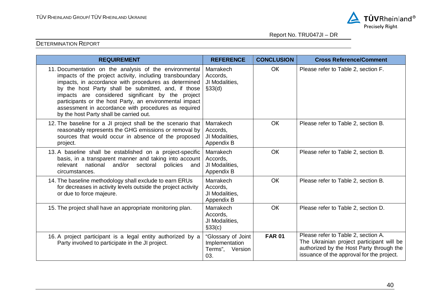

| <b>REQUIREMENT</b>                                                                                                                                                                                                                                                                                                                                                                                                                                   | <b>REFERENCE</b>                                               | <b>CONCLUSION</b> | <b>Cross Reference/Comment</b>                                                                                                                                            |
|------------------------------------------------------------------------------------------------------------------------------------------------------------------------------------------------------------------------------------------------------------------------------------------------------------------------------------------------------------------------------------------------------------------------------------------------------|----------------------------------------------------------------|-------------------|---------------------------------------------------------------------------------------------------------------------------------------------------------------------------|
| 11. Documentation on the analysis of the environmental<br>impacts of the project activity, including transboundary<br>impacts, in accordance with procedures as determined<br>by the host Party shall be submitted, and, if those<br>impacts are considered significant by the project<br>participants or the host Party, an environmental impact<br>assessment in accordance with procedures as required<br>by the host Party shall be carried out. | Marrakech<br>Accords,<br>JI Modalities,<br>\$33(d)             | <b>OK</b>         | Please refer to Table 2, section F.                                                                                                                                       |
| 12. The baseline for a JI project shall be the scenario that<br>reasonably represents the GHG emissions or removal by<br>sources that would occur in absence of the proposed<br>project.                                                                                                                                                                                                                                                             | Marrakech<br>Accords,<br>JI Modalities,<br>Appendix B          | <b>OK</b>         | Please refer to Table 2, section B.                                                                                                                                       |
| 13. A baseline shall be established on a project-specific<br>basis, in a transparent manner and taking into account<br>national<br>and/or<br>policies<br>relevant<br>sectoral<br>and<br>circumstances.                                                                                                                                                                                                                                               | Marrakech<br>Accords,<br>JI Modalities,<br>Appendix B          | <b>OK</b>         | Please refer to Table 2, section B.                                                                                                                                       |
| 14. The baseline methodology shall exclude to earn ERUs<br>for decreases in activity levels outside the project activity<br>or due to force majeure.                                                                                                                                                                                                                                                                                                 | Marrakech<br>Accords,<br>JI Modalities,<br>Appendix B          | <b>OK</b>         | Please refer to Table 2, section B.                                                                                                                                       |
| 15. The project shall have an appropriate monitoring plan.                                                                                                                                                                                                                                                                                                                                                                                           | Marrakech<br>Accords,<br>JI Modalities,<br>§33(c)              | <b>OK</b>         | Please refer to Table 2, section D.                                                                                                                                       |
| 16. A project participant is a legal entity authorized by a<br>Party involved to participate in the JI project.                                                                                                                                                                                                                                                                                                                                      | "Glossary of Joint<br>Implementation<br>Terms", Version<br>03. | <b>FAR 01</b>     | Please refer to Table 2, section A.<br>The Ukrainian project participant will be<br>authorized by the Host Party through the<br>issuance of the approval for the project. |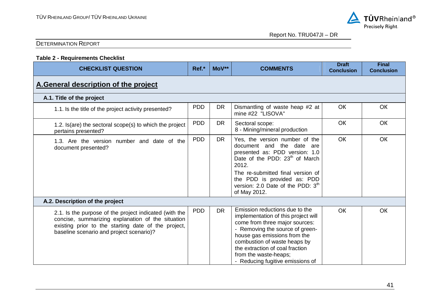

| <b>Table 2 - Requirements Checklist</b>                                                                                                                                                                        |            |           |                                                                                                                                                                                                                                                                                                            |                                   |                                   |  |  |  |
|----------------------------------------------------------------------------------------------------------------------------------------------------------------------------------------------------------------|------------|-----------|------------------------------------------------------------------------------------------------------------------------------------------------------------------------------------------------------------------------------------------------------------------------------------------------------------|-----------------------------------|-----------------------------------|--|--|--|
| <b>CHECKLIST QUESTION</b>                                                                                                                                                                                      | Ref.*      | $MoV**$   | <b>COMMENTS</b>                                                                                                                                                                                                                                                                                            | <b>Draft</b><br><b>Conclusion</b> | <b>Final</b><br><b>Conclusion</b> |  |  |  |
| A.General description of the project                                                                                                                                                                           |            |           |                                                                                                                                                                                                                                                                                                            |                                   |                                   |  |  |  |
| A.1. Title of the project                                                                                                                                                                                      |            |           |                                                                                                                                                                                                                                                                                                            |                                   |                                   |  |  |  |
| 1.1. Is the title of the project activity presented?                                                                                                                                                           | <b>PDD</b> | <b>DR</b> | Dismantling of waste heap #2 at<br>mine #22 "LISOVA"                                                                                                                                                                                                                                                       | OK                                | OK                                |  |  |  |
| 1.2. Is (are) the sectoral scope(s) to which the project<br>pertains presented?                                                                                                                                | <b>PDD</b> | <b>DR</b> | Sectoral scope:<br>8 - Mining/mineral production                                                                                                                                                                                                                                                           | <b>OK</b>                         | <b>OK</b>                         |  |  |  |
| 1.3. Are the version number and date of the<br>document presented?                                                                                                                                             | <b>PDD</b> | <b>DR</b> | Yes, the version number of the<br>document and the date are<br>presented as: PDD version: 1.0<br>Date of the PDD: 23 <sup>th</sup> of March<br>2012.<br>The re-submitted final version of<br>the PDD is provided as: PDD<br>version: 2.0 Date of the PDD: 3 <sup>th</sup><br>of May 2012.                  | OK                                | <b>OK</b>                         |  |  |  |
| A.2. Description of the project                                                                                                                                                                                |            |           |                                                                                                                                                                                                                                                                                                            |                                   |                                   |  |  |  |
| 2.1. Is the purpose of the project indicated (with the<br>concise, summarizing explanation of the situation<br>existing prior to the starting date of the project,<br>baseline scenario and project scenario)? | <b>PDD</b> | <b>DR</b> | Emission reductions due to the<br>implementation of this project will<br>come from three major sources:<br>- Removing the source of green-<br>house gas emissions from the<br>combustion of waste heaps by<br>the extraction of coal fraction<br>from the waste-heaps;<br>- Reducing fugitive emissions of | OK                                | OK                                |  |  |  |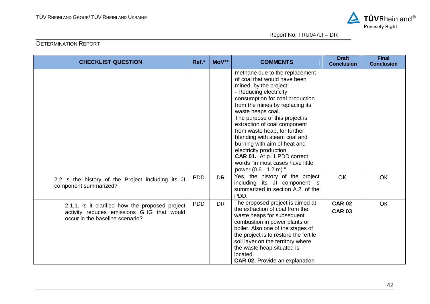

| <b>CHECKLIST QUESTION</b>                                                                                                       | Ref.*      | MoV**     | <b>COMMENTS</b>                                                                                                                                                                                                                                                                                                                                                                                                                                                                                        | <b>Draft</b><br><b>Conclusion</b> | <b>Final</b><br><b>Conclusion</b> |
|---------------------------------------------------------------------------------------------------------------------------------|------------|-----------|--------------------------------------------------------------------------------------------------------------------------------------------------------------------------------------------------------------------------------------------------------------------------------------------------------------------------------------------------------------------------------------------------------------------------------------------------------------------------------------------------------|-----------------------------------|-----------------------------------|
|                                                                                                                                 |            |           | methane due to the replacement<br>of coal that would have been<br>mined, by the project;<br>- Reducing electricity<br>consumption for coal production<br>from the mines by replacing its<br>waste heaps coal.<br>The purpose of this project is<br>extraction of coal component<br>from waste heap, for further<br>blending with steam coal and<br>burning with aim of heat and<br>electricity production.<br>CAR 01. At p. 1 PDD correct<br>words "in most cases have little<br>power (0.6 - 1.2 m)." |                                   |                                   |
| 2.2. Is the history of the Project including its JI<br>component summarized?                                                    | <b>PDD</b> | <b>DR</b> | Yes, the history of the project<br>including its JI component is<br>summarized in section A.2, of the<br>PDD.                                                                                                                                                                                                                                                                                                                                                                                          | <b>OK</b>                         | OK                                |
| 2.1.1. Is it clarified how the proposed project<br>activity reduces emissions GHG that would<br>occur in the baseline scenario? | <b>PDD</b> | <b>DR</b> | The proposed project is aimed at<br>the extraction of coal from the<br>waste heaps for subsequent<br>combustion in power plants or<br>boiler. Also one of the stages of<br>the project is to restore the fertile<br>soil layer on the territory where<br>the waste heap situated is<br>located.<br><b>CAR 02.</b> Provide an explanation                                                                                                                                                               | <b>CAR 02</b><br><b>CAR 03</b>    | OK                                |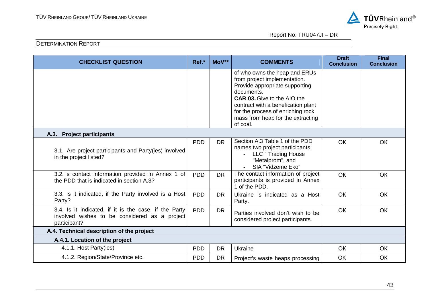

| <b>CHECKLIST QUESTION</b>                                                                                              | Ref.*      | $MoV**$   | <b>COMMENTS</b>                                                                                                                                                                                                                                                                 | <b>Draft</b><br><b>Conclusion</b> | <b>Final</b><br><b>Conclusion</b> |  |  |  |  |
|------------------------------------------------------------------------------------------------------------------------|------------|-----------|---------------------------------------------------------------------------------------------------------------------------------------------------------------------------------------------------------------------------------------------------------------------------------|-----------------------------------|-----------------------------------|--|--|--|--|
|                                                                                                                        |            |           | of who owns the heap and ERUs<br>from project implementation.<br>Provide appropriate supporting<br>documents.<br><b>CAR 03.</b> Give to the AIO the<br>contract with a benefication plant<br>for the process of enriching rock<br>mass from heap for the extracting<br>of coal. |                                   |                                   |  |  |  |  |
| A.3. Project participants                                                                                              |            |           |                                                                                                                                                                                                                                                                                 |                                   |                                   |  |  |  |  |
| 3.1. Are project participants and Party(ies) involved<br>in the project listed?                                        | <b>PDD</b> | <b>DR</b> | Section A.3 Table 1 of the PDD<br>names two project participants:<br><b>LLC " Trading House</b><br>"Metalprom", and<br>SIA "Vidzeme Eko"                                                                                                                                        | OK                                | OK                                |  |  |  |  |
| 3.2. Is contact information provided in Annex 1 of<br>the PDD that is indicated in section A.3?                        | <b>PDD</b> | <b>DR</b> | The contact information of project<br>participants is provided in Annex<br>1 of the PDD.                                                                                                                                                                                        | OK                                | OK                                |  |  |  |  |
| 3.3. Is it indicated, if the Party involved is a Host<br>Party?                                                        | <b>PDD</b> | <b>DR</b> | Ukraine is indicated as a Host<br>Party.                                                                                                                                                                                                                                        | OK                                | OK                                |  |  |  |  |
| 3.4. Is it indicated, if it is the case, if the Party<br>involved wishes to be considered as a project<br>participant? | <b>PDD</b> | <b>DR</b> | Parties involved don't wish to be<br>considered project participants.                                                                                                                                                                                                           | OK                                | OK                                |  |  |  |  |
| A.4. Technical description of the project                                                                              |            |           |                                                                                                                                                                                                                                                                                 |                                   |                                   |  |  |  |  |
| A.4.1. Location of the project                                                                                         |            |           |                                                                                                                                                                                                                                                                                 |                                   |                                   |  |  |  |  |
| 4.1.1. Host Party(ies)                                                                                                 | <b>PDD</b> | <b>DR</b> | Ukraine                                                                                                                                                                                                                                                                         | <b>OK</b>                         | OK                                |  |  |  |  |
| 4.1.2. Region/State/Province etc.                                                                                      | <b>PDD</b> | <b>DR</b> | Project's waste heaps processing                                                                                                                                                                                                                                                | OK                                | OK                                |  |  |  |  |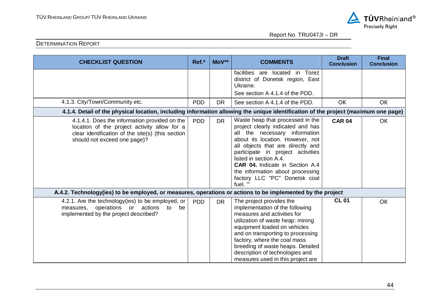

| <b>CHECKLIST QUESTION</b>                                                                                                                                                          | Ref.*      | MoV**     | <b>COMMENTS</b>                                                                                                                                                                                                                                                                                                                                                          | <b>Draft</b><br><b>Conclusion</b> | <b>Final</b><br><b>Conclusion</b> |  |  |  |
|------------------------------------------------------------------------------------------------------------------------------------------------------------------------------------|------------|-----------|--------------------------------------------------------------------------------------------------------------------------------------------------------------------------------------------------------------------------------------------------------------------------------------------------------------------------------------------------------------------------|-----------------------------------|-----------------------------------|--|--|--|
|                                                                                                                                                                                    |            |           | facilities are located in<br>Torez<br>district of Donetsk region, East<br>Ukraine.<br>See section A 4.1.4 of the PDD.                                                                                                                                                                                                                                                    |                                   |                                   |  |  |  |
| 4.1.3. City/Town/Community etc.                                                                                                                                                    | <b>PDD</b> | <b>DR</b> | See section A 4.1.4 of the PDD.                                                                                                                                                                                                                                                                                                                                          | <b>OK</b>                         | <b>OK</b>                         |  |  |  |
| 4.1.4. Detail of the physical location, including information allowing the unique identification of the project (maximum one page)                                                 |            |           |                                                                                                                                                                                                                                                                                                                                                                          |                                   |                                   |  |  |  |
| 4.1.4.1. Does the information provided on the<br>location of the project activity allow for a<br>clear identification of the site(s) (this section<br>should not exceed one page)? | <b>PDD</b> | <b>DR</b> | Waste heap that processed in the<br>project clearly indicated and has<br>all the necessary information<br>about its location. However, not<br>all objects that are directly and<br>participate in project activities<br>listed in section A.4.<br><b>CAR 04.</b> Indicate in Section A.4<br>the information about processing<br>factory LLC "PC" Donetsk coal<br>fuel. " | <b>CAR 04</b>                     | OK                                |  |  |  |
| A.4.2. Technology(ies) to be employed, or measures, operations or actions to be implemented by the project                                                                         |            |           |                                                                                                                                                                                                                                                                                                                                                                          |                                   |                                   |  |  |  |
| 4.2.1. Are the technology(ies) to be employed, or<br>measures, operations or actions to<br>be<br>implemented by the project described?                                             | <b>PDD</b> | <b>DR</b> | The project provides the<br>implementation of the following<br>measures and activities for<br>utilization of waste heap: mining<br>equipment loaded on vehicles<br>and on transporting to processing<br>factory, where the coal mass<br>breeding of waste heaps. Detailed<br>description of technologies and<br>measures used in this project are                        | <b>CL01</b>                       | OK                                |  |  |  |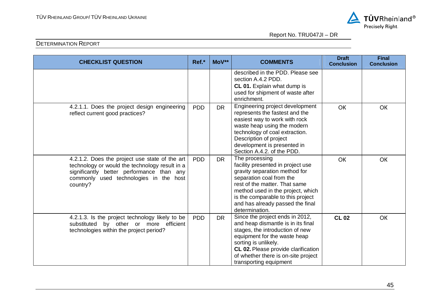

| <b>CHECKLIST QUESTION</b>                                                                                                                                                                           | Ref.*      | MoV**     | <b>COMMENTS</b>                                                                                                                                                                                                                                                                   | <b>Draft</b><br><b>Conclusion</b> | <b>Final</b><br><b>Conclusion</b> |
|-----------------------------------------------------------------------------------------------------------------------------------------------------------------------------------------------------|------------|-----------|-----------------------------------------------------------------------------------------------------------------------------------------------------------------------------------------------------------------------------------------------------------------------------------|-----------------------------------|-----------------------------------|
|                                                                                                                                                                                                     |            |           | described in the PDD. Please see<br>section A.4.2 PDD.<br><b>CL 01.</b> Explain what dump is<br>used for shipment of waste after<br>enrichment.                                                                                                                                   |                                   |                                   |
| 4.2.1.1. Does the project design engineering<br>reflect current good practices?                                                                                                                     | <b>PDD</b> | <b>DR</b> | Engineering project development<br>represents the fastest and the<br>easiest way to work with rock<br>waste heap using the modern<br>technology of coal extraction.<br>Description of project<br>development is presented in<br>Section A.4.2. of the PDD.                        | OK                                | OK                                |
| 4.2.1.2. Does the project use state of the art<br>technology or would the technology result in a<br>significantly better performance than any<br>commonly used technologies in the host<br>country? | <b>PDD</b> | <b>DR</b> | The processing<br>facility presented in project use<br>gravity separation method for<br>separation coal from the<br>rest of the matter. That same<br>method used in the project, which<br>is the comparable to this project<br>and has already passed the final<br>determination. | OK                                | OK                                |
| 4.2.1.3. Is the project technology likely to be<br>substituted by other or more efficient<br>technologies within the project period?                                                                | <b>PDD</b> | <b>DR</b> | Since the project ends in 2012,<br>and heap dismantle is in its final<br>stages, the introduction of new<br>equipment for the waste heap<br>sorting is unlikely.<br>CL 02. Please provide clarification<br>of whether there is on-site project<br>transporting equipment          | <b>CL 02</b>                      | <b>OK</b>                         |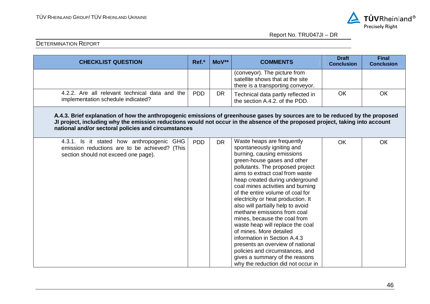

| <b>CHECKLIST QUESTION</b>                                                                                                                                                                                                                                                                                            | Ref.*      | MoV**     | <b>COMMENTS</b>                                                                                                                                                                                                                                                                                                                                                                                                                                                                                                                                                                                                                                                                                  | <b>Draft</b><br><b>Conclusion</b> | <b>Final</b><br><b>Conclusion</b> |  |  |  |
|----------------------------------------------------------------------------------------------------------------------------------------------------------------------------------------------------------------------------------------------------------------------------------------------------------------------|------------|-----------|--------------------------------------------------------------------------------------------------------------------------------------------------------------------------------------------------------------------------------------------------------------------------------------------------------------------------------------------------------------------------------------------------------------------------------------------------------------------------------------------------------------------------------------------------------------------------------------------------------------------------------------------------------------------------------------------------|-----------------------------------|-----------------------------------|--|--|--|
|                                                                                                                                                                                                                                                                                                                      |            |           | (conveyor). The picture from<br>satellite shows that at the site<br>there is a transporting conveyor.                                                                                                                                                                                                                                                                                                                                                                                                                                                                                                                                                                                            |                                   |                                   |  |  |  |
| 4.2.2. Are all relevant technical data and the<br>implementation schedule indicated?                                                                                                                                                                                                                                 | <b>PDD</b> | <b>DR</b> | Technical data partly reflected in<br>the section A.4.2, of the PDD.                                                                                                                                                                                                                                                                                                                                                                                                                                                                                                                                                                                                                             | <b>OK</b>                         | OK                                |  |  |  |
| A.4.3. Brief explanation of how the anthropogenic emissions of greenhouse gases by sources are to be reduced by the proposed<br>JI project, including why the emission reductions would not occur in the absence of the proposed project, taking into account<br>national and/or sectoral policies and circumstances |            |           |                                                                                                                                                                                                                                                                                                                                                                                                                                                                                                                                                                                                                                                                                                  |                                   |                                   |  |  |  |
| 4.3.1. Is it stated how anthropogenic GHG<br>emission reductions are to be achieved? (This<br>section should not exceed one page).                                                                                                                                                                                   | <b>PDD</b> | <b>DR</b> | Waste heaps are frequently<br>spontaneously igniting and<br>burning, causing emissions<br>green-house gases and other<br>pollutants. The proposed project<br>aims to extract coal from waste<br>heap created during underground<br>coal mines activities and burning<br>of the entire volume of coal for<br>electricity or heat production. It<br>also will partially help to avoid<br>methane emissions from coal<br>mines, because the coal from<br>waste heap will replace the coal<br>of mines. More detailed<br>information in Section A.4.3<br>presents an overview of national<br>policies and circumstances, and<br>gives a summary of the reasons<br>why the reduction did not occur in | OK                                | OK                                |  |  |  |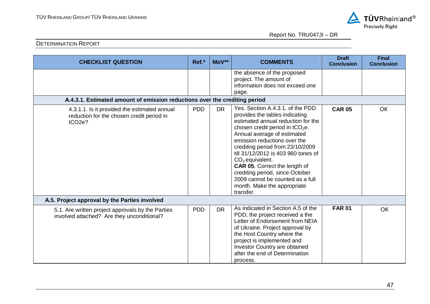

| <b>CHECKLIST QUESTION</b>                                                                                        | Ref.*      | MoV**     | <b>COMMENTS</b>                                                                                                                                                                                                                                                                                                                                                                                                                                                         | <b>Draft</b><br><b>Conclusion</b> | <b>Final</b><br><b>Conclusion</b> |  |  |  |
|------------------------------------------------------------------------------------------------------------------|------------|-----------|-------------------------------------------------------------------------------------------------------------------------------------------------------------------------------------------------------------------------------------------------------------------------------------------------------------------------------------------------------------------------------------------------------------------------------------------------------------------------|-----------------------------------|-----------------------------------|--|--|--|
|                                                                                                                  |            |           | the absence of the proposed<br>project. The amount of<br>information does not exceed one<br>page.                                                                                                                                                                                                                                                                                                                                                                       |                                   |                                   |  |  |  |
| A.4.3.1. Estimated amount of emission reductions over the crediting period                                       |            |           |                                                                                                                                                                                                                                                                                                                                                                                                                                                                         |                                   |                                   |  |  |  |
| 4.3.1.1. Is it provided the estimated annual<br>reduction for the chosen credit period in<br>tCO <sub>2e</sub> ? | <b>PDD</b> | <b>DR</b> | Yes. Section A.4.3.1, of the PDD<br>provides the tables indicating<br>estimated annual reduction for the<br>chosen credit period in $tCO2e$ .<br>Annual average of estimated<br>emission reductions over the<br>crediting period from 23/10/2009<br>till 31/12/2012 is 403 960 tones of<br>$CO2$ equivalent.<br><b>CAR 05.</b> Correct the length of<br>crediting period, since October<br>2009 cannot be counted as a full<br>month. Make the appropriate<br>transfer. | <b>CAR 05</b>                     | OK                                |  |  |  |
| A.5. Project approval by the Parties involved                                                                    |            |           |                                                                                                                                                                                                                                                                                                                                                                                                                                                                         |                                   |                                   |  |  |  |
| 5.1. Are written project approvals by the Parties<br>involved attached? Are they unconditional?                  | <b>PDD</b> | <b>DR</b> | As indicated in Section A.5 of the<br>PDD, the project received a the<br>Letter of Endorsement from NEIA<br>of Ukraine. Project approval by<br>the Host Country where the<br>project is implemented and<br>Investor Country are obtained<br>after the end of Determination<br>process.                                                                                                                                                                                  | <b>FAR 01</b>                     | OK                                |  |  |  |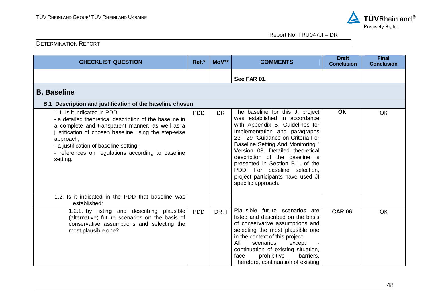

| <b>CHECKLIST QUESTION</b>                                                                                                                                                                                                                                                                                                  | Ref.*      | MoV**     | <b>COMMENTS</b>                                                                                                                                                                                                                                                                                                                                                                                                             | <b>Draft</b><br><b>Conclusion</b> | <b>Final</b><br><b>Conclusion</b> |  |  |  |
|----------------------------------------------------------------------------------------------------------------------------------------------------------------------------------------------------------------------------------------------------------------------------------------------------------------------------|------------|-----------|-----------------------------------------------------------------------------------------------------------------------------------------------------------------------------------------------------------------------------------------------------------------------------------------------------------------------------------------------------------------------------------------------------------------------------|-----------------------------------|-----------------------------------|--|--|--|
|                                                                                                                                                                                                                                                                                                                            |            |           | See FAR 01.                                                                                                                                                                                                                                                                                                                                                                                                                 |                                   |                                   |  |  |  |
| <b>B. Baseline</b>                                                                                                                                                                                                                                                                                                         |            |           |                                                                                                                                                                                                                                                                                                                                                                                                                             |                                   |                                   |  |  |  |
| B.1 Description and justification of the baseline chosen                                                                                                                                                                                                                                                                   |            |           |                                                                                                                                                                                                                                                                                                                                                                                                                             |                                   |                                   |  |  |  |
| 1.1. Is it indicated in PDD:<br>- a detailed theoretical description of the baseline in<br>a complete and transparent manner, as well as a<br>justification of chosen baseline using the step-wise<br>approach;<br>- a justification of baseline setting;<br>- references on regulations according to baseline<br>setting. | <b>PDD</b> | <b>DR</b> | The baseline for this JI project<br>was established in accordance<br>with Appendix B, Guidelines for<br>Implementation and paragraphs<br>23 - 29 "Guidance on Criteria For<br><b>Baseline Setting And Monitoring "</b><br>Version 03. Detailed theoretical<br>description of the baseline is<br>presented in Section B.1. of the<br>PDD. For baseline selection,<br>project participants have used JI<br>specific approach. | <b>OK</b>                         | <b>OK</b>                         |  |  |  |
| 1.2. Is it indicated in the PDD that baseline was<br>established:                                                                                                                                                                                                                                                          |            |           |                                                                                                                                                                                                                                                                                                                                                                                                                             |                                   |                                   |  |  |  |
| 1.2.1. by listing and describing plausible<br>(alternative) future scenarios on the basis of<br>conservative assumptions and selecting the<br>most plausible one?                                                                                                                                                          | <b>PDD</b> | DR.I      | Plausible future scenarios are<br>listed and described on the basis<br>of conservative assumptions and<br>selecting the most plausible one<br>in the context of this project.<br>All<br>scenarios,<br>except<br>continuation of existing situation,<br>prohibitive<br>barriers.<br>face<br>Therefore, continuation of existing                                                                                              | <b>CAR 06</b>                     | OK                                |  |  |  |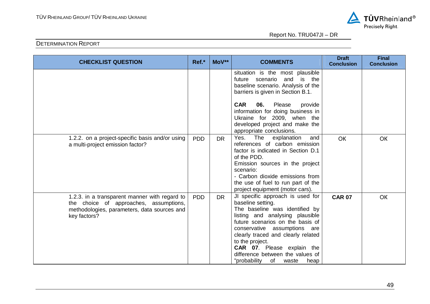

| <b>CHECKLIST QUESTION</b>                                                                                                                              | Ref.*      | MoV**     | <b>COMMENTS</b>                                                                                                                                                                                                                                                                                                                                                         | <b>Draft</b><br><b>Conclusion</b> | <b>Final</b><br><b>Conclusion</b> |
|--------------------------------------------------------------------------------------------------------------------------------------------------------|------------|-----------|-------------------------------------------------------------------------------------------------------------------------------------------------------------------------------------------------------------------------------------------------------------------------------------------------------------------------------------------------------------------------|-----------------------------------|-----------------------------------|
|                                                                                                                                                        |            |           | situation is the most plausible<br>future scenario and is the<br>baseline scenario. Analysis of the<br>barriers is given in Section B.1.<br><b>CAR</b><br>06.<br>Please<br>provide<br>information for doing business in<br>Ukraine for 2009, when the<br>developed project and make the<br>appropriate conclusions.                                                     |                                   |                                   |
| 1.2.2. on a project-specific basis and/or using<br>a multi-project emission factor?                                                                    | <b>PDD</b> | <b>DR</b> | explanation<br>Yes.<br>The<br>and<br>references of carbon emission<br>factor is indicated in Section D.1<br>of the PDD.<br>Emission sources in the project<br>scenario:<br>- Carbon dioxide emissions from<br>the use of fuel to run part of the<br>project equipment (motor cars).                                                                                     | <b>OK</b>                         | OK                                |
| 1.2.3. in a transparent manner with regard to<br>the choice of approaches, assumptions,<br>methodologies, parameters, data sources and<br>key factors? | <b>PDD</b> | <b>DR</b> | JI specific approach is used for<br>baseline setting.<br>The baseline was identified by<br>listing and analysing plausible<br>future scenarios on the basis of<br>conservative assumptions are<br>clearly traced and clearly related<br>to the project.<br><b>CAR 07.</b> Please explain the<br>difference between the values of<br>"probability<br>of<br>waste<br>heap | <b>CAR 07</b>                     | OK                                |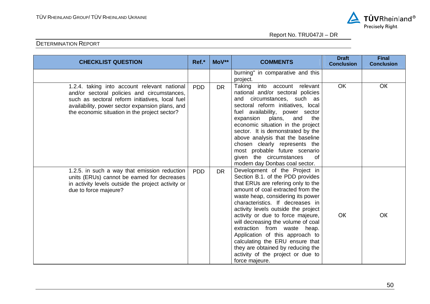

| <b>CHECKLIST QUESTION</b>                                                                                                                                                                                                                          | Ref.*      | MoV**     | <b>COMMENTS</b>                                                                                                                                                                                                                                                                                                                                                                                                                                                                                                                          | <b>Draft</b><br><b>Conclusion</b> | <b>Final</b><br><b>Conclusion</b> |
|----------------------------------------------------------------------------------------------------------------------------------------------------------------------------------------------------------------------------------------------------|------------|-----------|------------------------------------------------------------------------------------------------------------------------------------------------------------------------------------------------------------------------------------------------------------------------------------------------------------------------------------------------------------------------------------------------------------------------------------------------------------------------------------------------------------------------------------------|-----------------------------------|-----------------------------------|
|                                                                                                                                                                                                                                                    |            |           | burning" in comparative and this<br>project.                                                                                                                                                                                                                                                                                                                                                                                                                                                                                             |                                   |                                   |
| 1.2.4. taking into account relevant national<br>and/or sectoral policies and circumstances,<br>such as sectoral reform initiatives, local fuel<br>availability, power sector expansion plans, and<br>the economic situation in the project sector? | <b>PDD</b> | <b>DR</b> | Taking<br>into account<br>relevant<br>national and/or sectoral policies<br>and circumstances, such as<br>sectoral reform initiatives, local<br>fuel availability, power sector<br>expansion<br>plans,<br>and<br>the<br>economic situation in the project<br>sector. It is demonstrated by the<br>above analysis that the baseline<br>chosen clearly represents the<br>most probable future scenario<br>given the circumstances<br>0f<br>modern day Donbas coal sector.                                                                   | OK                                | OK                                |
| 1.2.5. in such a way that emission reduction<br>units (ERUs) cannot be earned for decreases<br>in activity levels outside the project activity or<br>due to force majeure?                                                                         | <b>PDD</b> | <b>DR</b> | Development of the Project in<br>Section B.1. of the PDD provides<br>that ERUs are refering only to the<br>amount of coal extracted from the<br>waste heap, considering its power<br>characteristics. If decreases in<br>activity levels outside the project<br>activity or due to force majeure,<br>will decreasing the volume of coal<br>extraction from waste heap.<br>Application of this approach to<br>calculating the ERU ensure that<br>they are obtained by reducing the<br>activity of the project or due to<br>force majeure. | OK                                | OK                                |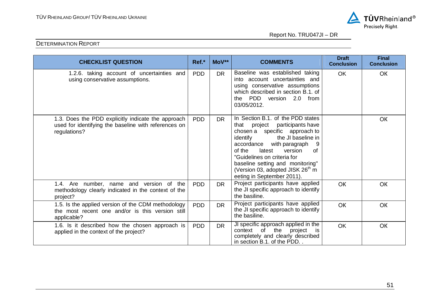

| <b>CHECKLIST QUESTION</b>                                                                                                  | Ref.*      | MoV**     | <b>COMMENTS</b>                                                                                                                                                                                                                                                                                                                                              | <b>Draft</b><br><b>Conclusion</b> | <b>Final</b><br><b>Conclusion</b> |
|----------------------------------------------------------------------------------------------------------------------------|------------|-----------|--------------------------------------------------------------------------------------------------------------------------------------------------------------------------------------------------------------------------------------------------------------------------------------------------------------------------------------------------------------|-----------------------------------|-----------------------------------|
| 1.2.6. taking account of uncertainties and<br>using conservative assumptions.                                              | <b>PDD</b> | <b>DR</b> | Baseline was established taking<br>into account uncertainties and<br>using conservative assumptions<br>which described in section B.1. of<br>the PDD version 2.0 from<br>03/05/2012.                                                                                                                                                                         | <b>OK</b>                         | OK                                |
| 1.3. Does the PDD explicitly indicate the approach<br>used for identifying the baseline with references on<br>regulations? | <b>PDD</b> | <b>DR</b> | In Section B.1. of the PDD states<br>that project participants have<br>chosen a specific approach to<br>the JI baseline in<br>identify<br>accordance<br>with paragraph<br>of the<br>latest<br>version<br>0f<br>"Guidelines on criteria for<br>baseline setting and monitoring"<br>(Version 03, adopted JISK 26 <sup>th</sup> m<br>eeting in September 2011). |                                   | <b>OK</b>                         |
| 1.4. Are number, name and version of the<br>methodology clearly indicated in the context of the<br>project?                | <b>PDD</b> | <b>DR</b> | Project participants have applied<br>the JI specific approach to identify<br>the basiline.                                                                                                                                                                                                                                                                   | OK                                | OK                                |
| 1.5. Is the applied version of the CDM methodology<br>the most recent one and/or is this version still<br>applicable?      | <b>PDD</b> | <b>DR</b> | Project participants have applied<br>the JI specific approach to identify<br>the basiline.                                                                                                                                                                                                                                                                   | OK                                | OK                                |
| 1.6. Is it described how the chosen approach is<br>applied in the context of the project?                                  | <b>PDD</b> | <b>DR</b> | JI specific approach applied in the<br>context of the<br>project<br>completely and clearly described<br>in section B.1. of the PDD                                                                                                                                                                                                                           | <b>OK</b>                         | OK                                |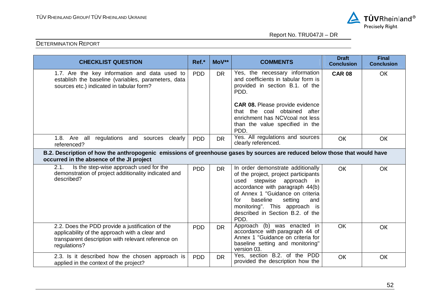

| <b>CHECKLIST QUESTION</b>                                                                                                                                                | Ref.*                                                                                                                      | MoV**     | <b>COMMENTS</b>                                                                                                                                                                                                                                                                                    | <b>Draft</b><br><b>Conclusion</b> | <b>Final</b><br><b>Conclusion</b> |  |  |  |
|--------------------------------------------------------------------------------------------------------------------------------------------------------------------------|----------------------------------------------------------------------------------------------------------------------------|-----------|----------------------------------------------------------------------------------------------------------------------------------------------------------------------------------------------------------------------------------------------------------------------------------------------------|-----------------------------------|-----------------------------------|--|--|--|
| 1.7. Are the key information and data used to<br>establish the baseline (variables, parameters, data<br>sources etc.) indicated in tabular form?                         | <b>PDD</b>                                                                                                                 | <b>DR</b> | Yes, the necessary information<br>and coefficients in tabular form is<br>provided in section B.1. of the<br>PDD.<br><b>CAR 08.</b> Please provide evidence<br>that the coal obtained after<br>enrichment has NCVcoal not less<br>than the value specified in the<br>PDD.                           | <b>CAR 08</b>                     | OK                                |  |  |  |
| 1.8. Are all regulations and sources clearly<br>referenced?                                                                                                              | <b>PDD</b>                                                                                                                 | <b>DR</b> | Yes. All regulations and sources<br>clearly referenced.                                                                                                                                                                                                                                            | <b>OK</b>                         | <b>OK</b>                         |  |  |  |
| occurred in the absence of the JI project                                                                                                                                | B.2. Description of how the anthropogenic emissions of greenhouse gases by sources are reduced below those that would have |           |                                                                                                                                                                                                                                                                                                    |                                   |                                   |  |  |  |
| Is the step-wise approach used for the<br>2.1.<br>demonstration of project additionality indicated and<br>described?                                                     | <b>PDD</b>                                                                                                                 | <b>DR</b> | In order demonstrate additionally<br>of the project, project participants<br>stepwise approach in<br>used<br>accordance with paragraph 44(b)<br>of Annex 1 "Guidance on criteria<br>for<br>baseline<br>setting<br>and<br>monitoring". This approach is<br>described in Section B.2, of the<br>PDD. | <b>OK</b>                         | OK                                |  |  |  |
| 2.2. Does the PDD provide a justification of the<br>applicability of the approach with a clear and<br>transparent description with relevant reference on<br>regulations? | <b>PDD</b>                                                                                                                 | <b>DR</b> | Approach (b) was enacted in<br>accordance with paragraph 44 of<br>Annex 1 "Guidance on criteria for<br>baseline setting and monitoring"<br>version 03.                                                                                                                                             | <b>OK</b>                         | OK                                |  |  |  |
| 2.3. Is it described how the chosen approach is<br>applied in the context of the project?                                                                                | <b>PDD</b>                                                                                                                 | <b>DR</b> | Yes, section B.2. of the PDD<br>provided the description how the                                                                                                                                                                                                                                   | OK                                | OK                                |  |  |  |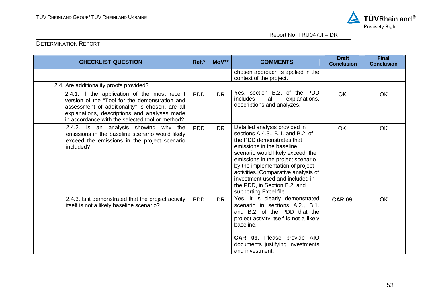

| <b>CHECKLIST QUESTION</b>                                                                                                                                                                                                                            | Ref.*      | MoV**     | <b>COMMENTS</b>                                                                                                                                                                                                                                                                                                                                                               | <b>Draft</b><br><b>Conclusion</b> | <b>Final</b><br><b>Conclusion</b> |
|------------------------------------------------------------------------------------------------------------------------------------------------------------------------------------------------------------------------------------------------------|------------|-----------|-------------------------------------------------------------------------------------------------------------------------------------------------------------------------------------------------------------------------------------------------------------------------------------------------------------------------------------------------------------------------------|-----------------------------------|-----------------------------------|
|                                                                                                                                                                                                                                                      |            |           | chosen approach is applied in the<br>context of the project.                                                                                                                                                                                                                                                                                                                  |                                   |                                   |
| 2.4. Are additionality proofs provided?                                                                                                                                                                                                              |            |           |                                                                                                                                                                                                                                                                                                                                                                               |                                   |                                   |
| 2.4.1. If the application of the most recent<br>version of the "Tool for the demonstration and<br>assessment of additionality" is chosen, are all<br>explanations, descriptions and analyses made<br>in accordance with the selected tool or method? | <b>PDD</b> | <b>DR</b> | Yes, section B.2. of the PDD<br>includes<br>all<br>explanations,<br>descriptions and analyzes.                                                                                                                                                                                                                                                                                | OK                                | <b>OK</b>                         |
| 2.4.2. Is an analysis showing why the<br>emissions in the baseline scenario would likely<br>exceed the emissions in the project scenario<br>included?                                                                                                | <b>PDD</b> | <b>DR</b> | Detailed analysis provided in<br>sections A.4.3., B.1. and B.2. of<br>the PDD demonstrates that<br>emissions in the baseline<br>scenario would likely exceed the<br>emissions in the project scenario<br>by the implementation of project<br>activities. Comparative analysis of<br>investment used and included in<br>the PDD, in Section B.2. and<br>supporting Excel file. | <b>OK</b>                         | OK                                |
| 2.4.3. Is it demonstrated that the project activity<br>itself is not a likely baseline scenario?                                                                                                                                                     | <b>PDD</b> | <b>DR</b> | Yes, it is clearly demonstrated<br>scenario in sections A.2., B.1.<br>and B.2, of the PDD that the<br>project activity itself is not a likely<br>baseline.<br><b>CAR 09.</b> Please provide AIO<br>documents justifying investments<br>and investment.                                                                                                                        | <b>CAR 09</b>                     | OK                                |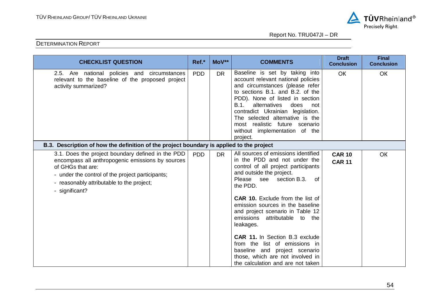

| <b>CHECKLIST QUESTION</b>                                                                                                                                                                                                                     | Ref.*      | MoV**     | <b>COMMENTS</b>                                                                                                                                                                                                                                                                                                                                                                                                                                                                                                                      | <b>Draft</b><br><b>Conclusion</b> | <b>Final</b><br><b>Conclusion</b> |
|-----------------------------------------------------------------------------------------------------------------------------------------------------------------------------------------------------------------------------------------------|------------|-----------|--------------------------------------------------------------------------------------------------------------------------------------------------------------------------------------------------------------------------------------------------------------------------------------------------------------------------------------------------------------------------------------------------------------------------------------------------------------------------------------------------------------------------------------|-----------------------------------|-----------------------------------|
| 2.5. Are national policies and circumstances<br>relevant to the baseline of the proposed project<br>activity summarized?                                                                                                                      | <b>PDD</b> | <b>DR</b> | Baseline is set by taking into<br>account relevant national policies<br>and circumstances (please refer<br>to sections B.1, and B.2, of the<br>PDD). None of listed in section<br>B.1.<br>alternatives<br>does<br>not<br>contradict Ukrainian legislation.<br>The selected alternative is the<br>most realistic future scenario<br>without implementation of the<br>project.                                                                                                                                                         | <b>OK</b>                         | OK                                |
| B.3. Description of how the definition of the project boundary is applied to the project                                                                                                                                                      |            |           |                                                                                                                                                                                                                                                                                                                                                                                                                                                                                                                                      |                                   |                                   |
| 3.1. Does the project boundary defined in the PDD<br>encompass all anthropogenic emissions by sources<br>of GHGs that are:<br>- under the control of the project participants;<br>- reasonably attributable to the project;<br>- significant? | <b>PDD</b> | DR.       | All sources of emissions identified<br>in the PDD and not under the<br>control of all project participants<br>and outside the project.<br>Please see<br>section B.3.<br>0f<br>the PDD.<br><b>CAR 10.</b> Exclude from the list of<br>emission sources in the baseline<br>and project scenario in Table 12<br>emissions attributable to the<br>leakages.<br>CAR 11. In Section B.3 exclude<br>from the list of emissions in<br>baseline and project scenario<br>those, which are not involved in<br>the calculation and are not taken | <b>CAR 10</b><br><b>CAR 11</b>    | OK                                |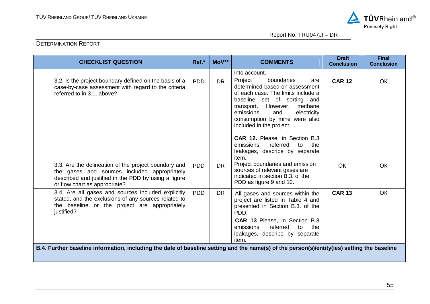

| <b>CHECKLIST QUESTION</b>                                                                                                                                                                     | Ref.*      | MoV**     | <b>COMMENTS</b>                                                                                                                                                                                                                                                                                                                                                                              | <b>Draft</b><br><b>Conclusion</b> | <b>Final</b><br><b>Conclusion</b> |
|-----------------------------------------------------------------------------------------------------------------------------------------------------------------------------------------------|------------|-----------|----------------------------------------------------------------------------------------------------------------------------------------------------------------------------------------------------------------------------------------------------------------------------------------------------------------------------------------------------------------------------------------------|-----------------------------------|-----------------------------------|
|                                                                                                                                                                                               |            |           | into account.                                                                                                                                                                                                                                                                                                                                                                                |                                   |                                   |
| 3.2. Is the project boundary defined on the basis of a<br>case-by-case assessment with regard to the criteria<br>referred to in 3.1, above?                                                   | <b>PDD</b> | <b>DR</b> | Project<br>boundaries<br>are<br>determined based on assessment<br>of each case. The limits include a<br>baseline set of sorting and<br>However,<br>methane<br>transport.<br>emissions<br>and<br>electricity<br>consumption by mine were also<br>included in the project.<br>CAR 12. Please, in Section B.3<br>referred<br>the<br>emissions,<br>to<br>leakages, describe by separate<br>item. | <b>CAR 12</b>                     | <b>OK</b>                         |
| 3.3. Are the delineation of the project boundary and<br>the gases and sources included appropriately<br>described and justified in the PDD by using a figure<br>or flow chart as appropriate? | <b>PDD</b> | <b>DR</b> | Project boundaries and emission<br>sources of relevant gases are<br>indicated in section B.3, of the<br>PDD as figure 9 and 10.                                                                                                                                                                                                                                                              | OК                                | <b>OK</b>                         |
| 3.4. Are all gases and sources included explicitly<br>stated, and the exclusions of any sources related to<br>the baseline or the project are appropriately<br>justified?                     | <b>PDD</b> | <b>DR</b> | All gases and sources within the<br>project are listed in Table 4 and<br>presented in Section B.3. of the<br>PDD.<br><b>CAR 13 Please, in Section B.3</b><br>referred<br>emissions,<br>the<br>to<br>leakages, describe by separate<br>item.                                                                                                                                                  | <b>CAR 13</b>                     | <b>OK</b>                         |
| B.4. Further baseline information, including the date of baseline setting and the name(s) of the person(s)/entity(ies) setting the baseline                                                   |            |           |                                                                                                                                                                                                                                                                                                                                                                                              |                                   |                                   |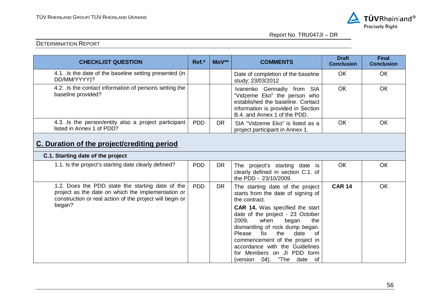

| <b>CHECKLIST QUESTION</b>                                                                                                                                                    | Ref.*      | MoV**     | <b>COMMENTS</b>                                                                                                                                                                                                                                                                                                                                                                                             | <b>Draft</b><br><b>Conclusion</b> | <b>Final</b><br><b>Conclusion</b> |  |  |  |  |
|------------------------------------------------------------------------------------------------------------------------------------------------------------------------------|------------|-----------|-------------------------------------------------------------------------------------------------------------------------------------------------------------------------------------------------------------------------------------------------------------------------------------------------------------------------------------------------------------------------------------------------------------|-----------------------------------|-----------------------------------|--|--|--|--|
| 4.1. Is the date of the baseline setting presented (in<br>DD/MM/YYYY)?                                                                                                       |            |           | Date of completion of the baseline<br>study: 23/03/2012                                                                                                                                                                                                                                                                                                                                                     | <b>OK</b>                         | OK                                |  |  |  |  |
| 4.2. Is the contact information of persons setting the<br>baseline provided?                                                                                                 |            |           | Ivanenko Gennadiy from SIA<br>"Vidzeme Eko" the person who<br>established the baseline. Contact<br>information is provided in Section<br>B.4. and Annex 1 of the PDD.                                                                                                                                                                                                                                       | OK                                | <b>OK</b>                         |  |  |  |  |
| 4.3. Is the person/entity also a project participant<br>listed in Annex 1 of PDD?                                                                                            | <b>PDD</b> | <b>DR</b> | SIA "Vidzeme Eko" is listed as a<br>project participant in Annex 1.                                                                                                                                                                                                                                                                                                                                         | <b>OK</b>                         | OK                                |  |  |  |  |
| C. Duration of the project/crediting period                                                                                                                                  |            |           |                                                                                                                                                                                                                                                                                                                                                                                                             |                                   |                                   |  |  |  |  |
| C.1. Starting date of the project                                                                                                                                            |            |           |                                                                                                                                                                                                                                                                                                                                                                                                             |                                   |                                   |  |  |  |  |
| 1.1. Is the project's starting date clearly defined?                                                                                                                         | <b>PDD</b> | <b>DR</b> | The project's starting date is<br>clearly defined in section C.1. of<br>the PDD - 23/10/2009.                                                                                                                                                                                                                                                                                                               | <b>OK</b>                         | <b>OK</b>                         |  |  |  |  |
| 1.2. Does the PDD state the starting date of the<br>project as the date on which the implementation or<br>construction or real action of the project will begin or<br>began? | <b>PDD</b> | <b>DR</b> | The starting date of the project<br>starts from the date of signing of<br>the contract.<br>CAR 14. Was specified the start<br>date of the project - 23 October<br>2009,<br>when<br>began<br>the<br>dismantling of rock dump began.<br>Please<br>fix<br>the<br>date<br>0f<br>commencement of the project in<br>accordance with the Guidelines<br>for Members on JI PDD form<br>"The date of<br>(version 04). | <b>CAR 14</b>                     | OK                                |  |  |  |  |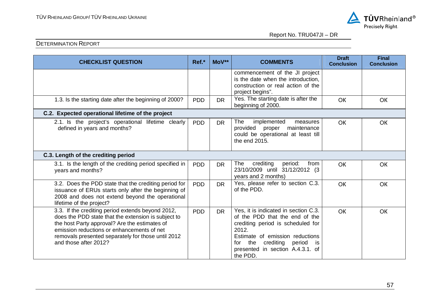

| <b>CHECKLIST QUESTION</b>                                                                                                                                                                                                                                                              | Ref.*      | MoV**     | <b>COMMENTS</b>                                                                                                                                                                                                                                    | <b>Draft</b><br><b>Conclusion</b> | <b>Final</b><br><b>Conclusion</b> |
|----------------------------------------------------------------------------------------------------------------------------------------------------------------------------------------------------------------------------------------------------------------------------------------|------------|-----------|----------------------------------------------------------------------------------------------------------------------------------------------------------------------------------------------------------------------------------------------------|-----------------------------------|-----------------------------------|
|                                                                                                                                                                                                                                                                                        |            |           | commencement of the JI project<br>is the date when the introduction,<br>construction or real action of the<br>project begins".                                                                                                                     |                                   |                                   |
| 1.3. Is the starting date after the beginning of 2000?                                                                                                                                                                                                                                 | <b>PDD</b> | <b>DR</b> | Yes. The starting date is after the<br>beginning of 2000.                                                                                                                                                                                          | <b>OK</b>                         | OK                                |
| C.2. Expected operational lifetime of the project                                                                                                                                                                                                                                      |            |           |                                                                                                                                                                                                                                                    |                                   |                                   |
| 2.1. Is the project's operational lifetime clearly<br>defined in years and months?                                                                                                                                                                                                     | <b>PDD</b> | <b>DR</b> | The<br>implemented<br>measures<br>provided<br>proper maintenance<br>could be operational at least till<br>the end 2015.                                                                                                                            | <b>OK</b>                         | OK                                |
| C.3. Length of the crediting period                                                                                                                                                                                                                                                    |            |           |                                                                                                                                                                                                                                                    |                                   |                                   |
| 3.1. Is the length of the crediting period specified in<br>years and months?                                                                                                                                                                                                           | <b>PDD</b> | <b>DR</b> | crediting<br>The<br>period:<br>from<br>23/10/2009 until 31/12/2012 (3<br>years and 2 months)                                                                                                                                                       | <b>OK</b>                         | OK                                |
| 3.2. Does the PDD state that the crediting period for<br>issuance of ERUs starts only after the beginning of<br>2008 and does not extend beyond the operational<br>lifetime of the project?                                                                                            | <b>PDD</b> | <b>DR</b> | Yes, please refer to section C.3.<br>of the PDD.                                                                                                                                                                                                   | <b>OK</b>                         | <b>OK</b>                         |
| 3.3. If the crediting period extends beyond 2012,<br>does the PDD state that the extension is subject to<br>the host Party approval? Are the estimates of<br>emission reductions or enhancements of net<br>removals presented separately for those until 2012<br>and those after 2012? | <b>PDD</b> | <b>DR</b> | Yes, it is indicated in section C.3.<br>of the PDD that the end of the<br>crediting period is scheduled for<br>2012.<br>Estimate of emission reductions<br>crediting period<br>the<br>for<br>is is<br>presented in section A.4.3.1. of<br>the PDD. | <b>OK</b>                         | <b>OK</b>                         |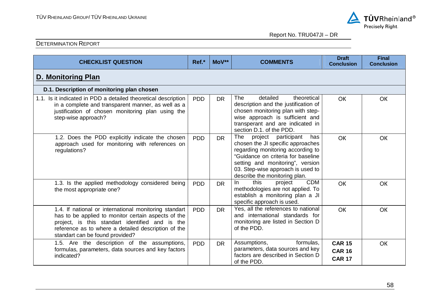

| <b>CHECKLIST QUESTION</b>                                                                                                                                                                                                                                 | Ref.*      | MoV**     | <b>COMMENTS</b>                                                                                                                                                                                                                                          | <b>Draft</b><br><b>Conclusion</b>               | <b>Final</b><br><b>Conclusion</b> |  |  |  |
|-----------------------------------------------------------------------------------------------------------------------------------------------------------------------------------------------------------------------------------------------------------|------------|-----------|----------------------------------------------------------------------------------------------------------------------------------------------------------------------------------------------------------------------------------------------------------|-------------------------------------------------|-----------------------------------|--|--|--|
| D. Monitoring Plan                                                                                                                                                                                                                                        |            |           |                                                                                                                                                                                                                                                          |                                                 |                                   |  |  |  |
| D.1. Description of monitoring plan chosen                                                                                                                                                                                                                |            |           |                                                                                                                                                                                                                                                          |                                                 |                                   |  |  |  |
| 1.1. Is it indicated in PDD a detailed theoretical description<br>in a complete and transparent manner, as well as a<br>justification of chosen monitoring plan using the<br>step-wise approach?                                                          | <b>PDD</b> | <b>DR</b> | <b>The</b><br>detailed<br>theoretical<br>description and the justification of<br>chosen monitoring plan with step-<br>wise approach is sufficient and<br>transperant and are indicated in<br>section D.1, of the PDD.                                    | OK                                              | OK                                |  |  |  |
| 1.2. Does the PDD explicitly indicate the chosen<br>approach used for monitoring with references on<br>regulations?                                                                                                                                       | <b>PDD</b> | <b>DR</b> | The project participant<br>has<br>chosen the JI specific approaches<br>regarding monitoring according to<br>"Guidance on criteria for baseline<br>setting and monitoring", version<br>03. Step-wise approach is used to<br>describe the monitoring plan. | <b>OK</b>                                       | <b>OK</b>                         |  |  |  |
| 1.3. Is the applied methodology considered being<br>the most appropriate one?                                                                                                                                                                             | <b>PDD</b> | <b>DR</b> | this<br><b>CDM</b><br>In.<br>project<br>methodologies are not applied. To<br>establish a monitoring plan a JI<br>specific approach is used.                                                                                                              | OK                                              | <b>OK</b>                         |  |  |  |
| 1.4. If national or international monitoring standart<br>has to be applied to monitor certain aspects of the<br>project, is this standart identified and is the<br>reference as to where a detailed description of the<br>standart can be found provided? | <b>PDD</b> | <b>DR</b> | Yes, all the references to national<br>and international standards for<br>monitoring are listed in Section D<br>of the PDD.                                                                                                                              | <b>OK</b>                                       | <b>OK</b>                         |  |  |  |
| 1.5. Are the description of the assumptions,<br>formulas, parameters, data sources and key factors<br>indicated?                                                                                                                                          | <b>PDD</b> | <b>DR</b> | Assumptions,<br>formulas,<br>parameters, data sources and key<br>factors are described in Section D<br>of the PDD.                                                                                                                                       | <b>CAR 15</b><br><b>CAR 16</b><br><b>CAR 17</b> | <b>OK</b>                         |  |  |  |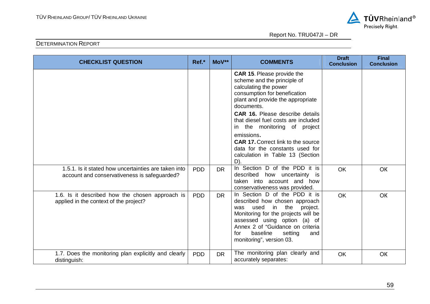

| <b>CHECKLIST QUESTION</b>                                                                            | Ref.*      | MoV**     | <b>COMMENTS</b>                                                                                                                                                                                                                                                                                                                                                                                                                 | <b>Draft</b><br><b>Conclusion</b> | <b>Final</b><br><b>Conclusion</b> |
|------------------------------------------------------------------------------------------------------|------------|-----------|---------------------------------------------------------------------------------------------------------------------------------------------------------------------------------------------------------------------------------------------------------------------------------------------------------------------------------------------------------------------------------------------------------------------------------|-----------------------------------|-----------------------------------|
|                                                                                                      |            |           | <b>CAR 15. Please provide the</b><br>scheme and the principle of<br>calculating the power<br>consumption for benefication<br>plant and provide the appropriate<br>documents.<br><b>CAR 16.</b> Please describe details<br>that diesel fuel costs are included<br>in the monitoring of project<br>emissions.<br><b>CAR 17. Correct link to the source</b><br>data for the constants used for<br>calculation in Table 13 (Section |                                   |                                   |
| 1.5.1. Is it stated how uncertainties are taken into<br>account and conservativeness is safeguarded? | <b>PDD</b> | <b>DR</b> | D).<br>In Section D of the PDD it is<br>described how uncertainty is<br>taken into account and how                                                                                                                                                                                                                                                                                                                              | OK                                | <b>OK</b>                         |
| 1.6. Is it described how the chosen approach is<br>applied in the context of the project?            | <b>PDD</b> | <b>DR</b> | conservativeness was provided.<br>In Section D of the PDD it is<br>described how chosen approach<br>the<br>used<br>in<br>was<br>project.<br>Monitoring for the projects will be<br>assessed using option (a) of<br>Annex 2 of "Guidance on criteria<br>baseline<br>setting<br>for<br>and<br>monitoring", version 03.                                                                                                            | <b>OK</b>                         | <b>OK</b>                         |
| 1.7. Does the monitoring plan explicitly and clearly<br>distinguish:                                 | <b>PDD</b> | <b>DR</b> | The monitoring plan clearly and<br>accurately separates:                                                                                                                                                                                                                                                                                                                                                                        | <b>OK</b>                         | OK                                |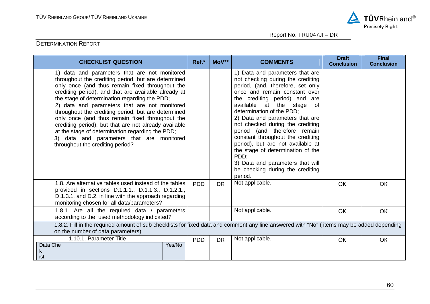

| <b>CHECKLIST QUESTION</b>                                                                                                                                                                                                                                                                                                                                                                                                                                                                                                                                                                                                 | Ref.*                | $MoV**$   | <b>COMMENTS</b>                                                                                                                                                                                                                                                                                                                                                                                                                                                                                                                                              | <b>Draft</b><br><b>Conclusion</b> | <b>Final</b><br><b>Conclusion</b> |
|---------------------------------------------------------------------------------------------------------------------------------------------------------------------------------------------------------------------------------------------------------------------------------------------------------------------------------------------------------------------------------------------------------------------------------------------------------------------------------------------------------------------------------------------------------------------------------------------------------------------------|----------------------|-----------|--------------------------------------------------------------------------------------------------------------------------------------------------------------------------------------------------------------------------------------------------------------------------------------------------------------------------------------------------------------------------------------------------------------------------------------------------------------------------------------------------------------------------------------------------------------|-----------------------------------|-----------------------------------|
| 1) data and parameters that are not monitored<br>throughout the crediting period, but are determined<br>only once (and thus remain fixed throughout the<br>crediting period), and that are available already at<br>the stage of determination regarding the PDD;<br>2) data and parameters that are not monitored<br>throughout the crediting period, but are determined<br>only once (and thus remain fixed throughout the<br>crediting period), but that are not already available<br>at the stage of determination regarding the PDD;<br>3) data and parameters that are monitored<br>throughout the crediting period? |                      |           | 1) Data and parameters that are<br>not checking during the crediting<br>period, (and, therefore, set only<br>once and remain constant over<br>the crediting period) and are<br>available<br>at the stage<br>0f<br>determination of the PDD;<br>2) Data and parameters that are<br>not checked during the crediting<br>period (and therefore remain<br>constant throughout the crediting<br>period), but are not available at<br>the stage of determination of the<br>PDD:<br>3) Data and parameters that will<br>be checking during the crediting<br>period. |                                   |                                   |
| 1.8. Are alternative tables used instead of the tables<br>provided in sections D.1.1.1., D.1.1.3., D.1.2.1.,<br>D.1.3.1. and D.2. in line with the approach regarding<br>monitoring chosen for all data/parameters?                                                                                                                                                                                                                                                                                                                                                                                                       | <b>PDD</b>           | <b>DR</b> | Not applicable.                                                                                                                                                                                                                                                                                                                                                                                                                                                                                                                                              | OK                                | OK                                |
| 1.8.1. Are all the required data / parameters<br>according to the used methodology indicated?                                                                                                                                                                                                                                                                                                                                                                                                                                                                                                                             |                      |           | Not applicable.                                                                                                                                                                                                                                                                                                                                                                                                                                                                                                                                              | OK                                | OK                                |
| 1.8.2. Fill in the required amount of sub checklists for fixed data and comment any line answered with "No" (items may be added depending<br>on the number of data parameters).                                                                                                                                                                                                                                                                                                                                                                                                                                           |                      |           |                                                                                                                                                                                                                                                                                                                                                                                                                                                                                                                                                              |                                   |                                   |
| 1.10.1. Parameter Title<br>Data Che<br>k<br>ist                                                                                                                                                                                                                                                                                                                                                                                                                                                                                                                                                                           | <b>PDD</b><br>Yes/No | <b>DR</b> | Not applicable.                                                                                                                                                                                                                                                                                                                                                                                                                                                                                                                                              | OK                                | OK                                |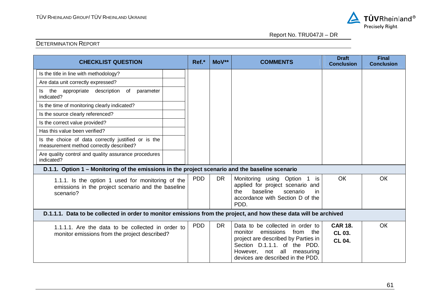

| <b>CHECKLIST QUESTION</b>                                                                                            | Ref.*      | MoV**     | <b>COMMENTS</b>                                                                                                                                                                                                | <b>Draft</b><br><b>Conclusion</b>  | <b>Final</b><br><b>Conclusion</b> |
|----------------------------------------------------------------------------------------------------------------------|------------|-----------|----------------------------------------------------------------------------------------------------------------------------------------------------------------------------------------------------------------|------------------------------------|-----------------------------------|
| Is the title in line with methodology?                                                                               |            |           |                                                                                                                                                                                                                |                                    |                                   |
| Are data unit correctly expressed?                                                                                   |            |           |                                                                                                                                                                                                                |                                    |                                   |
| the appropriate description of<br>parameter<br>ls.<br>indicated?                                                     |            |           |                                                                                                                                                                                                                |                                    |                                   |
| Is the time of monitoring clearly indicated?                                                                         |            |           |                                                                                                                                                                                                                |                                    |                                   |
| Is the source clearly referenced?                                                                                    |            |           |                                                                                                                                                                                                                |                                    |                                   |
| Is the correct value provided?                                                                                       |            |           |                                                                                                                                                                                                                |                                    |                                   |
| Has this value been verified?                                                                                        |            |           |                                                                                                                                                                                                                |                                    |                                   |
| Is the choice of data correctly justified or is the<br>measurement method correctly described?                       |            |           |                                                                                                                                                                                                                |                                    |                                   |
| Are quality control and quality assurance procedures<br>indicated?                                                   |            |           |                                                                                                                                                                                                                |                                    |                                   |
| D.1.1. Option 1 – Monitoring of the emissions in the project scenario and the baseline scenario                      |            |           |                                                                                                                                                                                                                |                                    |                                   |
| 1.1.1. Is the option 1 used for monitoring of the<br>emissions in the project scenario and the baseline<br>scenario? | <b>PDD</b> | <b>DR</b> | Monitoring using Option<br>1 is<br>applied for project scenario and<br>baseline<br>the<br>scenario<br>in<br>accordance with Section D of the<br>PDD.                                                           | <b>OK</b>                          | OK                                |
| D.1.1.1. Data to be collected in order to monitor emissions from the project, and how these data will be archived    |            |           |                                                                                                                                                                                                                |                                    |                                   |
| 1.1.1.1. Are the data to be collected in order to<br>monitor emissions from the project described?                   | <b>PDD</b> | <b>DR</b> | Data to be collected in order to<br>emissions<br>monitor<br>from the<br>project are described by Parties in<br>Section D.1.1.1. of the PDD.<br>However, not all measuring<br>devices are described in the PDD. | <b>CAR 18.</b><br>CL 03.<br>CL 04. | OK                                |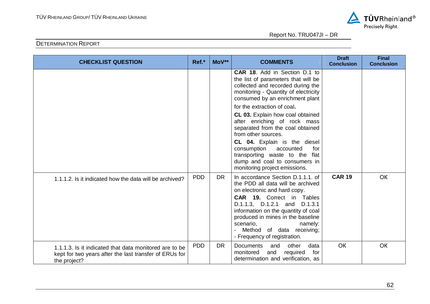

| <b>CHECKLIST QUESTION</b>                                                                                                        | Ref.*      | MoV**     | <b>COMMENTS</b>                                                                                                                                                                                                                                                                                                                             | <b>Draft</b><br><b>Conclusion</b> | <b>Final</b><br><b>Conclusion</b> |
|----------------------------------------------------------------------------------------------------------------------------------|------------|-----------|---------------------------------------------------------------------------------------------------------------------------------------------------------------------------------------------------------------------------------------------------------------------------------------------------------------------------------------------|-----------------------------------|-----------------------------------|
|                                                                                                                                  |            |           | CAR 18. Add in Section D.1 to<br>the list of parameters that will be<br>collected and recorded during the<br>monitoring - Quantity of electricity<br>consumed by an enrichment plant                                                                                                                                                        |                                   |                                   |
|                                                                                                                                  |            |           | for the extraction of coal.<br><b>CL 03.</b> Explain how coal obtained<br>after enriching of rock mass<br>separated from the coal obtained<br>from other sources.<br>CL 04. Explain is the diesel<br>consumption<br>accounted<br>for<br>transporting waste to the flat<br>dump and coal to consumers in<br>monitoring project emissions.    |                                   |                                   |
| 1.1.1.2. Is it indicated how the data will be archived?                                                                          | <b>PDD</b> | <b>DR</b> | In accordance Section D.1.1.1. of<br>the PDD all data will be archived<br>on electronic and hard copy.<br><b>CAR 19.</b> Correct in Tables<br>D.1.1.3, D.1.2.1 and D.1.3.1<br>information on the quantity of coal<br>produced in mines in the baseline<br>scenario,<br>namely:<br>Method of data receiving;<br>- Frequency of registration. | <b>CAR 19</b>                     | OK                                |
| 1.1.1.3. Is it indicated that data monitored are to be<br>kept for two years after the last transfer of ERUs for<br>the project? | <b>PDD</b> | <b>DR</b> | <b>Documents</b><br>other<br>and<br>data<br>monitored<br>and<br>required<br>for<br>determination and verification, as                                                                                                                                                                                                                       | OK                                | OK                                |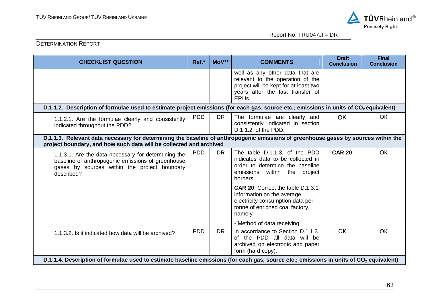

| <b>CHECKLIST QUESTION</b>                                                                                                                                                                                | Ref.*      | MoV**     | <b>COMMENTS</b>                                                                                                                                            | <b>Draft</b><br><b>Conclusion</b> | <b>Final</b><br><b>Conclusion</b> |
|----------------------------------------------------------------------------------------------------------------------------------------------------------------------------------------------------------|------------|-----------|------------------------------------------------------------------------------------------------------------------------------------------------------------|-----------------------------------|-----------------------------------|
|                                                                                                                                                                                                          |            |           | well as any other data that are<br>relevant to the operation of the<br>project will be kept for at least two<br>years after the last transfer of<br>ERUs.  |                                   |                                   |
| D.1.1.2. Description of formulae used to estimate project emissions (for each gas, source etc.; emissions in units of CO <sub>2</sub> equivalent)                                                        |            |           |                                                                                                                                                            |                                   |                                   |
| 1.1.2.1. Are the formulae clearly and consistently<br>indicated throughout the PDD?                                                                                                                      | <b>PDD</b> | <b>DR</b> | The formulae are clearly and<br>consistently indicated in section<br>D.1.1.2. of the PDD.                                                                  | <b>OK</b>                         | <b>OK</b>                         |
| D.1.1.3. Relevant data necessary for determining the baseline of anthropogenic emissions of greenhouse gases by sources within the<br>project boundary, and how such data will be collected and archived |            |           |                                                                                                                                                            |                                   |                                   |
| 1.1.3.1. Are the data necessary for determining the<br>baseline of anthropogenic emissions of greenhouse<br>gases by sources within the project boundary<br>described?                                   | <b>PDD</b> | <b>DR</b> | The table D.1.1.3. of the PDD<br>indicates data to be collected in<br>order to determine the baseline<br>within<br>emissions<br>the<br>project<br>borders. | <b>CAR 20</b>                     | <b>OK</b>                         |
|                                                                                                                                                                                                          |            |           | <b>CAR 20.</b> Correct the table D.1.3.1<br>information on the average<br>electricity consumption data per<br>tonne of enriched coal factory,<br>namely:   |                                   |                                   |
|                                                                                                                                                                                                          |            |           | - Method of data receiving                                                                                                                                 |                                   |                                   |
| 1.1.3.2. Is it indicated how data will be archived?                                                                                                                                                      | <b>PDD</b> | <b>DR</b> | In accordance to Section D.1.1.3.<br>of the PDD all data will be<br>archived on electronic and paper<br>form (hard copy).                                  | <b>OK</b>                         | <b>OK</b>                         |
| D.1.1.4. Description of formulae used to estimate baseline emissions (for each gas, source etc.; emissions in units of CO <sub>2</sub> equivalent)                                                       |            |           |                                                                                                                                                            |                                   |                                   |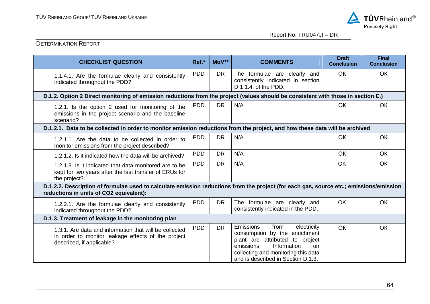

| <b>CHECKLIST QUESTION</b>                                                                                                                                                         | Ref.*      | MoV**     | <b>COMMENTS</b>                                                                                                                                                                                                             | <b>Draft</b><br><b>Conclusion</b> | Final<br><b>Conclusion</b> |
|-----------------------------------------------------------------------------------------------------------------------------------------------------------------------------------|------------|-----------|-----------------------------------------------------------------------------------------------------------------------------------------------------------------------------------------------------------------------------|-----------------------------------|----------------------------|
| 1.1.4.1. Are the formulae clearly and consistently<br>indicated throughout the PDD?                                                                                               | <b>PDD</b> | <b>DR</b> | The formulae are clearly and<br>consistently indicated in section<br>D.1.1.4. of the PDD.                                                                                                                                   | <b>OK</b>                         | OK                         |
| D.1.2. Option 2 Direct monitoring of emission reductions from the project (values should be consistent with those in section E.)                                                  |            |           |                                                                                                                                                                                                                             |                                   |                            |
| 1.2.1. Is the option 2 used for monitoring of the<br>emissions in the project scenario and the baseline<br>scenario?                                                              | <b>PDD</b> | <b>DR</b> | N/A                                                                                                                                                                                                                         | <b>OK</b>                         | <b>OK</b>                  |
| D.1.2.1. Data to be collected in order to monitor emission reductions from the project, and how these data will be archived                                                       |            |           |                                                                                                                                                                                                                             |                                   |                            |
| 1.2.1.1. Are the data to be collected in order to<br>monitor emissions from the project described?                                                                                | <b>PDD</b> | <b>DR</b> | N/A                                                                                                                                                                                                                         | <b>OK</b>                         | OK                         |
| 1.2.1.2. Is it indicated how the data will be archived?                                                                                                                           | <b>PDD</b> | <b>DR</b> | N/A                                                                                                                                                                                                                         | OK                                | OK                         |
| 1.2.1.3. Is it indicated that data monitored are to be<br>kept for two years after the last transfer of ERUs for<br>the project?                                                  | <b>PDD</b> | <b>DR</b> | N/A                                                                                                                                                                                                                         | OK                                | <b>OK</b>                  |
| D.1.2.2. Description of formulae used to calculate emission reductions from the project (for each gas, source etc.; emissions/emission<br>reductions in units of CO2 equivalent): |            |           |                                                                                                                                                                                                                             |                                   |                            |
| 1.2.2.1. Are the formulae clearly and consistently<br>indicated throughout the PDD?                                                                                               | <b>PDD</b> | <b>DR</b> | The formulae are clearly and<br>consistently indicated in the PDD.                                                                                                                                                          | <b>OK</b>                         | OK                         |
| D.1.3. Treatment of leakage in the monitoring plan                                                                                                                                |            |           |                                                                                                                                                                                                                             |                                   |                            |
| 1.3.1. Are data and information that will be collected<br>in order to monitor leakage effects of the project<br>described, if applicable?                                         | <b>PDD</b> | <b>DR</b> | electricity<br><b>Emissions</b><br>from<br>consumption by the enrichment<br>plant are attributed to project<br>Information<br>emissions.<br>on<br>collecting and monitoring this data<br>and is described in Section D.1.3. | <b>OK</b>                         | OK                         |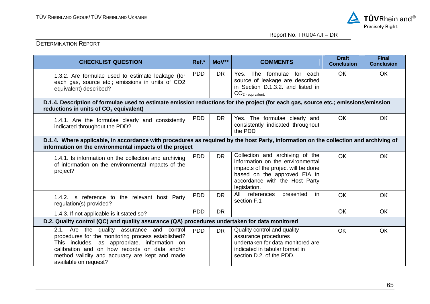

| <b>CHECKLIST QUESTION</b>                                                                                                                                                                                                                                                     | Ref.*                                                                                                                                                                                           | MoV**     | <b>COMMENTS</b>                                                                                                                                                                              | <b>Draft</b><br><b>Conclusion</b> | <b>Final</b><br><b>Conclusion</b> |  |  |  |
|-------------------------------------------------------------------------------------------------------------------------------------------------------------------------------------------------------------------------------------------------------------------------------|-------------------------------------------------------------------------------------------------------------------------------------------------------------------------------------------------|-----------|----------------------------------------------------------------------------------------------------------------------------------------------------------------------------------------------|-----------------------------------|-----------------------------------|--|--|--|
| 1.3.2. Are formulae used to estimate leakage (for<br>each gas, source etc.; emissions in units of CO2<br>equivalent) described?                                                                                                                                               | <b>PDD</b>                                                                                                                                                                                      | <b>DR</b> | Yes. The formulae for each<br>source of leakage are described<br>in Section D.1.3.2. and listed in<br>$CO2$ - equivalent.                                                                    | <b>OK</b>                         | OK                                |  |  |  |
| D.1.4. Description of formulae used to estimate emission reductions for the project (for each gas, source etc.; emissions/emission<br>reductions in units of CO <sub>2</sub> equivalent)                                                                                      |                                                                                                                                                                                                 |           |                                                                                                                                                                                              |                                   |                                   |  |  |  |
| 1.4.1. Are the formulae clearly and consistently<br>indicated throughout the PDD?                                                                                                                                                                                             | <b>PDD</b>                                                                                                                                                                                      | <b>DR</b> | Yes. The formulae clearly and<br>consistently indicated throughout<br>the PDD                                                                                                                | OK                                | <b>OK</b>                         |  |  |  |
|                                                                                                                                                                                                                                                                               | D.1.4. Where applicable, in accordance with procedures as required by the host Party, information on the collection and archiving of<br>information on the environmental impacts of the project |           |                                                                                                                                                                                              |                                   |                                   |  |  |  |
| 1.4.1. Is information on the collection and archiving<br>of information on the environmental impacts of the<br>project?                                                                                                                                                       | <b>PDD</b>                                                                                                                                                                                      | <b>DR</b> | Collection and archiving of the<br>information on the environmental<br>impacts of the project will be done<br>based on the approved EIA in<br>accordance with the Host Party<br>legislation. | OK                                | <b>OK</b>                         |  |  |  |
| 1.4.2. Is reference to the relevant host Party<br>regulation(s) provided?                                                                                                                                                                                                     | <b>PDD</b>                                                                                                                                                                                      | <b>DR</b> | references<br>All<br>presented<br>in.<br>section F.1                                                                                                                                         | OK                                | OK                                |  |  |  |
| 1.4.3. If not applicable is it stated so?                                                                                                                                                                                                                                     | <b>PDD</b>                                                                                                                                                                                      | <b>DR</b> |                                                                                                                                                                                              | OK                                | <b>OK</b>                         |  |  |  |
| D.2. Quality control (QC) and quality assurance (QA) procedures undertaken for data monitored                                                                                                                                                                                 |                                                                                                                                                                                                 |           |                                                                                                                                                                                              |                                   |                                   |  |  |  |
| 2.1. Are the quality assurance and control<br>procedures for the monitoring process established?<br>This includes, as appropriate, information on<br>calibration and on how records on data and/or<br>method validity and accuracy are kept and made<br>available on request? | <b>PDD</b>                                                                                                                                                                                      | <b>DR</b> | Quality control and quality<br>assurance procedures<br>undertaken for data monitored are<br>indicated in tabular format in<br>section D.2, of the PDD.                                       | OK                                | <b>OK</b>                         |  |  |  |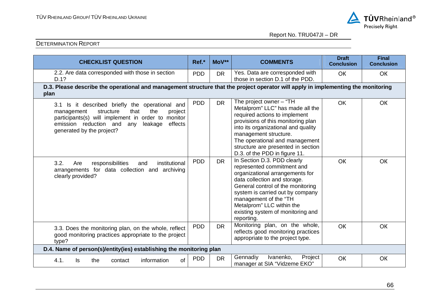

| <b>CHECKLIST QUESTION</b>                                                                                                                                                                                                                      | Ref.*      | MoV**     | <b>COMMENTS</b>                                                                                                                                                                                                                                                                                                | <b>Draft</b><br><b>Conclusion</b> | <b>Final</b><br><b>Conclusion</b> |  |  |  |
|------------------------------------------------------------------------------------------------------------------------------------------------------------------------------------------------------------------------------------------------|------------|-----------|----------------------------------------------------------------------------------------------------------------------------------------------------------------------------------------------------------------------------------------------------------------------------------------------------------------|-----------------------------------|-----------------------------------|--|--|--|
| 2.2. Are data corresponded with those in section<br>D.1?                                                                                                                                                                                       | <b>PDD</b> | <b>DR</b> | Yes. Data are corresponded with<br>those in section D.1 of the PDD.                                                                                                                                                                                                                                            | OK                                | OK                                |  |  |  |
| D.3. Please describe the operational and management structure that the project operator will apply in implementing the monitoring<br>plan                                                                                                      |            |           |                                                                                                                                                                                                                                                                                                                |                                   |                                   |  |  |  |
| 3.1 Is it described briefly the operational and<br>that<br>the<br>structure<br>management<br>project<br>participants(s) will implement in order to monitor<br>emission reduction and<br>effects<br>leakage<br>any<br>generated by the project? | <b>PDD</b> | <b>DR</b> | The project owner - "TH<br>Metalprom" LLC" has made all the<br>required actions to implement<br>provisions of this monitoring plan<br>into its organizational and quality<br>management structure.<br>The operational and management<br>structure are presented in section<br>D.3. of the PDD in figure 11.    | OK                                | OK                                |  |  |  |
| 3.2.<br>responsibilities<br>Are<br>institutional<br>and<br>arrangements for data collection and archiving<br>clearly provided?                                                                                                                 | <b>PDD</b> | <b>DR</b> | In Section D.3. PDD clearly<br>represented commitment and<br>organizational arrangements for<br>data collection and storage.<br>General control of the monitoring<br>system is carried out by company<br>management of the "TH<br>Metalprom" LLC within the<br>existing system of monitoring and<br>reporting. | <b>OK</b>                         | OK                                |  |  |  |
| 3.3. Does the monitoring plan, on the whole, reflect<br>good monitoring practices appropriate to the project<br>type?                                                                                                                          | <b>PDD</b> | <b>DR</b> | Monitoring plan, on the whole,<br>reflects good monitoring practices<br>appropriate to the project type.                                                                                                                                                                                                       | OK                                | OK                                |  |  |  |
| D.4. Name of person(s)/entity(ies) establishing the monitoring plan                                                                                                                                                                            |            |           |                                                                                                                                                                                                                                                                                                                |                                   |                                   |  |  |  |
| of<br>information<br>4.1.<br>the<br>ls<br>contact                                                                                                                                                                                              | <b>PDD</b> | <b>DR</b> | Gennadiy<br>Project<br>Ivanenko,<br>manager at SIA "Vidzeme EKO"                                                                                                                                                                                                                                               | OK                                | OK                                |  |  |  |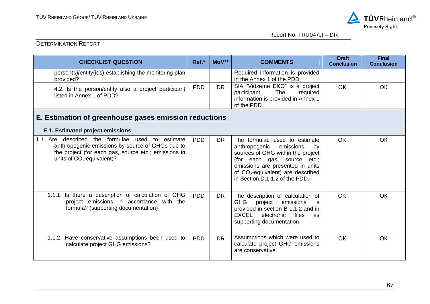

| <b>CHECKLIST QUESTION</b>                                                                                                                                                                      | Ref.*      | $MoV**$   | <b>COMMENTS</b>                                                                                                                                                                                                                                    | <b>Draft</b><br><b>Conclusion</b> | <b>Final</b><br><b>Conclusion</b> |  |  |  |  |
|------------------------------------------------------------------------------------------------------------------------------------------------------------------------------------------------|------------|-----------|----------------------------------------------------------------------------------------------------------------------------------------------------------------------------------------------------------------------------------------------------|-----------------------------------|-----------------------------------|--|--|--|--|
| person(s)/entity(ies) establishing the monitoring plan<br>provided?                                                                                                                            |            |           | Required information is provided<br>in the Annex 1 of the PDD.                                                                                                                                                                                     |                                   |                                   |  |  |  |  |
| 4.2. Is the person/entity also a project participant<br>listed in Annex 1 of PDD?                                                                                                              | <b>PDD</b> | <b>DR</b> | SIA "Vidzeme EKO" is a project<br>The<br>participant.<br>required<br>information is provided in Annex 1<br>of the PDD.                                                                                                                             | <b>OK</b>                         | <b>OK</b>                         |  |  |  |  |
| E. Estimation of greenhouse gases emission reductions                                                                                                                                          |            |           |                                                                                                                                                                                                                                                    |                                   |                                   |  |  |  |  |
| E.1. Estimated project emissions                                                                                                                                                               |            |           |                                                                                                                                                                                                                                                    |                                   |                                   |  |  |  |  |
| 1.1. Are described the formulae used<br>to estimate<br>anthropogenic emissions by source of GHGs due to<br>the project (for each gas, source etc.; emissions in<br>units of $CO2$ equivalent)? | <b>PDD</b> | <b>DR</b> | The formulae used to estimate<br>anthropogenic<br>emissions<br>by<br>sources of GHG within the project<br>(for each gas, source etc.;<br>emissions are presented in units<br>of $CO2$ -equivalent) are described<br>in Section D.1.1.2 of the PDD. | <b>OK</b>                         | <b>OK</b>                         |  |  |  |  |
| 1.1.1. Is there a description of calculation of GHG<br>project emissions in accordance with the<br>formula? (supporting documentation)                                                         | <b>PDD</b> | <b>DR</b> | The description of calculation of<br><b>GHG</b><br>project<br>emissions<br>is<br>provided in section B 1.1.2 and in<br><b>EXCEL</b><br>files<br>electronic<br>as<br>supporting documentation.                                                      | <b>OK</b>                         | <b>OK</b>                         |  |  |  |  |
| 1.1.2. Have conservative assumptions been used to<br>calculate project GHG emissions?                                                                                                          | <b>PDD</b> | <b>DR</b> | Assumptions which were used to<br>calculate project GHG emissions<br>are conservative.                                                                                                                                                             | OK                                | OK                                |  |  |  |  |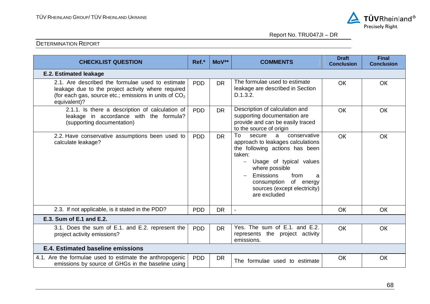

| <b>CHECKLIST QUESTION</b>                                                                                                                                                                   | Ref.*      | MoV**     | <b>COMMENTS</b>                                                                                                                                                                                                                                                                                   | <b>Draft</b><br><b>Conclusion</b> | <b>Final</b><br><b>Conclusion</b> |
|---------------------------------------------------------------------------------------------------------------------------------------------------------------------------------------------|------------|-----------|---------------------------------------------------------------------------------------------------------------------------------------------------------------------------------------------------------------------------------------------------------------------------------------------------|-----------------------------------|-----------------------------------|
| <b>E.2. Estimated leakage</b>                                                                                                                                                               |            |           |                                                                                                                                                                                                                                                                                                   |                                   |                                   |
| 2.1. Are described the formulae used to estimate<br>leakage due to the project activity where required<br>(for each gas, source etc.; emissions in units of CO <sub>2</sub><br>equivalent)? | <b>PDD</b> | <b>DR</b> | The formulae used to estimate<br>leakage are described in Section<br>D.1.3.2.                                                                                                                                                                                                                     | <b>OK</b>                         | OK                                |
| 2.1.1. Is there a description of calculation of<br>leakage in accordance with the formula?<br>(supporting documentation)                                                                    | <b>PDD</b> | <b>DR</b> | Description of calculation and<br>supporting documentation are<br>provide and can be easily traced<br>to the source of origin                                                                                                                                                                     | <b>OK</b>                         | OK                                |
| 2.2. Have conservative assumptions been used to<br>calculate leakage?                                                                                                                       | <b>PDD</b> | <b>DR</b> | To<br>conservative<br>secure<br>a<br>approach to leakages calculations<br>the following actions has been<br>taken:<br>Usage of typical values<br>$\qquad \qquad -$<br>where possible<br><b>Emissions</b><br>from<br>a<br>of energy<br>consumption<br>sources (except electricity)<br>are excluded | <b>OK</b>                         | OK                                |
| 2.3. If not applicable, is it stated in the PDD?                                                                                                                                            | <b>PDD</b> | <b>DR</b> | $\blacksquare$                                                                                                                                                                                                                                                                                    | <b>OK</b>                         | <b>OK</b>                         |
| E.3. Sum of E.1 and E.2.                                                                                                                                                                    |            |           |                                                                                                                                                                                                                                                                                                   |                                   |                                   |
| 3.1. Does the sum of E.1. and E.2. represent the<br>project activity emissions?                                                                                                             | <b>PDD</b> | <b>DR</b> | Yes. The sum of E.1. and E.2.<br>represents the project activity<br>emissions.                                                                                                                                                                                                                    | <b>OK</b>                         | OK                                |
| E.4. Estimated baseline emissions                                                                                                                                                           |            |           |                                                                                                                                                                                                                                                                                                   |                                   |                                   |
| 4.1. Are the formulae used to estimate the anthropogenic<br>emissions by source of GHGs in the baseline using                                                                               | <b>PDD</b> | <b>DR</b> | The formulae used to estimate                                                                                                                                                                                                                                                                     | OK                                | OK                                |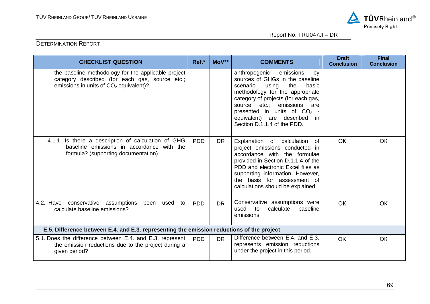

| <b>CHECKLIST QUESTION</b>                                                                                                                         | Ref.*           | MoV**     | <b>COMMENTS</b>                                                                                                                                                                                                                                                                                                     | <b>Draft</b><br><b>Conclusion</b> | <b>Final</b><br><b>Conclusion</b> |
|---------------------------------------------------------------------------------------------------------------------------------------------------|-----------------|-----------|---------------------------------------------------------------------------------------------------------------------------------------------------------------------------------------------------------------------------------------------------------------------------------------------------------------------|-----------------------------------|-----------------------------------|
| the baseline methodology for the applicable project<br>category described (for each gas, source etc.;<br>emissions in units of $CO2$ equivalent)? |                 |           | anthropogenic emissions<br>by<br>sources of GHGs in the baseline<br>the<br>basic<br>using<br>scenario<br>methodology for the appropriate<br>category of projects (for each gas,<br>etc.; emissions<br>source<br>are<br>presented in units of $CO2$ -<br>equivalent) are described in<br>Section D.1.1.4 of the PDD. |                                   |                                   |
| 4.1.1. Is there a description of calculation of GHG<br>baseline emissions in accordance with the<br>formula? (supporting documentation)           | PD <sub>D</sub> | <b>DR</b> | Explanation of calculation of<br>project emissions conducted in<br>accordance with the formulae<br>provided in Section D.1.1.4 of the<br>PDD and electronic Excel files as<br>supporting information. However,<br>the basis for assessment of<br>calculations should be explained.                                  | <b>OK</b>                         | <b>OK</b>                         |
| conservative assumptions<br>4.2. Have<br>been used<br>to<br>calculate baseline emissions?                                                         | <b>PDD</b>      | <b>DR</b> | Conservative assumptions were<br>to<br>calculate<br>baseline<br>used<br>emissions.                                                                                                                                                                                                                                  | <b>OK</b>                         | <b>OK</b>                         |
| E.5. Difference between E.4. and E.3. representing the emission reductions of the project                                                         |                 |           |                                                                                                                                                                                                                                                                                                                     |                                   |                                   |
| 5.1. Does the difference between E.4. and E.3. represent<br>the emission reductions due to the project during a<br>given period?                  | <b>PDD</b>      | <b>DR</b> | Difference between E.4. and E.3.<br>represents emission reductions<br>under the project in this period.                                                                                                                                                                                                             | OK                                | <b>OK</b>                         |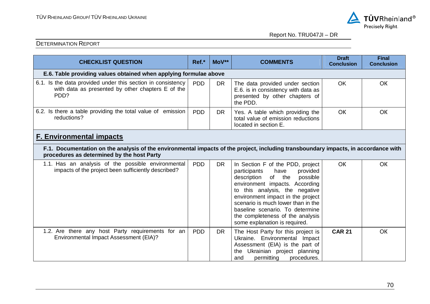

| <b>CHECKLIST QUESTION</b>                                                                                                                                                         | Ref.*      | MoV**     | <b>COMMENTS</b>                                                                                                                                                                                                                                                                                                                                                  | <b>Draft</b><br><b>Conclusion</b> | <b>Final</b><br><b>Conclusion</b> |  |  |
|-----------------------------------------------------------------------------------------------------------------------------------------------------------------------------------|------------|-----------|------------------------------------------------------------------------------------------------------------------------------------------------------------------------------------------------------------------------------------------------------------------------------------------------------------------------------------------------------------------|-----------------------------------|-----------------------------------|--|--|
| E.6. Table providing values obtained when applying formulae above                                                                                                                 |            |           |                                                                                                                                                                                                                                                                                                                                                                  |                                   |                                   |  |  |
| 6.1. Is the data provided under this section in consistency<br>with data as presented by other chapters E of the<br>PD <sub>D</sub> ?                                             | <b>PDD</b> | <b>DR</b> | The data provided under section<br>E.6. is in consistency with data as<br>presented by other chapters of<br>the PDD.                                                                                                                                                                                                                                             | <b>OK</b>                         | <b>OK</b>                         |  |  |
| 6.2. Is there a table providing the total value of emission<br>reductions?                                                                                                        | <b>PDD</b> | <b>DR</b> | Yes. A table which providing the<br>total value of emission reductions<br>located in section E.                                                                                                                                                                                                                                                                  | OK                                | OK                                |  |  |
| <b>F. Environmental impacts</b>                                                                                                                                                   |            |           |                                                                                                                                                                                                                                                                                                                                                                  |                                   |                                   |  |  |
| F.1. Documentation on the analysis of the environmental impacts of the project, including transboundary impacts, in accordance with<br>procedures as determined by the host Party |            |           |                                                                                                                                                                                                                                                                                                                                                                  |                                   |                                   |  |  |
| 1.1. Has an analysis of the possible environmental<br>impacts of the project been sufficiently described?                                                                         | <b>PDD</b> | <b>DR</b> | In Section F of the PDD, project<br>have<br>provided<br>participants<br>description<br>of the<br>possible<br>environment impacts. According<br>to this analysis, the negative<br>environment impact in the project<br>scenario is much lower than in the<br>baseline scenario. To determine<br>the completeness of the analysis<br>some explanation is required. | <b>OK</b>                         | <b>OK</b>                         |  |  |
| 1.2. Are there any host Party requirements for an<br>Environmental Impact Assessment (EIA)?                                                                                       | <b>PDD</b> | <b>DR</b> | The Host Party for this project is<br>Ukraine. Environmental Impact<br>Assessment (EIA) is the part of<br>Ukrainian project planning<br>the<br>permitting<br>procedures.<br>and                                                                                                                                                                                  | <b>CAR 21</b>                     | <b>OK</b>                         |  |  |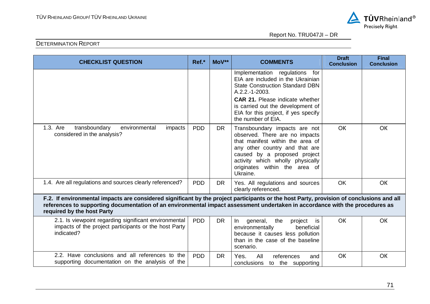

| <b>CHECKLIST QUESTION</b>                                                                                                                                                                                                                                                                              | Ref.*      | MoV**     | <b>COMMENTS</b>                                                                                                                                                                                                                                                              | <b>Draft</b><br><b>Conclusion</b> | <b>Final</b><br><b>Conclusion</b> |
|--------------------------------------------------------------------------------------------------------------------------------------------------------------------------------------------------------------------------------------------------------------------------------------------------------|------------|-----------|------------------------------------------------------------------------------------------------------------------------------------------------------------------------------------------------------------------------------------------------------------------------------|-----------------------------------|-----------------------------------|
|                                                                                                                                                                                                                                                                                                        |            |           | Implementation regulations for<br>EIA are included in the Ukrainian<br><b>State Construction Standard DBN</b><br>A.2.2.-1-2003.<br><b>CAR 21.</b> Please indicate whether<br>is carried out the development of<br>EIA for this project, if yes specify<br>the number of EIA. |                                   |                                   |
| 1.3. Are<br>transboundary<br>environmental<br>impacts<br>considered in the analysis?                                                                                                                                                                                                                   | <b>PDD</b> | <b>DR</b> | Transboundary impacts are not<br>observed. There are no impacts<br>that manifest within the area of<br>any other country and that are<br>caused by a proposed project<br>activity which wholly physically<br>originates within the area of<br>Ukraine.                       | OK                                | <b>OK</b>                         |
| 1.4. Are all regulations and sources clearly referenced?                                                                                                                                                                                                                                               | <b>PDD</b> | <b>DR</b> | Yes. All regulations and sources<br>clearly referenced.                                                                                                                                                                                                                      | <b>OK</b>                         | OK                                |
| F.2. If environmental impacts are considered significant by the project participants or the host Party, provision of conclusions and all<br>references to supporting documentation of an environmental impact assessment undertaken in accordance with the procedures as<br>required by the host Party |            |           |                                                                                                                                                                                                                                                                              |                                   |                                   |
| 2.1. Is viewpoint regarding significant environmental<br>impacts of the project participants or the host Party<br>indicated?                                                                                                                                                                           | <b>PDD</b> | <b>DR</b> | In<br>the<br>general,<br>project<br>is<br>environmentally<br>beneficial<br>because it causes less pollution<br>than in the case of the baseline<br>scenario.                                                                                                                 | OK                                | OK                                |
| 2.2. Have conclusions and all references to the<br>supporting documentation on the analysis of the                                                                                                                                                                                                     | <b>PDD</b> | <b>DR</b> | Yes.<br>All<br>references<br>and<br>conclusions to the supporting                                                                                                                                                                                                            | OK                                | OK                                |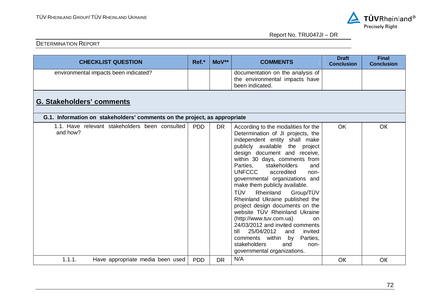

| <b>CHECKLIST QUESTION</b>                                                 | Ref.*      | MoV**     | <b>COMMENTS</b>                                                                                                                                                                                                                                                                                                                                                                                                                                                                                                                                                                                                                                                                                                   | <b>Draft</b><br><b>Conclusion</b> | <b>Final</b><br><b>Conclusion</b> |  |  |  |  |  |
|---------------------------------------------------------------------------|------------|-----------|-------------------------------------------------------------------------------------------------------------------------------------------------------------------------------------------------------------------------------------------------------------------------------------------------------------------------------------------------------------------------------------------------------------------------------------------------------------------------------------------------------------------------------------------------------------------------------------------------------------------------------------------------------------------------------------------------------------------|-----------------------------------|-----------------------------------|--|--|--|--|--|
| environmental impacts been indicated?                                     |            |           | documentation on the analysis of<br>the environmental impacts have<br>been indicated.                                                                                                                                                                                                                                                                                                                                                                                                                                                                                                                                                                                                                             |                                   |                                   |  |  |  |  |  |
| <b>G. Stakeholders' comments</b>                                          |            |           |                                                                                                                                                                                                                                                                                                                                                                                                                                                                                                                                                                                                                                                                                                                   |                                   |                                   |  |  |  |  |  |
| G.1. Information on stakeholders' comments on the project, as appropriate |            |           |                                                                                                                                                                                                                                                                                                                                                                                                                                                                                                                                                                                                                                                                                                                   |                                   |                                   |  |  |  |  |  |
| 1.1. Have relevant stakeholders been consulted<br>and how?                | <b>PDD</b> | <b>DR</b> | According to the modalities for the<br>Determination of JI projects, the<br>independent entity shall make<br>publicly available the<br>project<br>design document and receive,<br>within 30 days, comments from<br>Parties,<br>stakeholders<br>and<br><b>UNFCCC</b><br>accredited<br>non-<br>governmental organizations and<br>make them publicly available.<br>TÜV<br>Group/TÜV<br>Rheinland<br>Rheinland Ukraine published the<br>project design documents on the<br>website TÜV Rheinland Ukraine<br>(http://www.tuv.com.ua)<br>on.<br>24/03/2012 and invited comments<br>25/04/2012<br>till<br>invited<br>and<br>comments within by<br>Parties,<br>stakeholders<br>and<br>non-<br>governmental organizations. | <b>OK</b>                         | OK                                |  |  |  |  |  |
| 1.1.1.<br>Have appropriate media been used                                | <b>PDD</b> | <b>DR</b> | N/A                                                                                                                                                                                                                                                                                                                                                                                                                                                                                                                                                                                                                                                                                                               | OK                                | OK                                |  |  |  |  |  |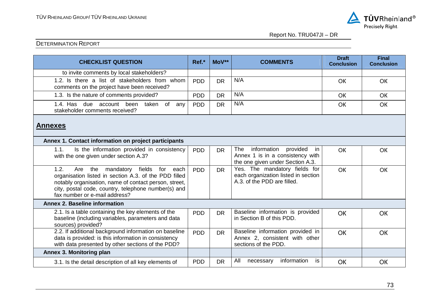

Report No. TRU047JI – DR

| <b>CHECKLIST QUESTION</b>                                                                                                                                                                                                                                          | Ref.*      | MoV**     | <b>COMMENTS</b>                                                                                              | <b>Draft</b><br><b>Conclusion</b> | <b>Final</b><br><b>Conclusion</b> |  |
|--------------------------------------------------------------------------------------------------------------------------------------------------------------------------------------------------------------------------------------------------------------------|------------|-----------|--------------------------------------------------------------------------------------------------------------|-----------------------------------|-----------------------------------|--|
| to invite comments by local stakeholders?                                                                                                                                                                                                                          |            |           |                                                                                                              |                                   |                                   |  |
| 1.2. Is there a list of stakeholders from whom<br>comments on the project have been received?                                                                                                                                                                      | <b>PDD</b> | <b>DR</b> | N/A                                                                                                          | OK                                | OK                                |  |
| 1.3. Is the nature of comments provided?                                                                                                                                                                                                                           | <b>PDD</b> | <b>DR</b> | N/A                                                                                                          | <b>OK</b>                         | <b>OK</b>                         |  |
| 1.4. Has due account<br>been<br>taken of<br>any<br>stakeholder comments received?                                                                                                                                                                                  | <b>PDD</b> | <b>DR</b> | N/A                                                                                                          | OK                                | <b>OK</b>                         |  |
| <b>Annexes</b><br>Annex 1. Contact information on project participants                                                                                                                                                                                             |            |           |                                                                                                              |                                   |                                   |  |
| Is the information provided in consistency<br>1.1.<br>with the one given under section A.3?                                                                                                                                                                        | <b>PDD</b> | <b>DR</b> | provided<br>information<br>The<br>in<br>Annex 1 is in a consistency with<br>the one given under Section A.3. | <b>OK</b>                         | OK                                |  |
| 1.2.<br>Are<br>the<br>fields<br>for<br>mandatory<br>each<br>organisation listed in section A.3. of the PDD filled<br>notably organisation, name of contact person, street,<br>city, postal code, country, telephone number(s) and<br>fax number or e-mail address? | <b>PDD</b> | <b>DR</b> | Yes. The mandatory fields for<br>each organization listed in section<br>A.3. of the PDD are filled.          | OK                                | <b>OK</b>                         |  |
| <b>Annex 2. Baseline information</b>                                                                                                                                                                                                                               |            |           |                                                                                                              |                                   |                                   |  |
| 2.1. Is a table containing the key elements of the<br>baseline (including variables, parameters and data<br>sources) provided?                                                                                                                                     | <b>PDD</b> | <b>DR</b> | Baseline information is provided<br>in Section B of this PDD.                                                | OK                                | OK                                |  |
| 2.2. If additional background information on baseline<br>data is provided: is this information in consistency<br>with data presented by other sections of the PDD?                                                                                                 | <b>PDD</b> | <b>DR</b> | Baseline information provided in<br>Annex 2, consistent with other<br>sections of the PDD.                   | OK                                | OK                                |  |
| Annex 3. Monitoring plan                                                                                                                                                                                                                                           |            |           |                                                                                                              |                                   |                                   |  |
| 3.1. Is the detail description of all key elements of                                                                                                                                                                                                              | <b>PDD</b> | <b>DR</b> | information<br>All<br>is<br>necessary                                                                        | OK                                | OK                                |  |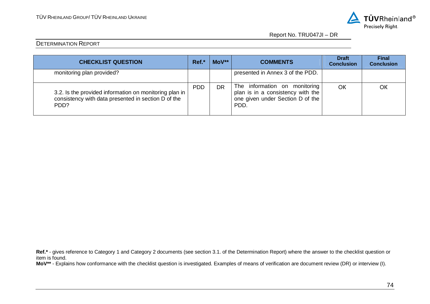

Report No. TRU047JI – DR

### DETERMINATION REPORT

| <b>CHECKLIST QUESTION</b>                                                                                             | Ref.*      | MoV**     | <b>COMMENTS</b>                                                                                                | <b>Draft</b><br><b>Conclusion</b> | <b>Final</b><br><b>Conclusion</b> |
|-----------------------------------------------------------------------------------------------------------------------|------------|-----------|----------------------------------------------------------------------------------------------------------------|-----------------------------------|-----------------------------------|
| monitoring plan provided?                                                                                             |            |           | presented in Annex 3 of the PDD.                                                                               |                                   |                                   |
| 3.2. Is the provided information on monitoring plan in<br>consistency with data presented in section D of the<br>PDD? | <b>PDD</b> | <b>DR</b> | The information on monitoring<br>plan is in a consistency with the<br>one given under Section D of the<br>PDD. | OK                                | OK                                |

Ref.<sup>\*</sup> - gives reference to Category 1 and Category 2 documents (see section 3.1. of the Determination Report) where the answer to the checklist question or item is found.

**MoV\*\*** - Explains how conformance with the checklist question is investigated. Examples of means of verification are document review (DR) or interview (I).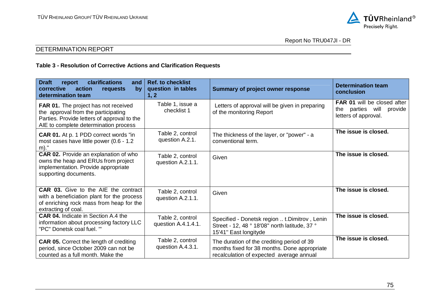

#### **Table 3 - Resolution of Corrective Actions and Clarification Requests**

| <b>Draft</b><br>clarifications<br>report<br>and<br>corrective<br>action<br>by<br>requests<br>determination team                                                            | <b>Ref. to checklist</b><br>question in tables<br>1, 2 | <b>Summary of project owner response</b>                                                                                               | <b>Determination team</b><br>conclusion                                                      |
|----------------------------------------------------------------------------------------------------------------------------------------------------------------------------|--------------------------------------------------------|----------------------------------------------------------------------------------------------------------------------------------------|----------------------------------------------------------------------------------------------|
| <b>FAR 01.</b> The project has not received<br>the approval from the participating<br>Parties. Provide letters of approval to the<br>AIE to complete determination process | Table 1, issue a<br>checklist 1                        | Letters of approval will be given in preparing<br>of the monitoring Report                                                             | <b>FAR 01 will be closed after</b><br>parties will<br>provide<br>the<br>letters of approval. |
| <b>CAR 01.</b> At p. 1 PDD correct words "in<br>most cases have little power (0.6 - 1.2<br>m)."                                                                            | Table 2, control<br>question A.2.1.                    | The thickness of the layer, or "power" - a<br>conventional term.                                                                       | The issue is closed.                                                                         |
| CAR 02. Provide an explanation of who<br>owns the heap and ERUs from project<br>implementation. Provide appropriate<br>supporting documents.                               | Table 2, control<br>question A.2.1.1.                  | Given                                                                                                                                  | The issue is closed.                                                                         |
| CAR 03. Give to the AIE the contract<br>with a beneficiation plant for the process<br>of enriching rock mass from heap for the<br>extracting of coal.                      | Table 2, control<br>question A.2.1.1.                  | Given                                                                                                                                  | The issue is closed.                                                                         |
| <b>CAR 04.</b> Indicate in Section A.4 the<br>information about processing factory LLC<br>"PC" Donetsk coal fuel. ""                                                       | Table 2, control<br>question A.4.1.4.1.                | Specified - Donetsk region  t. Dimitrov, Lenin<br>Street - 12, 48 ° 18'08" north latitude, 37 °<br>15'41" East longityde               | The issue is closed.                                                                         |
| <b>CAR 05.</b> Correct the length of crediting<br>period, since October 2009 can not be<br>counted as a full month. Make the                                               | Table 2, control<br>question A.4.3.1.                  | The duration of the crediting period of 39<br>months fixed for 38 months. Done appropriate<br>recalculation of expected average annual | The issue is closed.                                                                         |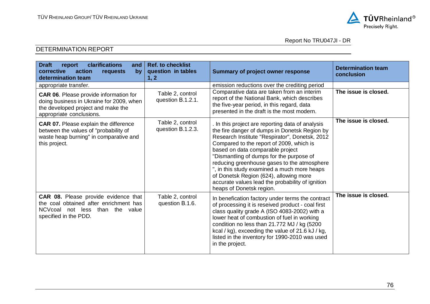

| clarifications<br><b>Draft</b><br>report<br>and<br>corrective<br>action<br>by<br>requests<br>determination team                                        | <b>Ref. to checklist</b><br>question in tables<br>1, 2 | <b>Summary of project owner response</b>                                                                                                                                                                                                                                                                                                                                                                                                                                                              | <b>Determination team</b><br>conclusion |
|--------------------------------------------------------------------------------------------------------------------------------------------------------|--------------------------------------------------------|-------------------------------------------------------------------------------------------------------------------------------------------------------------------------------------------------------------------------------------------------------------------------------------------------------------------------------------------------------------------------------------------------------------------------------------------------------------------------------------------------------|-----------------------------------------|
| appropriate transfer.                                                                                                                                  |                                                        | emission reductions over the crediting period                                                                                                                                                                                                                                                                                                                                                                                                                                                         |                                         |
| CAR 06. Please provide information for<br>doing business in Ukraine for 2009, when<br>the developed project and make the<br>appropriate conclusions.   | Table 2, control<br>question B.1.2.1.                  | Comparative data are taken from an interim<br>report of the National Bank, which describes<br>the five-year period, in this regard, data<br>presented in the draft is the most modern.                                                                                                                                                                                                                                                                                                                | The issue is closed.                    |
| <b>CAR 07.</b> Please explain the difference<br>between the values of "probability of<br>waste heap burning" in comparative and<br>this project.       | Table 2, control<br>question B.1.2.3.                  | In this project are reporting data of analysis<br>the fire danger of dumps in Donetsk Region by<br>Research Institute "Respirator", Donetsk, 2012<br>Compared to the report of 2009, which is<br>based on data comparable project<br>"Dismantling of dumps for the purpose of<br>reducing greenhouse gases to the atmosphere<br>", in this study examined a much more heaps<br>of Donetsk Region (624), allowing more<br>accurate values lead the probability of ignition<br>heaps of Donetsk region. | The issue is closed.                    |
| CAR 08. Please provide evidence that<br>the coal obtained after enrichment has<br>NCVcoal<br>not less<br>than<br>the<br>value<br>specified in the PDD. | Table 2, control<br>question B.1.6.                    | In benefication factory under terms the contract<br>of processing it is reseived product - coal first<br>class quality grade A (ISO 4083-2002) with a<br>lower heat of combustion of fuel in working<br>condition no less than 21.772 MJ / kg (5200<br>kcal / kg), exceeding the value of 21.6 kJ / kg,<br>listed in the inventory for 1990-2010 was used<br>in the project.                                                                                                                          | The issue is closed.                    |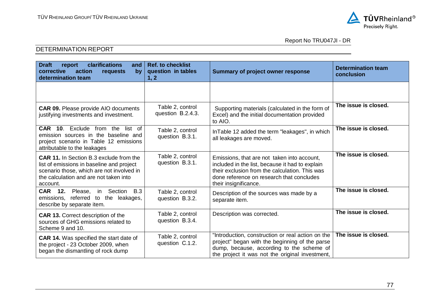

# Report No TRU047JI - DR

| <b>Draft</b><br>clarifications<br>report<br>and<br>corrective<br>action<br>by<br>requests<br>determination team                                                                                | <b>Ref. to checklist</b><br>question in tables<br>1, 2 | <b>Summary of project owner response</b>                                                                                                                                                                               | <b>Determination team</b><br>conclusion |
|------------------------------------------------------------------------------------------------------------------------------------------------------------------------------------------------|--------------------------------------------------------|------------------------------------------------------------------------------------------------------------------------------------------------------------------------------------------------------------------------|-----------------------------------------|
|                                                                                                                                                                                                |                                                        |                                                                                                                                                                                                                        |                                         |
| <b>CAR 09.</b> Please provide AIO documents<br>justifying investments and investment.                                                                                                          | Table 2, control<br>question B.2.4.3.                  | Supporting materials (calculated in the form of<br>Excel) and the initial documentation provided<br>to AIO.                                                                                                            | The issue is closed.                    |
| Exclude<br><b>CAR 10.</b><br>from the<br>list of<br>emission sources in the baseline and<br>project scenario in Table 12 emissions<br>attributable to the leakages                             | Table 2, control<br>question B.3.1.                    | InTable 12 added the term "leakages", in which<br>all leakages are moved.                                                                                                                                              | The issue is closed.                    |
| <b>CAR 11.</b> In Section B.3 exclude from the<br>list of emissions in baseline and project<br>scenario those, which are not involved in<br>the calculation and are not taken into<br>account. | Table 2, control<br>question B.3.1.                    | Emissions, that are not taken into account,<br>included in the list, because it had to explain<br>their exclusion from the calculation. This was<br>done reference on research that concludes<br>their insignificance. | The issue is closed.                    |
| <b>CAR</b><br>12.<br>Please, in Section<br><b>B.3</b><br>emissions, referred to the leakages,<br>describe by separate item.                                                                    | Table 2, control<br>question B.3.2.                    | Description of the sources was made by a<br>separate item.                                                                                                                                                             | The issue is closed.                    |
| <b>CAR 13. Correct description of the</b><br>sources of GHG emissions related to<br>Scheme 9 and 10.                                                                                           | Table 2, control<br>question B.3.4.                    | Description was corrected.                                                                                                                                                                                             | The issue is closed.                    |
| <b>CAR 14.</b> Was specified the start date of<br>the project - 23 October 2009, when<br>began the dismantling of rock dump                                                                    | Table 2, control<br>question C.1.2.                    | "Introduction, construction or real action on the<br>project" began with the beginning of the parse<br>dump, because, according to the scheme of<br>the project it was not the original investment,                    | The issue is closed.                    |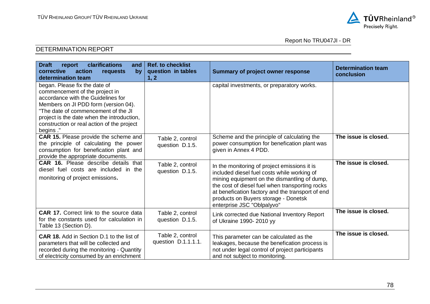

| <b>Draft</b><br>clarifications<br>report<br>and<br>corrective<br>action<br>requests<br>by<br>determination team                                                                                                                                                                              | <b>Ref. to checklist</b><br>question in tables<br>1, 2 | <b>Summary of project owner response</b>                                                                                                                                                                                                                                                                                 | <b>Determination team</b><br>conclusion |
|----------------------------------------------------------------------------------------------------------------------------------------------------------------------------------------------------------------------------------------------------------------------------------------------|--------------------------------------------------------|--------------------------------------------------------------------------------------------------------------------------------------------------------------------------------------------------------------------------------------------------------------------------------------------------------------------------|-----------------------------------------|
| began. Please fix the date of<br>commencement of the project in<br>accordance with the Guidelines for<br>Members on JI PDD form (version 04).<br>"The date of commencement of the JI<br>project is the date when the introduction,<br>construction or real action of the project<br>begins." |                                                        | capital investments, or preparatory works.                                                                                                                                                                                                                                                                               |                                         |
| <b>CAR 15.</b> Please provide the scheme and<br>the principle of calculating the power<br>consumption for benefication plant and<br>provide the appropriate documents.                                                                                                                       | Table 2, control<br>question D.1.5.                    | Scheme and the principle of calculating the<br>power consumption for benefication plant was<br>given in Annex 4 PDD.                                                                                                                                                                                                     | The issue is closed.                    |
| <b>CAR 16.</b> Please describe details that<br>diesel fuel costs are included in the<br>monitoring of project emissions.                                                                                                                                                                     | Table 2, control<br>question D.1.5.                    | In the monitoring of project emissions it is<br>included diesel fuel costs while working of<br>mining equipment on the dismantling of dump,<br>the cost of diesel fuel when transporting rocks<br>at benefication factory and the transport of end<br>products on Buyers storage - Donetsk<br>enterprise JSC "Oblpalyvo" | The issue is closed.                    |
| CAR 17. Correct link to the source data<br>for the constants used for calculation in<br>Table 13 (Section D).                                                                                                                                                                                | Table 2, control<br>question D.1.5.                    | Link corrected due National Inventory Report<br>of Ukraine 1990-2010 yy                                                                                                                                                                                                                                                  | The issue is closed.                    |
| <b>CAR 18.</b> Add in Section D.1 to the list of<br>parameters that will be collected and<br>recorded during the monitoring - Quantity<br>of electricity consumed by an enrichment                                                                                                           | Table 2, control<br>question D.1.1.1.1.                | This parameter can be calculated as the<br>leakages, because the benefication process is<br>not under legal control of project participants<br>and not subject to monitoring.                                                                                                                                            | The issue is closed.                    |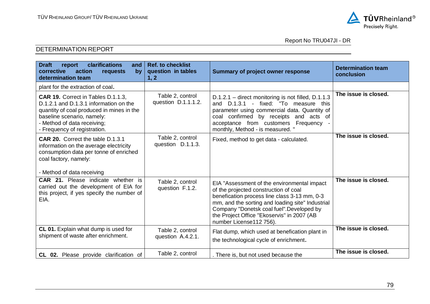

| clarifications<br><b>Draft</b><br>report<br>and<br>corrective<br>action<br>by<br><b>requests</b><br>determination team                                                                                                 | <b>Ref. to checklist</b><br>question in tables<br>1, 2 | <b>Summary of project owner response</b>                                                                                                                                                                                                                                                                       | <b>Determination team</b><br>conclusion |
|------------------------------------------------------------------------------------------------------------------------------------------------------------------------------------------------------------------------|--------------------------------------------------------|----------------------------------------------------------------------------------------------------------------------------------------------------------------------------------------------------------------------------------------------------------------------------------------------------------------|-----------------------------------------|
| plant for the extraction of coal.                                                                                                                                                                                      |                                                        |                                                                                                                                                                                                                                                                                                                |                                         |
| CAR 19. Correct in Tables D.1.1.3,<br>D.1.2.1 and D.1.3.1 information on the<br>quantity of coal produced in mines in the<br>baseline scenario, namely:<br>- Method of data receiving;<br>- Frequency of registration. | Table 2, control<br>question D.1.1.1.2.                | D.1.2.1 - direct monitoring is not filled, D.1.1.3<br>and D.1.3.1 - fixed: "To measure this<br>parameter using commercial data. Quantity of<br>coal confirmed by receipts and acts of<br>acceptance from customers Frequency -<br>monthly, Method - is measured. "                                             | The issue is closed.                    |
| CAR 20. Correct the table D.1.3.1<br>information on the average electricity<br>consumption data per tonne of enriched<br>coal factory, namely:<br>- Method of data receiving                                           | Table 2, control<br>question D.1.1.3.                  | Fixed, method to get data - calculated.                                                                                                                                                                                                                                                                        | The issue is closed.                    |
| <b>CAR 21.</b> Please indicate whether is<br>carried out the development of EIA for<br>this project, if yes specify the number of<br>EIA.                                                                              | Table 2, control<br>question F.1.2.                    | EIA "Assessment of the environmental impact<br>of the projected construction of coal<br>benefication process line class 3-13 mm, 0-3<br>mm, and the sorting and loading site" Industrial<br>Company "Donetsk coal fuel". Developed by<br>the Project Office "Ekoservis" in 2007 (AB<br>number License112 756). | The issue is closed.                    |
| CL 01. Explain what dump is used for<br>shipment of waste after enrichment.                                                                                                                                            | Table 2, control<br>question A.4.2.1.                  | Flat dump, which used at benefication plant in<br>the technological cycle of enrichment.                                                                                                                                                                                                                       | The issue is closed.                    |
| CL 02. Please provide clarification of                                                                                                                                                                                 | Table 2, control                                       | . There is, but not used because the                                                                                                                                                                                                                                                                           | The issue is closed.                    |